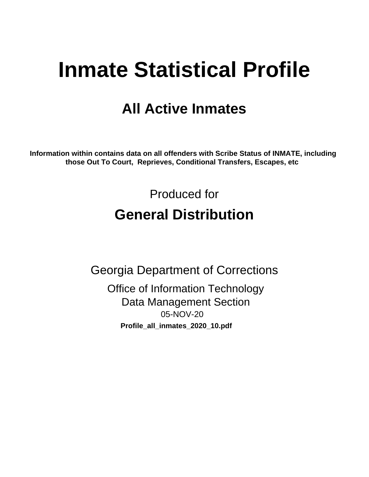# **Inmate Statistical Profile**

# **All Active Inmates**

Information within contains data on all offenders with Scribe Status of INMATE, including those Out To Court, Reprieves, Conditional Transfers, Escapes, etc

> Produced for **General Distribution**

**Georgia Department of Corrections** 

**Office of Information Technology Data Management Section** 05-NOV-20 Profile\_all\_inmates\_2020\_10.pdf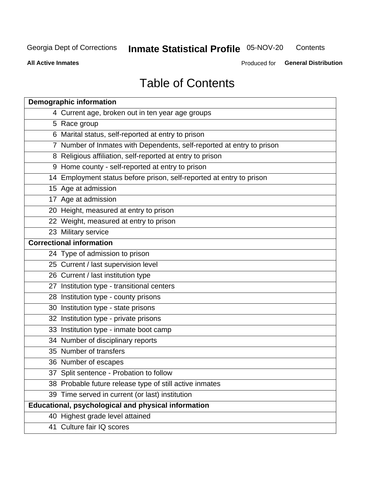#### Inmate Statistical Profile 05-NOV-20 Contents

**All Active Inmates** 

Produced for General Distribution

# **Table of Contents**

| <b>Demographic information</b>                                        |
|-----------------------------------------------------------------------|
| 4 Current age, broken out in ten year age groups                      |
| 5 Race group                                                          |
| 6 Marital status, self-reported at entry to prison                    |
| 7 Number of Inmates with Dependents, self-reported at entry to prison |
| 8 Religious affiliation, self-reported at entry to prison             |
| 9 Home county - self-reported at entry to prison                      |
| 14 Employment status before prison, self-reported at entry to prison  |
| 15 Age at admission                                                   |
| 17 Age at admission                                                   |
| 20 Height, measured at entry to prison                                |
| 22 Weight, measured at entry to prison                                |
| 23 Military service                                                   |
| <b>Correctional information</b>                                       |
| 24 Type of admission to prison                                        |
| 25 Current / last supervision level                                   |
| 26 Current / last institution type                                    |
| 27 Institution type - transitional centers                            |
| 28 Institution type - county prisons                                  |
| 30 Institution type - state prisons                                   |
| 32 Institution type - private prisons                                 |
| 33 Institution type - inmate boot camp                                |
| 34 Number of disciplinary reports                                     |
| 35 Number of transfers                                                |
| 36 Number of escapes                                                  |
| 37 Split sentence - Probation to follow                               |
| 38 Probable future release type of still active inmates               |
| 39 Time served in current (or last) institution                       |
| <b>Educational, psychological and physical information</b>            |
| 40 Highest grade level attained                                       |
| 41 Culture fair IQ scores                                             |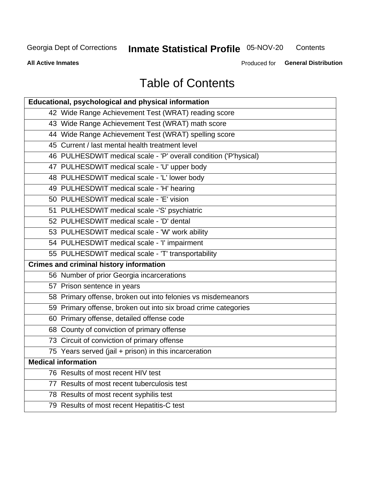# **Inmate Statistical Profile 05-NOV-20**

Contents

**All Active Inmates** 

Produced for General Distribution

# **Table of Contents**

| Educational, psychological and physical information              |
|------------------------------------------------------------------|
| 42 Wide Range Achievement Test (WRAT) reading score              |
| 43 Wide Range Achievement Test (WRAT) math score                 |
| 44 Wide Range Achievement Test (WRAT) spelling score             |
| 45 Current / last mental health treatment level                  |
| 46 PULHESDWIT medical scale - 'P' overall condition ('P'hysical) |
| 47 PULHESDWIT medical scale - 'U' upper body                     |
| 48 PULHESDWIT medical scale - 'L' lower body                     |
| 49 PULHESDWIT medical scale - 'H' hearing                        |
| 50 PULHESDWIT medical scale - 'E' vision                         |
| 51 PULHESDWIT medical scale -'S' psychiatric                     |
| 52 PULHESDWIT medical scale - 'D' dental                         |
| 53 PULHESDWIT medical scale - 'W' work ability                   |
| 54 PULHESDWIT medical scale - 'I' impairment                     |
| 55 PULHESDWIT medical scale - 'T' transportability               |
| <b>Crimes and criminal history information</b>                   |
| 56 Number of prior Georgia incarcerations                        |
| 57 Prison sentence in years                                      |
| 58 Primary offense, broken out into felonies vs misdemeanors     |
| 59 Primary offense, broken out into six broad crime categories   |
| 60 Primary offense, detailed offense code                        |
| 68 County of conviction of primary offense                       |
| 73 Circuit of conviction of primary offense                      |
| 75 Years served (jail + prison) in this incarceration            |
| <b>Medical information</b>                                       |
| 76 Results of most recent HIV test                               |
| 77 Results of most recent tuberculosis test                      |
| 78 Results of most recent syphilis test                          |
| 79 Results of most recent Hepatitis-C test                       |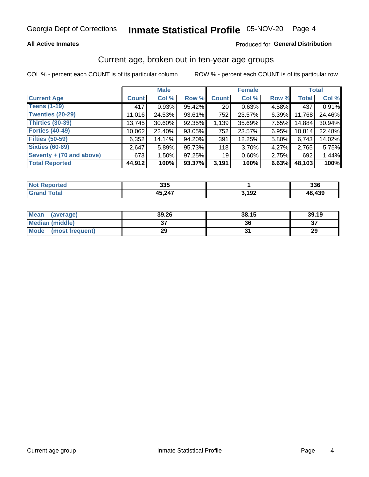# Inmate Statistical Profile 05-NOV-20 Page 4

#### **All Active Inmates**

#### Produced for General Distribution

### Current age, broken out in ten-year age groups

COL % - percent each COUNT is of its particular column

|                          |              | <b>Male</b> |        |                 | <b>Female</b> |          |              | <b>Total</b> |  |
|--------------------------|--------------|-------------|--------|-----------------|---------------|----------|--------------|--------------|--|
| <b>Current Age</b>       | <b>Count</b> | Col %       | Row %  | <b>Count</b>    | Col %         | Row %    | <b>Total</b> | Col %        |  |
| <b>Teens (1-19)</b>      | 417          | 0.93%       | 95.42% | 20 <sub>1</sub> | 0.63%         | 4.58%    | 437          | 0.91%        |  |
| <b>Twenties (20-29)</b>  | 11,016       | 24.53%      | 93.61% | 752             | 23.57%        | $6.39\%$ | 11,768       | 24.46%       |  |
| Thirties (30-39)         | 13,745       | 30.60%      | 92.35% | 1,139           | 35.69%        | $7.65\%$ | 14,884       | 30.94%       |  |
| <b>Forties (40-49)</b>   | 10,062       | 22.40%      | 93.05% | 752             | 23.57%        | 6.95%    | 10,814       | 22.48%       |  |
| <b>Fifties (50-59)</b>   | 6,352        | 14.14%      | 94.20% | 391             | 12.25%        | $5.80\%$ | 6,743        | 14.02%       |  |
| <b>Sixties (60-69)</b>   | 2.647        | 5.89%       | 95.73% | 118             | $3.70\%$      | 4.27%    | 2,765        | 5.75%        |  |
| Seventy + (70 and above) | 673          | $1.50\%$    | 97.25% | 19 <sup>1</sup> | $0.60\%$      | $2.75\%$ | 692          | 1.44%        |  |
| <b>Total Reported</b>    | 44,912       | 100%        | 93.37% | 3,191           | 100%          | 6.63%    | 48,103       | 100%         |  |

| <b>Not</b>     | つつに              |                | <b>220</b> |
|----------------|------------------|----------------|------------|
| <b>Enorted</b> | ააა              |                | აახ        |
| <b>Total</b>   | 45 947<br>70.LTI | e 102<br>1 J L | 120        |

| <b>Mean</b><br>(average) | 39.26         | 38.15 | 39.19   |
|--------------------------|---------------|-------|---------|
| Median (middle)          | $\sim$<br>ا پ | 36    | ົ<br>o. |
| Mode<br>(most frequent)  | 29            |       | 29      |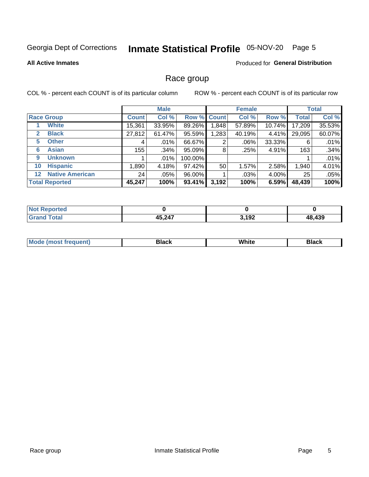# Inmate Statistical Profile 05-NOV-20 Page 5

#### **All Active Inmates**

#### Produced for General Distribution

### Race group

COL % - percent each COUNT is of its particular column

|                                   |              | <b>Male</b> |         |             | <b>Female</b> |          |              | <b>Total</b> |  |
|-----------------------------------|--------------|-------------|---------|-------------|---------------|----------|--------------|--------------|--|
| <b>Race Group</b>                 | <b>Count</b> | Col %       |         | Row % Count | Col %         | Row %    | <b>Total</b> | Col %        |  |
| <b>White</b>                      | 15,361       | 33.95%      | 89.26%  | .848        | 57.89%        | 10.74%   | 17,209       | 35.53%       |  |
| <b>Black</b><br>2                 | 27,812       | 61.47%      | 95.59%  | 1,283       | 40.19%        | $4.41\%$ | 29,095       | 60.07%       |  |
| <b>Other</b><br>5.                | 4            | $.01\%$     | 66.67%  | 2           | .06%          | 33.33%   | 6            | .01%         |  |
| <b>Asian</b><br>6                 | 155          | .34%        | 95.09%  | 8           | .25%          | 4.91%    | 163          | .34%         |  |
| <b>Unknown</b><br>9               |              | $.01\%$     | 100.00% |             |               |          |              | .01%         |  |
| <b>Hispanic</b><br>10             | 1,890        | 4.18%       | 97.42%  | 50          | 1.57%         | 2.58%    | 1,940        | 4.01%        |  |
| <b>Native American</b><br>$12 \,$ | 24           | .05%        | 96.00%  |             | .03%          | 4.00%    | 25           | .05%         |  |
| <b>Total Reported</b>             | 45,247       | 100%        | 93.41%  | 3,192       | 100%          | 6.59%    | 48,439       | 100%         |  |

| Not<br>enorted         |        |                 |        |
|------------------------|--------|-----------------|--------|
| <b>Total</b><br>'Grano | 45,247 | 2.102<br>J, IJL | 48,439 |

| m | <br>w |  |
|---|-------|--|
|   |       |  |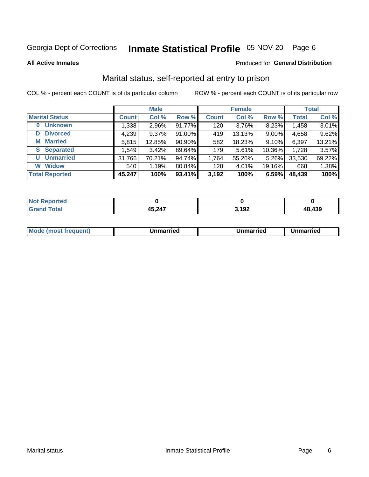# Inmate Statistical Profile 05-NOV-20 Page 6

**All Active Inmates** 

#### Produced for General Distribution

### Marital status, self-reported at entry to prison

COL % - percent each COUNT is of its particular column

|                            | <b>Male</b>  |          |        | <b>Female</b>    |        |        | <b>Total</b> |        |
|----------------------------|--------------|----------|--------|------------------|--------|--------|--------------|--------|
| <b>Marital Status</b>      | <b>Count</b> | Col %    | Row %  | <b>Count</b>     | Col %  | Row %  | <b>Total</b> | Col %  |
| <b>Unknown</b><br>$\bf{0}$ | 1,338        | $2.96\%$ | 91.77% | 120              | 3.76%  | 8.23%  | 1,458        | 3.01%  |
| <b>Divorced</b><br>D       | 4,239        | 9.37%    | 91.00% | 419              | 13.13% | 9.00%  | 4,658        | 9.62%  |
| <b>Married</b><br>М        | 5,815        | 12.85%   | 90.90% | 582              | 18.23% | 9.10%  | 6,397        | 13.21% |
| <b>Separated</b><br>S      | 1,549        | 3.42%    | 89.64% | 179              | 5.61%  | 10.36% | 1,728        | 3.57%  |
| <b>Unmarried</b><br>U      | 31,766       | 70.21%   | 94.74% | 1,764            | 55.26% | 5.26%  | 33,530       | 69.22% |
| <b>Widow</b><br>W          | 540          | 1.19%    | 80.84% | 128 <sub>1</sub> | 4.01%  | 19.16% | 668          | 1.38%  |
| <b>Total Reported</b>      | 45,247       | 100%     | 93.41% | 3,192            | 100%   | 6.59%  | 48,439       | 100%   |

| Reported<br>I NOT F   |            |       |        |
|-----------------------|------------|-------|--------|
| $T$ ntor $T$<br>. Grs | 15 247<br> | 3,192 | 48,439 |

|--|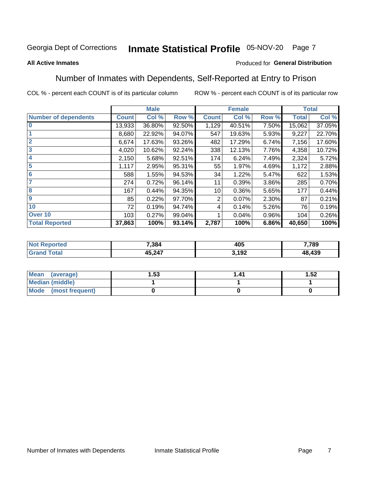#### Inmate Statistical Profile 05-NOV-20 Page 7

#### **All Active Inmates**

#### Produced for General Distribution

### Number of Inmates with Dependents, Self-Reported at Entry to Prison

COL % - percent each COUNT is of its particular column

|                             |              | <b>Male</b> |        |                | <b>Female</b> |       |        | <b>Total</b> |
|-----------------------------|--------------|-------------|--------|----------------|---------------|-------|--------|--------------|
| <b>Number of dependents</b> | <b>Count</b> | Col %       | Row %  | <b>Count</b>   | Col %         | Row % | Total  | Col %        |
| $\bf{0}$                    | 13,933       | 36.80%      | 92.50% | 1,129          | 40.51%        | 7.50% | 15,062 | 37.05%       |
|                             | 8,680        | 22.92%      | 94.07% | 547            | 19.63%        | 5.93% | 9,227  | 22.70%       |
| $\overline{2}$              | 6,674        | 17.63%      | 93.26% | 482            | 17.29%        | 6.74% | 7,156  | 17.60%       |
| 3                           | 4,020        | 10.62%      | 92.24% | 338            | 12.13%        | 7.76% | 4,358  | 10.72%       |
| 4                           | 2,150        | 5.68%       | 92.51% | 174            | 6.24%         | 7.49% | 2,324  | 5.72%        |
| 5                           | 1,117        | 2.95%       | 95.31% | 55             | 1.97%         | 4.69% | 1,172  | 2.88%        |
| 6                           | 588          | 1.55%       | 94.53% | 34             | 1.22%         | 5.47% | 622    | 1.53%        |
| 7                           | 274          | 0.72%       | 96.14% | 11             | 0.39%         | 3.86% | 285    | 0.70%        |
| 8                           | 167          | 0.44%       | 94.35% | 10             | 0.36%         | 5.65% | 177    | 0.44%        |
| 9                           | 85           | 0.22%       | 97.70% | $\overline{2}$ | 0.07%         | 2.30% | 87     | 0.21%        |
| 10                          | 72           | 0.19%       | 94.74% | 4              | 0.14%         | 5.26% | 76     | 0.19%        |
| Over 10                     | 103          | 0.27%       | 99.04% |                | 0.04%         | 0.96% | 104    | 0.26%        |
| <b>Total Reported</b>       | 37,863       | 100%        | 93.14% | 2,787          | 100%          | 6.86% | 40,650 | 100%         |

| 7,384 | ィヘド<br>40J   | ,789       |
|-------|--------------|------------|
| 5,247 | 102<br>1 J Z | ,439<br>ΛΩ |

| Mean (average)         | l.53 | 1.41 | 1.52 |
|------------------------|------|------|------|
| <b>Median (middle)</b> |      |      |      |
| Mode (most frequent)   |      |      |      |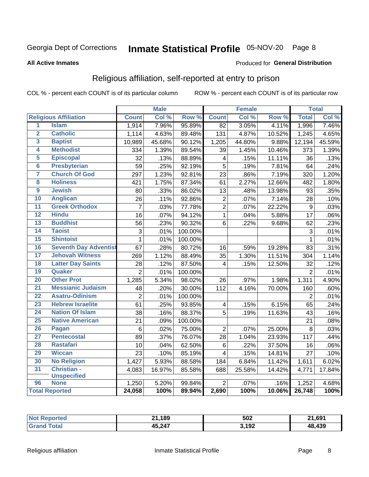# Inmate Statistical Profile 05-NOV-20 Page 8

#### **All Active Inmates**

#### Produced for General Distribution

### Religious affiliation, self-reported at entry to prison

COL % - percent each COUNT is of its particular column

|                         |                              |                 | <b>Male</b> |         |                         | <b>Female</b> |        |                 | <b>Total</b> |
|-------------------------|------------------------------|-----------------|-------------|---------|-------------------------|---------------|--------|-----------------|--------------|
|                         | <b>Religious Affiliation</b> | <b>Count</b>    | Col %       | Row %   | <b>Count</b>            | Col %         | Row %  | <b>Total</b>    | Col %        |
| 1                       | <b>Islam</b>                 | 1,914           | 7.96%       | 95.89%  | $\overline{82}$         | 3.05%         | 4.11%  | 1,996           | 7.46%        |
| $\overline{\mathbf{2}}$ | <b>Catholic</b>              | 1,114           | 4.63%       | 89.48%  | 131                     | 4.87%         | 10.52% | 1,245           | 4.65%        |
| 3                       | <b>Baptist</b>               | 10,989          | 45.68%      | 90.12%  | 1,205                   | 44.80%        | 9.88%  | 12,194          | 45.59%       |
| 4                       | <b>Methodist</b>             | 334             | 1.39%       | 89.54%  | 39                      | 1.45%         | 10.46% | 373             | 1.39%        |
| 5                       | <b>Episcopal</b>             | 32              | .13%        | 88.89%  | $\overline{\mathbf{4}}$ | .15%          | 11.11% | 36              | .13%         |
| $\overline{\bf{6}}$     | <b>Presbyterian</b>          | 59              | .25%        | 92.19%  | $\overline{5}$          | .19%          | 7.81%  | 64              | .24%         |
| 7                       | <b>Church Of God</b>         | 297             | 1.23%       | 92.81%  | 23                      | .86%          | 7.19%  | 320             | 1.20%        |
| 8                       | <b>Holiness</b>              | 421             | 1.75%       | 87.34%  | 61                      | 2.27%         | 12.66% | 482             | 1.80%        |
| $\overline{9}$          | <b>Jewish</b>                | 80              | .33%        | 86.02%  | 13                      | .48%          | 13.98% | 93              | .35%         |
| 10                      | <b>Anglican</b>              | 26              | .11%        | 92.86%  | $\mathbf 2$             | .07%          | 7.14%  | 28              | .10%         |
| 11                      | <b>Greek Orthodox</b>        | $\overline{7}$  | .03%        | 77.78%  | $\overline{2}$          | .07%          | 22.22% | $\overline{9}$  | .03%         |
| 12                      | <b>Hindu</b>                 | $\overline{16}$ | .07%        | 94.12%  | $\overline{1}$          | .04%          | 5.88%  | $\overline{17}$ | .06%         |
| 13                      | <b>Buddhist</b>              | 56              | .23%        | 90.32%  | 6                       | .22%          | 9.68%  | 62              | .23%         |
| 14                      | <b>Taoist</b>                | 3               | .01%        | 100.00% |                         |               |        | 3               | .01%         |
| 15                      | <b>Shintoist</b>             | $\mathbf{1}$    | .01%        | 100.00% |                         |               |        | $\mathbf{1}$    | .01%         |
| 16                      | <b>Seventh Day Adventist</b> | 67              | .28%        | 80.72%  | 16                      | .59%          | 19.28% | 83              | .31%         |
| 17                      | <b>Jehovah Witness</b>       | 269             | 1.12%       | 88.49%  | 35                      | 1.30%         | 11.51% | 304             | 1.14%        |
| 18                      | <b>Latter Day Saints</b>     | 28              | .12%        | 87.50%  | 4                       | .15%          | 12.50% | 32              | .12%         |
| 19                      | Quaker                       | $\overline{2}$  | .01%        | 100.00% |                         |               |        | $\overline{2}$  | .01%         |
| 20                      | <b>Other Prot</b>            | 1,285           | 5.34%       | 98.02%  | 26                      | .97%          | 1.98%  | 1,311           | 4.90%        |
| 21                      | <b>Messianic Judaism</b>     | 48              | .20%        | 30.00%  | 112                     | 4.16%         | 70.00% | 160             | .60%         |
| 22                      | <b>Asatru-Odinism</b>        | $\overline{2}$  | .01%        | 100.00% |                         |               |        | $\overline{2}$  | .01%         |
| 23                      | <b>Hebrew Israelite</b>      | 61              | .25%        | 93.85%  | 4                       | .15%          | 6.15%  | 65              | .24%         |
| 24                      | <b>Nation Of Islam</b>       | 38              | .16%        | 88.37%  | $\overline{5}$          | .19%          | 11.63% | 43              | .16%         |
| 25                      | <b>Native American</b>       | 21              | .09%        | 100.00% |                         |               |        | 21              | .08%         |
| 26                      | Pagan                        | $6\phantom{1}6$ | .02%        | 75.00%  | $\overline{2}$          | .07%          | 25.00% | 8               | .03%         |
| $\overline{27}$         | <b>Pentecostal</b>           | 89              | .37%        | 76.07%  | 28                      | 1.04%         | 23.93% | 117             | .44%         |
| 28                      | <b>Rastafari</b>             | 10              | .04%        | 62.50%  | $\,6$                   | .22%          | 37.50% | 16              | .06%         |
| 29                      | <b>Wiccan</b>                | 23              | .10%        | 85.19%  | $\overline{4}$          | .15%          | 14.81% | 27              | .10%         |
| 30                      | <b>No Religion</b>           | 1,427           | 5.93%       | 88.58%  | 184                     | 6.84%         | 11.42% | 1,611           | 6.02%        |
| 31                      | Christian -                  | 4,083           | 16.97%      | 85.58%  | 688                     | 25.58%        | 14.42% | 4,771           | 17.84%       |
|                         | <b>Unspecified</b>           |                 |             |         |                         |               |        |                 |              |
| 96                      | <b>None</b>                  | 1,250           | 5.20%       | 99.84%  | $\overline{2}$          | .07%          | .16%   | 1,252           | 4.68%        |
|                         | <b>Total Reported</b>        | 24,058          | 100%        | 89.94%  | 2,690                   | 100%          | 10.06% | 26,748          | 100%         |

| meo | ∡1,189 | 502   | 21,691 |
|-----|--------|-------|--------|
|     | 45,247 | 3,192 | 48.439 |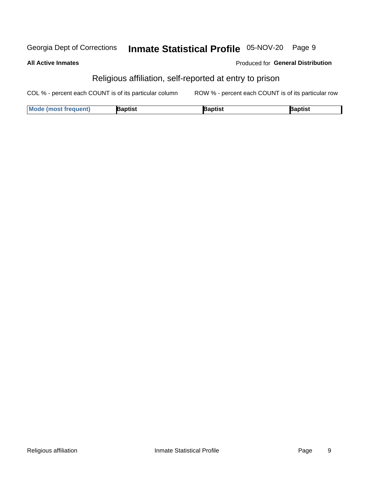#### Inmate Statistical Profile 05-NOV-20 Page 9 Georgia Dept of Corrections

| <b>All Active Inmates</b> |  |  |         |  |     |  |  |  | <b>Produced for</b> |
|---------------------------|--|--|---------|--|-----|--|--|--|---------------------|
|                           |  |  | ----- - |  | . . |  |  |  |                     |

### Religious affiliation, self-reported at entry to prison

COL % - percent each COUNT is of its particular column ROW % - percent each COUNT is of its particular row

| Mode (most frequent) | `าptist | }aptist | <b>Raptist</b> |
|----------------------|---------|---------|----------------|
|----------------------|---------|---------|----------------|

**General Distribution**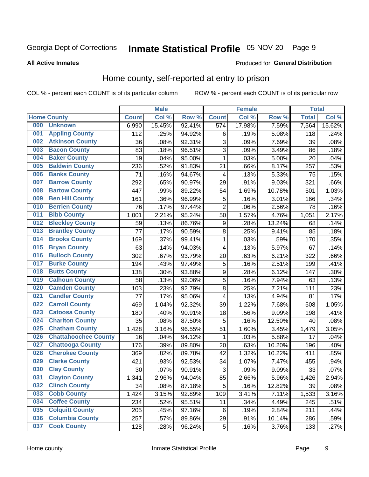# Inmate Statistical Profile 05-NOV-20 Page 9

#### **All Active Inmates**

#### **Produced for General Distribution**

### Home county, self-reported at entry to prison

COL % - percent each COUNT is of its particular column

|     |                             |              | <b>Male</b> |                  |                  | <b>Female</b> |        | <b>Total</b> |        |
|-----|-----------------------------|--------------|-------------|------------------|------------------|---------------|--------|--------------|--------|
|     | <b>Home County</b>          | <b>Count</b> | Col %       | Row <sup>%</sup> | <b>Count</b>     | Col %         | Row %  | <b>Total</b> | Col %  |
| 000 | <b>Unknown</b>              | 6,990        | 15.45%      | 92.41%           | $\overline{574}$ | 17.98%        | 7.59%  | 7,564        | 15.62% |
| 001 | <b>Appling County</b>       | 112          | .25%        | 94.92%           | $\,6$            | .19%          | 5.08%  | 118          | .24%   |
| 002 | <b>Atkinson County</b>      | 36           | .08%        | 92.31%           | 3                | .09%          | 7.69%  | 39           | .08%   |
| 003 | <b>Bacon County</b>         | 83           | .18%        | 96.51%           | 3                | .09%          | 3.49%  | 86           | .18%   |
| 004 | <b>Baker County</b>         | 19           | .04%        | 95.00%           | $\mathbf{1}$     | .03%          | 5.00%  | 20           | .04%   |
| 005 | <b>Baldwin County</b>       | 236          | .52%        | 91.83%           | 21               | .66%          | 8.17%  | 257          | .53%   |
| 006 | <b>Banks County</b>         | 71           | .16%        | 94.67%           | 4                | .13%          | 5.33%  | 75           | .15%   |
| 007 | <b>Barrow County</b>        | 292          | .65%        | 90.97%           | 29               | .91%          | 9.03%  | 321          | .66%   |
| 008 | <b>Bartow County</b>        | 447          | .99%        | 89.22%           | 54               | 1.69%         | 10.78% | 501          | 1.03%  |
| 009 | <b>Ben Hill County</b>      | 161          | .36%        | 96.99%           | 5                | .16%          | 3.01%  | 166          | .34%   |
| 010 | <b>Berrien County</b>       | 76           | .17%        | 97.44%           | $\overline{2}$   | .06%          | 2.56%  | 78           | .16%   |
| 011 | <b>Bibb County</b>          | 1,001        | 2.21%       | 95.24%           | 50               | 1.57%         | 4.76%  | 1,051        | 2.17%  |
| 012 | <b>Bleckley County</b>      | 59           | .13%        | 86.76%           | 9                | .28%          | 13.24% | 68           | .14%   |
| 013 | <b>Brantley County</b>      | 77           | .17%        | 90.59%           | $\bf 8$          | .25%          | 9.41%  | 85           | .18%   |
| 014 | <b>Brooks County</b>        | 169          | .37%        | 99.41%           | $\mathbf{1}$     | .03%          | .59%   | 170          | .35%   |
| 015 | <b>Bryan County</b>         | 63           | .14%        | 94.03%           | 4                | .13%          | 5.97%  | 67           | .14%   |
| 016 | <b>Bulloch County</b>       | 302          | .67%        | 93.79%           | 20               | .63%          | 6.21%  | 322          | .66%   |
| 017 | <b>Burke County</b>         | 194          | .43%        | 97.49%           | 5                | .16%          | 2.51%  | 199          | .41%   |
| 018 | <b>Butts County</b>         | 138          | .30%        | 93.88%           | $\boldsymbol{9}$ | .28%          | 6.12%  | 147          | .30%   |
| 019 | <b>Calhoun County</b>       | 58           | .13%        | 92.06%           | 5                | .16%          | 7.94%  | 63           | .13%   |
| 020 | <b>Camden County</b>        | 103          | .23%        | 92.79%           | $\bf 8$          | .25%          | 7.21%  | 111          | .23%   |
| 021 | <b>Candler County</b>       | 77           | .17%        | 95.06%           | 4                | .13%          | 4.94%  | 81           | .17%   |
| 022 | <b>Carroll County</b>       | 469          | 1.04%       | 92.32%           | 39               | 1.22%         | 7.68%  | 508          | 1.05%  |
| 023 | <b>Catoosa County</b>       | 180          | .40%        | 90.91%           | 18               | .56%          | 9.09%  | 198          | .41%   |
| 024 | <b>Charlton County</b>      | 35           | .08%        | 87.50%           | 5                | .16%          | 12.50% | 40           | .08%   |
| 025 | <b>Chatham County</b>       | 1,428        | 3.16%       | 96.55%           | 51               | 1.60%         | 3.45%  | 1,479        | 3.05%  |
| 026 | <b>Chattahoochee County</b> | 16           | .04%        | 94.12%           | 1                | .03%          | 5.88%  | 17           | .04%   |
| 027 | <b>Chattooga County</b>     | 176          | .39%        | 89.80%           | 20               | .63%          | 10.20% | 196          | .40%   |
| 028 | <b>Cherokee County</b>      | 369          | .82%        | 89.78%           | 42               | 1.32%         | 10.22% | 411          | .85%   |
| 029 | <b>Clarke County</b>        | 421          | .93%        | 92.53%           | 34               | 1.07%         | 7.47%  | 455          | .94%   |
| 030 | <b>Clay County</b>          | 30           | .07%        | 90.91%           | $\overline{3}$   | .09%          | 9.09%  | 33           | .07%   |
| 031 | <b>Clayton County</b>       | 1,341        | 2.96%       | 94.04%           | 85               | 2.66%         | 5.96%  | 1,426        | 2.94%  |
| 032 | <b>Clinch County</b>        | 34           | .08%        | 87.18%           | 5                | .16%          | 12.82% | 39           | .08%   |
| 033 | <b>Cobb County</b>          | 1,424        | 3.15%       | 92.89%           | 109              | 3.41%         | 7.11%  | 1,533        | 3.16%  |
| 034 | <b>Coffee County</b>        | 234          | .52%        | 95.51%           | 11               | .34%          | 4.49%  | 245          | .51%   |
| 035 | <b>Colquitt County</b>      | 205          | .45%        | 97.16%           | $\,6$            | .19%          | 2.84%  | 211          | .44%   |
| 036 | <b>Columbia County</b>      | 257          | .57%        | 89.86%           | 29               | .91%          | 10.14% | 286          | .59%   |
| 037 | <b>Cook County</b>          | 128          | .28%        | 96.24%           | 5                | .16%          | 3.76%  | 133          | .27%   |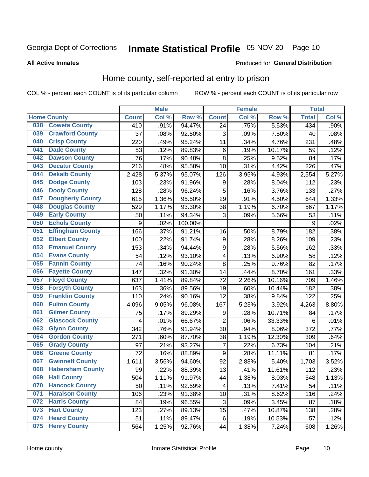**All Active Inmates** 

# Inmate Statistical Profile 05-NOV-20 Page 10

#### Produced for General Distribution

### Home county, self-reported at entry to prison

COL % - percent each COUNT is of its particular column

|     |                         |              | <b>Male</b> |         |                         | <b>Female</b> |        | <b>Total</b> |         |
|-----|-------------------------|--------------|-------------|---------|-------------------------|---------------|--------|--------------|---------|
|     | <b>Home County</b>      | <b>Count</b> | Col %       | Row %   | <b>Count</b>            | Col %         | Row %  | <b>Total</b> | Col%    |
| 038 | <b>Coweta County</b>    | 410          | .91%        | 94.47%  | $\overline{24}$         | .75%          | 5.53%  | 434          | $.90\%$ |
| 039 | <b>Crawford County</b>  | 37           | .08%        | 92.50%  | 3                       | .09%          | 7.50%  | 40           | .08%    |
| 040 | <b>Crisp County</b>     | 220          | .49%        | 95.24%  | 11                      | .34%          | 4.76%  | 231          | .48%    |
| 041 | <b>Dade County</b>      | 53           | .12%        | 89.83%  | 6                       | .19%          | 10.17% | 59           | .12%    |
| 042 | <b>Dawson County</b>    | 76           | .17%        | 90.48%  | 8                       | .25%          | 9.52%  | 84           | .17%    |
| 043 | <b>Decatur County</b>   | 216          | .48%        | 95.58%  | 10                      | .31%          | 4.42%  | 226          | .47%    |
| 044 | <b>Dekalb County</b>    | 2,428        | 5.37%       | 95.07%  | 126                     | 3.95%         | 4.93%  | 2,554        | 5.27%   |
| 045 | <b>Dodge County</b>     | 103          | .23%        | 91.96%  | 9                       | .28%          | 8.04%  | 112          | .23%    |
| 046 | <b>Dooly County</b>     | 128          | .28%        | 96.24%  | 5                       | .16%          | 3.76%  | 133          | .27%    |
| 047 | <b>Dougherty County</b> | 615          | 1.36%       | 95.50%  | 29                      | .91%          | 4.50%  | 644          | 1.33%   |
| 048 | <b>Douglas County</b>   | 529          | 1.17%       | 93.30%  | 38                      | 1.19%         | 6.70%  | 567          | 1.17%   |
| 049 | <b>Early County</b>     | 50           | .11%        | 94.34%  | 3                       | .09%          | 5.66%  | 53           | .11%    |
| 050 | <b>Echols County</b>    | 9            | .02%        | 100.00% |                         |               |        | 9            | .02%    |
| 051 | <b>Effingham County</b> | 166          | .37%        | 91.21%  | 16                      | .50%          | 8.79%  | 182          | .38%    |
| 052 | <b>Elbert County</b>    | 100          | .22%        | 91.74%  | $\boldsymbol{9}$        | .28%          | 8.26%  | 109          | .23%    |
| 053 | <b>Emanuel County</b>   | 153          | .34%        | 94.44%  | $\boldsymbol{9}$        | .28%          | 5.56%  | 162          | .33%    |
| 054 | <b>Evans County</b>     | 54           | .12%        | 93.10%  | $\overline{\mathbf{4}}$ | .13%          | 6.90%  | 58           | .12%    |
| 055 | <b>Fannin County</b>    | 74           | .16%        | 90.24%  | 8                       | .25%          | 9.76%  | 82           | .17%    |
| 056 | <b>Fayette County</b>   | 147          | .32%        | 91.30%  | 14                      | .44%          | 8.70%  | 161          | .33%    |
| 057 | <b>Floyd County</b>     | 637          | 1.41%       | 89.84%  | 72                      | 2.26%         | 10.16% | 709          | 1.46%   |
| 058 | <b>Forsyth County</b>   | 163          | .36%        | 89.56%  | 19                      | .60%          | 10.44% | 182          | .38%    |
| 059 | <b>Franklin County</b>  | 110          | .24%        | 90.16%  | 12                      | .38%          | 9.84%  | 122          | .25%    |
| 060 | <b>Fulton County</b>    | 4,096        | 9.05%       | 96.08%  | 167                     | 5.23%         | 3.92%  | 4,263        | 8.80%   |
| 061 | <b>Gilmer County</b>    | 75           | .17%        | 89.29%  | 9                       | .28%          | 10.71% | 84           | .17%    |
| 062 | <b>Glascock County</b>  | 4            | .01%        | 66.67%  | $\overline{2}$          | .06%          | 33.33% | 6            | .01%    |
| 063 | <b>Glynn County</b>     | 342          | .76%        | 91.94%  | 30                      | .94%          | 8.06%  | 372          | .77%    |
| 064 | <b>Gordon County</b>    | 271          | .60%        | 87.70%  | 38                      | 1.19%         | 12.30% | 309          | .64%    |
| 065 | <b>Grady County</b>     | 97           | .21%        | 93.27%  | 7                       | .22%          | 6.73%  | 104          | .21%    |
| 066 | <b>Greene County</b>    | 72           | .16%        | 88.89%  | 9                       | .28%          | 11.11% | 81           | .17%    |
| 067 | <b>Gwinnett County</b>  | 1,611        | 3.56%       | 94.60%  | 92                      | 2.88%         | 5.40%  | 1,703        | 3.52%   |
| 068 | <b>Habersham County</b> | 99           | .22%        | 88.39%  | 13                      | .41%          | 11.61% | 112          | .23%    |
| 069 | <b>Hall County</b>      | 504          | 1.11%       | 91.97%  | 44                      | 1.38%         | 8.03%  | 548          | 1.13%   |
| 070 | <b>Hancock County</b>   | 50           | .11%        | 92.59%  | 4                       | .13%          | 7.41%  | 54           | .11%    |
| 071 | <b>Haralson County</b>  | 106          | .23%        | 91.38%  | 10                      | .31%          | 8.62%  | 116          | .24%    |
| 072 | <b>Harris County</b>    | 84           | .19%        | 96.55%  | 3                       | .09%          | 3.45%  | 87           | .18%    |
| 073 | <b>Hart County</b>      | 123          | .27%        | 89.13%  | 15                      | .47%          | 10.87% | 138          | .28%    |
| 074 | <b>Heard County</b>     | 51           | .11%        | 89.47%  | 6                       | .19%          | 10.53% | 57           | .12%    |
| 075 | <b>Henry County</b>     | 564          | 1.25%       | 92.76%  | 44                      | 1.38%         | 7.24%  | 608          | 1.26%   |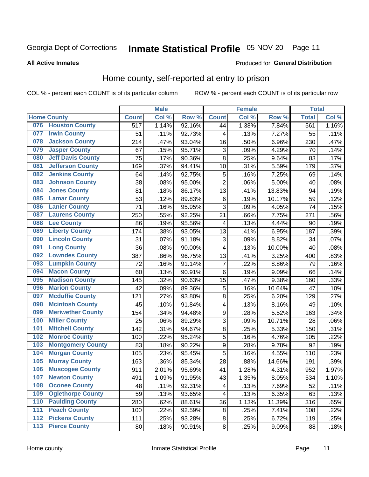# Inmate Statistical Profile 05-NOV-20 Page 11

#### **All Active Inmates**

#### Produced for General Distribution

### Home county, self-reported at entry to prison

COL % - percent each COUNT is of its particular column

|                  |                          |              | <b>Male</b> |        |                         | <b>Female</b> |        | <b>Total</b> |       |
|------------------|--------------------------|--------------|-------------|--------|-------------------------|---------------|--------|--------------|-------|
|                  | <b>Home County</b>       | <b>Count</b> | Col %       | Row %  | <b>Count</b>            | Col %         | Row %  | <b>Total</b> | Col % |
| 076              | <b>Houston County</b>    | 517          | 1.14%       | 92.16% | 44                      | 1.38%         | 7.84%  | 561          | 1.16% |
| 077              | <b>Irwin County</b>      | 51           | .11%        | 92.73% | 4                       | .13%          | 7.27%  | 55           | .11%  |
| 078              | <b>Jackson County</b>    | 214          | .47%        | 93.04% | 16                      | .50%          | 6.96%  | 230          | .47%  |
| 079              | <b>Jasper County</b>     | 67           | .15%        | 95.71% | 3                       | .09%          | 4.29%  | 70           | .14%  |
| 080              | <b>Jeff Davis County</b> | 75           | .17%        | 90.36% | 8                       | .25%          | 9.64%  | 83           | .17%  |
| 081              | <b>Jefferson County</b>  | 169          | .37%        | 94.41% | 10                      | .31%          | 5.59%  | 179          | .37%  |
| 082              | <b>Jenkins County</b>    | 64           | .14%        | 92.75% | 5                       | .16%          | 7.25%  | 69           | .14%  |
| 083              | <b>Johnson County</b>    | 38           | .08%        | 95.00% | $\mathbf 2$             | .06%          | 5.00%  | 40           | .08%  |
| 084              | <b>Jones County</b>      | 81           | .18%        | 86.17% | 13                      | .41%          | 13.83% | 94           | .19%  |
| 085              | <b>Lamar County</b>      | 53           | .12%        | 89.83% | $\,6$                   | .19%          | 10.17% | 59           | .12%  |
| 086              | <b>Lanier County</b>     | 71           | .16%        | 95.95% | 3                       | .09%          | 4.05%  | 74           | .15%  |
| 087              | <b>Laurens County</b>    | 250          | .55%        | 92.25% | 21                      | .66%          | 7.75%  | 271          | .56%  |
| 088              | <b>Lee County</b>        | 86           | .19%        | 95.56% | $\overline{\mathbf{4}}$ | .13%          | 4.44%  | 90           | .19%  |
| 089              | <b>Liberty County</b>    | 174          | .38%        | 93.05% | 13                      | .41%          | 6.95%  | 187          | .39%  |
| 090              | <b>Lincoln County</b>    | 31           | .07%        | 91.18% | 3                       | .09%          | 8.82%  | 34           | .07%  |
| 091              | <b>Long County</b>       | 36           | .08%        | 90.00% | $\overline{\mathbf{4}}$ | .13%          | 10.00% | 40           | .08%  |
| 092              | <b>Lowndes County</b>    | 387          | .86%        | 96.75% | 13                      | .41%          | 3.25%  | 400          | .83%  |
| 093              | <b>Lumpkin County</b>    | 72           | .16%        | 91.14% | $\overline{7}$          | .22%          | 8.86%  | 79           | .16%  |
| 094              | <b>Macon County</b>      | 60           | .13%        | 90.91% | 6                       | .19%          | 9.09%  | 66           | .14%  |
| 095              | <b>Madison County</b>    | 145          | .32%        | 90.63% | 15                      | .47%          | 9.38%  | 160          | .33%  |
| 096              | <b>Marion County</b>     | 42           | .09%        | 89.36% | 5                       | .16%          | 10.64% | 47           | .10%  |
| 097              | <b>Mcduffie County</b>   | 121          | .27%        | 93.80% | 8                       | .25%          | 6.20%  | 129          | .27%  |
| 098              | <b>Mcintosh County</b>   | 45           | .10%        | 91.84% | $\overline{\mathbf{4}}$ | .13%          | 8.16%  | 49           | .10%  |
| 099              | <b>Meriwether County</b> | 154          | .34%        | 94.48% | 9                       | .28%          | 5.52%  | 163          | .34%  |
| 100              | <b>Miller County</b>     | 25           | .06%        | 89.29% | 3                       | .09%          | 10.71% | 28           | .06%  |
| 101              | <b>Mitchell County</b>   | 142          | .31%        | 94.67% | $\overline{8}$          | .25%          | 5.33%  | 150          | .31%  |
| 102              | <b>Monroe County</b>     | 100          | .22%        | 95.24% | $\overline{5}$          | .16%          | 4.76%  | 105          | .22%  |
| 103              | <b>Montgomery County</b> | 83           | .18%        | 90.22% | 9                       | .28%          | 9.78%  | 92           | .19%  |
| 104              | <b>Morgan County</b>     | 105          | .23%        | 95.45% | 5                       | .16%          | 4.55%  | 110          | .23%  |
| 105              | <b>Murray County</b>     | 163          | .36%        | 85.34% | 28                      | .88%          | 14.66% | 191          | .39%  |
| 106              | <b>Muscogee County</b>   | 911          | 2.01%       | 95.69% | 41                      | 1.28%         | 4.31%  | 952          | 1.97% |
| 107              | <b>Newton County</b>     | 491          | 1.09%       | 91.95% | 43                      | 1.35%         | 8.05%  | 534          | 1.10% |
| 108              | <b>Oconee County</b>     | 48           | .11%        | 92.31% | $\overline{\mathbf{4}}$ | .13%          | 7.69%  | 52           | .11%  |
| 109              | <b>Oglethorpe County</b> | 59           | .13%        | 93.65% | 4                       | .13%          | 6.35%  | 63           | .13%  |
| 110              | <b>Paulding County</b>   | 280          | .62%        | 88.61% | 36                      | 1.13%         | 11.39% | 316          | .65%  |
| 111              | <b>Peach County</b>      | 100          | .22%        | 92.59% | 8                       | .25%          | 7.41%  | 108          | .22%  |
| $\overline{112}$ | <b>Pickens County</b>    | 111          | .25%        | 93.28% | $\bf 8$                 | .25%          | 6.72%  | 119          | .25%  |
| 113              | <b>Pierce County</b>     | 80           | .18%        | 90.91% | $\bf 8$                 | .25%          | 9.09%  | 88           | .18%  |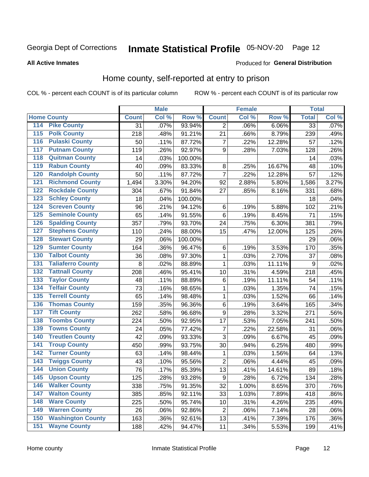#### Inmate Statistical Profile 05-NOV-20 Page 12

#### **All Active Inmates**

#### Produced for General Distribution

### Home county, self-reported at entry to prison

COL % - percent each COUNT is of its particular column

|                  |                          |              | <b>Male</b> |                  |                  | <b>Female</b> |        | <b>Total</b> |       |
|------------------|--------------------------|--------------|-------------|------------------|------------------|---------------|--------|--------------|-------|
|                  | <b>Home County</b>       | <b>Count</b> | Col%        | Row <sup>%</sup> | <b>Count</b>     | Col %         | Row %  | <b>Total</b> | Col % |
| 114              | <b>Pike County</b>       | 31           | .07%        | 93.94%           | 2                | .06%          | 6.06%  | 33           | .07%  |
| 115              | <b>Polk County</b>       | 218          | .48%        | 91.21%           | 21               | .66%          | 8.79%  | 239          | .49%  |
| 116              | <b>Pulaski County</b>    | 50           | .11%        | 87.72%           | $\overline{7}$   | .22%          | 12.28% | 57           | .12%  |
| 117              | <b>Putnam County</b>     | 119          | .26%        | 92.97%           | 9                | .28%          | 7.03%  | 128          | .26%  |
| 118              | <b>Quitman County</b>    | 14           | .03%        | 100.00%          |                  |               |        | 14           | .03%  |
| 119              | <b>Rabun County</b>      | 40           | .09%        | 83.33%           | 8                | .25%          | 16.67% | 48           | .10%  |
| 120              | <b>Randolph County</b>   | 50           | .11%        | 87.72%           | $\overline{7}$   | .22%          | 12.28% | 57           | .12%  |
| $\overline{121}$ | <b>Richmond County</b>   | 1,494        | 3.30%       | 94.20%           | 92               | 2.88%         | 5.80%  | 1,586        | 3.27% |
| 122              | <b>Rockdale County</b>   | 304          | .67%        | 91.84%           | 27               | .85%          | 8.16%  | 331          | .68%  |
| 123              | <b>Schley County</b>     | 18           | .04%        | 100.00%          |                  |               |        | 18           | .04%  |
| 124              | <b>Screven County</b>    | 96           | .21%        | 94.12%           | $\,6$            | .19%          | 5.88%  | 102          | .21%  |
| 125              | <b>Seminole County</b>   | 65           | .14%        | 91.55%           | 6                | .19%          | 8.45%  | 71           | .15%  |
| 126              | <b>Spalding County</b>   | 357          | .79%        | 93.70%           | 24               | .75%          | 6.30%  | 381          | .79%  |
| 127              | <b>Stephens County</b>   | 110          | .24%        | 88.00%           | 15               | .47%          | 12.00% | 125          | .26%  |
| 128              | <b>Stewart County</b>    | 29           | .06%        | 100.00%          |                  |               |        | 29           | .06%  |
| 129              | <b>Sumter County</b>     | 164          | .36%        | 96.47%           | 6                | .19%          | 3.53%  | 170          | .35%  |
| 130              | <b>Talbot County</b>     | 36           | .08%        | 97.30%           | $\mathbf 1$      | .03%          | 2.70%  | 37           | .08%  |
| 131              | <b>Taliaferro County</b> | 8            | .02%        | 88.89%           | $\mathbf{1}$     | .03%          | 11.11% | 9            | .02%  |
| 132              | <b>Tattnall County</b>   | 208          | .46%        | 95.41%           | 10               | .31%          | 4.59%  | 218          | .45%  |
| 133              | <b>Taylor County</b>     | 48           | .11%        | 88.89%           | 6                | .19%          | 11.11% | 54           | .11%  |
| 134              | <b>Telfair County</b>    | 73           | .16%        | 98.65%           | 1                | .03%          | 1.35%  | 74           | .15%  |
| 135              | <b>Terrell County</b>    | 65           | .14%        | 98.48%           | $\mathbf{1}$     | .03%          | 1.52%  | 66           | .14%  |
| 136              | <b>Thomas County</b>     | 159          | .35%        | 96.36%           | 6                | .19%          | 3.64%  | 165          | .34%  |
| 137              | <b>Tift County</b>       | 262          | .58%        | 96.68%           | 9                | .28%          | 3.32%  | 271          | .56%  |
| 138              | <b>Toombs County</b>     | 224          | .50%        | 92.95%           | 17               | .53%          | 7.05%  | 241          | .50%  |
| 139              | <b>Towns County</b>      | 24           | .05%        | 77.42%           | $\overline{7}$   | .22%          | 22.58% | 31           | .06%  |
| 140              | <b>Treutlen County</b>   | 42           | .09%        | 93.33%           | 3                | .09%          | 6.67%  | 45           | .09%  |
| 141              | <b>Troup County</b>      | 450          | .99%        | 93.75%           | 30               | .94%          | 6.25%  | 480          | .99%  |
| $\overline{142}$ | <b>Turner County</b>     | 63           | .14%        | 98.44%           | 1                | .03%          | 1.56%  | 64           | .13%  |
| 143              | <b>Twiggs County</b>     | 43           | .10%        | 95.56%           | $\mathbf 2$      | .06%          | 4.44%  | 45           | .09%  |
| 144              | <b>Union County</b>      | 76           | .17%        | 85.39%           | 13               | .41%          | 14.61% | 89           | .18%  |
| 145              | <b>Upson County</b>      | 125          | .28%        | 93.28%           | $\boldsymbol{9}$ | .28%          | 6.72%  | 134          | .28%  |
| 146              | <b>Walker County</b>     | 338          | .75%        | 91.35%           | 32               | 1.00%         | 8.65%  | 370          | .76%  |
| 147              | <b>Walton County</b>     | 385          | .85%        | 92.11%           | 33               | 1.03%         | 7.89%  | 418          | .86%  |
| 148              | <b>Ware County</b>       | 225          | .50%        | 95.74%           | 10               | .31%          | 4.26%  | 235          | .49%  |
| 149              | <b>Warren County</b>     | 26           | .06%        | 92.86%           | $\mathbf 2$      | .06%          | 7.14%  | 28           | .06%  |
| 150              | <b>Washington County</b> | 163          | .36%        | 92.61%           | 13               | .41%          | 7.39%  | 176          | .36%  |
| 151              | <b>Wayne County</b>      | 188          | .42%        | 94.47%           | 11               | .34%          | 5.53%  | 199          | .41%  |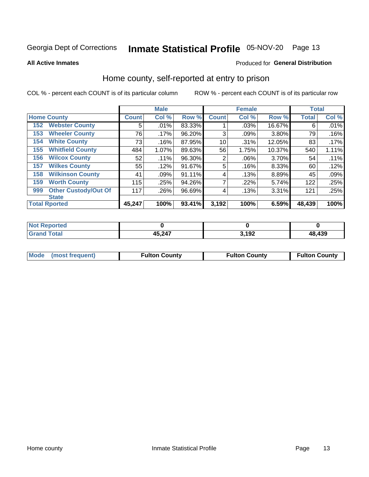# Inmate Statistical Profile 05-NOV-20 Page 13

**All Active Inmates** 

#### Produced for General Distribution

### Home county, self-reported at entry to prison

COL % - percent each COUNT is of its particular column

|     |                             |              | <b>Male</b> |        |                | <b>Female</b> |        | <b>Total</b> |       |
|-----|-----------------------------|--------------|-------------|--------|----------------|---------------|--------|--------------|-------|
|     | <b>Home County</b>          | <b>Count</b> | Col %       | Row %  | <b>Count</b>   | Col %         | Row %  | <b>Total</b> | Col % |
| 152 | <b>Webster County</b>       | 5            | .01%        | 83.33% |                | .03%          | 16.67% | 6            | .01%  |
| 153 | <b>Wheeler County</b>       | 76           | .17%        | 96.20% | 3              | .09%          | 3.80%  | 79           | .16%  |
| 154 | <b>White County</b>         | 73           | .16%        | 87.95% | 10             | .31%          | 12.05% | 83           | .17%  |
| 155 | <b>Whitfield County</b>     | 484          | 1.07%       | 89.63% | 56             | 1.75%         | 10.37% | 540          | 1.11% |
| 156 | <b>Wilcox County</b>        | 52           | .11%        | 96.30% | $\overline{2}$ | .06%          | 3.70%  | 54           | .11%  |
| 157 | <b>Wilkes County</b>        | 55           | .12%        | 91.67% | 5              | .16%          | 8.33%  | 60           | .12%  |
| 158 | <b>Wilkinson County</b>     | 41           | .09%        | 91.11% | 4              | .13%          | 8.89%  | 45           | .09%  |
| 159 | <b>Worth County</b>         | 115          | .25%        | 94.26% | 7              | .22%          | 5.74%  | 122          | .25%  |
| 999 | <b>Other Custody/Out Of</b> | 117          | .26%        | 96.69% | 4              | .13%          | 3.31%  | 121          | .25%  |
|     | <b>State</b>                |              |             |        |                |               |        |              |       |
|     | <b>Total Rported</b>        | 45,247       | 100%        | 93.41% | 3,192          | 100%          | 6.59%  | 48,439       | 100%  |

| <b>Not</b><br>Reported |        |               |        |
|------------------------|--------|---------------|--------|
| <b>Total</b>           | 45,247 | 3,492<br>. JA | 48,439 |

|  | Mode (most frequent) | <b>Fulton County</b> | <b>Fulton County</b> | <b>Fulton County</b> |
|--|----------------------|----------------------|----------------------|----------------------|
|--|----------------------|----------------------|----------------------|----------------------|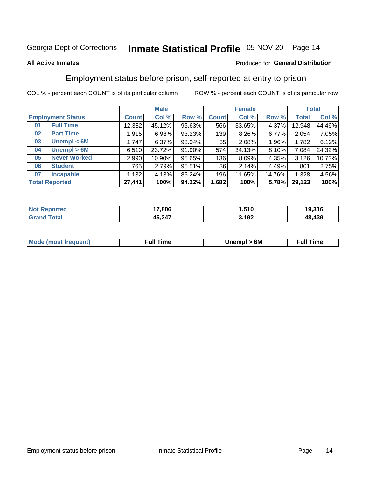# Inmate Statistical Profile 05-NOV-20 Page 14

#### **All Active Inmates**

#### Produced for General Distribution

### Employment status before prison, self-reported at entry to prison

COL % - percent each COUNT is of its particular column

|                           |              | <b>Male</b> |        |              | <b>Female</b> |        |              | <b>Total</b> |
|---------------------------|--------------|-------------|--------|--------------|---------------|--------|--------------|--------------|
| <b>Employment Status</b>  | <b>Count</b> | Col %       | Row %  | <b>Count</b> | Col %         | Row %  | <b>Total</b> | Col %        |
| <b>Full Time</b><br>01    | 12,382       | 45.12%      | 95.63% | 566          | 33.65%        | 4.37%  | 12,948       | 44.46%       |
| <b>Part Time</b><br>02    | 1,915        | 6.98%       | 93.23% | 139          | $8.26\%$      | 6.77%  | 2,054        | 7.05%        |
| Unempl $<$ 6M<br>03       | 1,747        | 6.37%       | 98.04% | 35           | 2.08%         | 1.96%  | 1,782        | 6.12%        |
| Unempl > 6M<br>04         | 6,510        | 23.72%      | 91.90% | 574          | 34.13%        | 8.10%  | 7,084        | 24.32%       |
| <b>Never Worked</b><br>05 | 2,990        | 10.90%      | 95.65% | 136          | 8.09%         | 4.35%  | 3,126        | 10.73%       |
| <b>Student</b><br>06      | 765          | 2.79%       | 95.51% | 36           | 2.14%         | 4.49%  | 801          | 2.75%        |
| <b>Incapable</b><br>07    | .132         | 4.13%       | 85.24% | 196          | 11.65%        | 14.76% | 1,328        | 4.56%        |
| <b>Total Reported</b>     | 27,441       | 100%        | 94.22% | 1,682        | 100%          | 5.78%  | 29,123       | 100%         |

| <b>orted</b><br><b>NOT</b> | 17,806 | .510  | 19,316 |
|----------------------------|--------|-------|--------|
| $5 - 6 - 1$                | 15,247 | 3,192 | .439   |
| . Grs                      | 1 E    |       | 48     |

| Mode (most fi | the contract of the contract of the contract of the contract of the contract of the contract of the contract of | 6M | ⊣me |
|---------------|-----------------------------------------------------------------------------------------------------------------|----|-----|
|               |                                                                                                                 |    |     |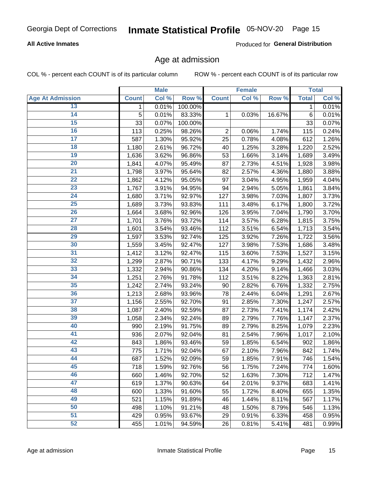# Inmate Statistical Profile 05-NOV-20 Page 15

#### **All Active Inmates**

Produced for General Distribution

### Age at admission

COL % - percent each COUNT is of its particular column

|                         |              | <b>Male</b> |         |                | <b>Female</b> |        |              | <b>Total</b> |
|-------------------------|--------------|-------------|---------|----------------|---------------|--------|--------------|--------------|
| <b>Age At Admission</b> | <b>Count</b> | Col %       | Row %   | <b>Count</b>   | Col %         | Row %  | <b>Total</b> | Col %        |
| 13                      | 1            | 0.01%       | 100.00% |                |               |        | 1            | 0.01%        |
| $\overline{14}$         | 5            | 0.01%       | 83.33%  | 1              | 0.03%         | 16.67% | $\,6$        | 0.01%        |
| 15                      | 33           | 0.07%       | 100.00% |                |               |        | 33           | 0.07%        |
| 16                      | 113          | 0.25%       | 98.26%  | $\overline{2}$ | 0.06%         | 1.74%  | 115          | 0.24%        |
| $\overline{17}$         | 587          | 1.30%       | 95.92%  | 25             | 0.78%         | 4.08%  | 612          | 1.26%        |
| 18                      | 1,180        | 2.61%       | 96.72%  | 40             | 1.25%         | 3.28%  | 1,220        | 2.52%        |
| 19                      | 1,636        | 3.62%       | 96.86%  | 53             | 1.66%         | 3.14%  | 1,689        | 3.49%        |
| $\overline{20}$         | 1,841        | 4.07%       | 95.49%  | 87             | 2.73%         | 4.51%  | 1,928        | 3.98%        |
| $\overline{21}$         | 1,798        | 3.97%       | 95.64%  | 82             | 2.57%         | 4.36%  | 1,880        | 3.88%        |
| $\overline{22}$         | 1,862        | 4.12%       | 95.05%  | 97             | 3.04%         | 4.95%  | 1,959        | 4.04%        |
| 23                      | 1,767        | 3.91%       | 94.95%  | 94             | 2.94%         | 5.05%  | 1,861        | 3.84%        |
| $\overline{24}$         | 1,680        | 3.71%       | 92.97%  | 127            | 3.98%         | 7.03%  | 1,807        | 3.73%        |
| $\overline{25}$         | 1,689        | 3.73%       | 93.83%  | 111            | 3.48%         | 6.17%  | 1,800        | 3.72%        |
| 26                      | 1,664        | 3.68%       | 92.96%  | 126            | 3.95%         | 7.04%  | 1,790        | 3.70%        |
| $\overline{27}$         | 1,701        | 3.76%       | 93.72%  | 114            | 3.57%         | 6.28%  | 1,815        | 3.75%        |
| 28                      | 1,601        | 3.54%       | 93.46%  | 112            | 3.51%         | 6.54%  | 1,713        | 3.54%        |
| 29                      | 1,597        | 3.53%       | 92.74%  | 125            | 3.92%         | 7.26%  | 1,722        | 3.56%        |
| 30                      | 1,559        | 3.45%       | 92.47%  | 127            | 3.98%         | 7.53%  | 1,686        | 3.48%        |
| 31                      | 1,412        | 3.12%       | 92.47%  | 115            | 3.60%         | 7.53%  | 1,527        | 3.15%        |
| 32                      | 1,299        | 2.87%       | 90.71%  | 133            | 4.17%         | 9.29%  | 1,432        | 2.96%        |
| 33                      | 1,332        | 2.94%       | 90.86%  | 134            | 4.20%         | 9.14%  | 1,466        | 3.03%        |
| 34                      | 1,251        | 2.76%       | 91.78%  | 112            | 3.51%         | 8.22%  | 1,363        | 2.81%        |
| 35                      | 1,242        | 2.74%       | 93.24%  | 90             | 2.82%         | 6.76%  | 1,332        | 2.75%        |
| 36                      | 1,213        | 2.68%       | 93.96%  | 78             | 2.44%         | 6.04%  | 1,291        | 2.67%        |
| $\overline{37}$         | 1,156        | 2.55%       | 92.70%  | 91             | 2.85%         | 7.30%  | 1,247        | 2.57%        |
| 38                      | 1,087        | 2.40%       | 92.59%  | 87             | 2.73%         | 7.41%  | 1,174        | 2.42%        |
| 39                      | 1,058        | 2.34%       | 92.24%  | 89             | 2.79%         | 7.76%  | 1,147        | 2.37%        |
| 40                      | 990          | 2.19%       | 91.75%  | 89             | 2.79%         | 8.25%  | 1,079        | 2.23%        |
| 41                      | 936          | 2.07%       | 92.04%  | 81             | 2.54%         | 7.96%  | 1,017        | 2.10%        |
| 42                      | 843          | 1.86%       | 93.46%  | 59             | 1.85%         | 6.54%  | 902          | 1.86%        |
| 43                      | 775          | 1.71%       | 92.04%  | 67             | 2.10%         | 7.96%  | 842          | 1.74%        |
| 44                      | 687          | 1.52%       | 92.09%  | 59             | 1.85%         | 7.91%  | 746          | 1.54%        |
| 45                      | 718          | 1.59%       | 92.76%  | 56             | 1.75%         | 7.24%  | 774          | 1.60%        |
| 46                      | 660          | 1.46%       | 92.70%  | 52             | 1.63%         | 7.30%  | 712          | 1.47%        |
| 47                      | 619          | 1.37%       | 90.63%  | 64             | 2.01%         | 9.37%  | 683          | 1.41%        |
| 48                      | 600          | 1.33%       | 91.60%  | 55             | 1.72%         | 8.40%  | 655          | 1.35%        |
| 49                      | 521          | 1.15%       | 91.89%  | 46             | 1.44%         | 8.11%  | 567          | 1.17%        |
| 50                      | 498          | 1.10%       | 91.21%  | 48             | 1.50%         | 8.79%  | 546          | 1.13%        |
| $\overline{51}$         | 429          | 0.95%       | 93.67%  | 29             | 0.91%         | 6.33%  | 458          | 0.95%        |
| 52                      | 455          | 1.01%       | 94.59%  | 26             | 0.81%         | 5.41%  | 481          | 0.99%        |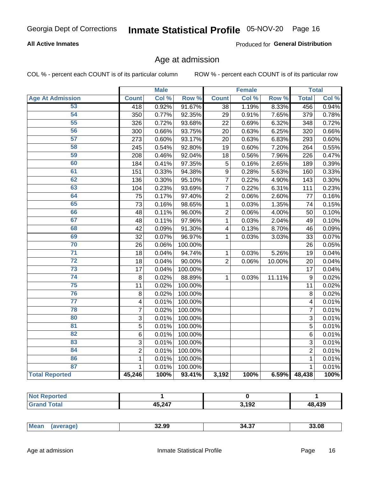# Inmate Statistical Profile 05-NOV-20 Page 16

#### **All Active Inmates**

Produced for General Distribution

### Age at admission

COL % - percent each COUNT is of its particular column

|                         |                  | <b>Male</b> |         |                | <b>Female</b> |                  |                | <b>Total</b> |
|-------------------------|------------------|-------------|---------|----------------|---------------|------------------|----------------|--------------|
| <b>Age At Admission</b> | <b>Count</b>     | Col %       | Row %   | <b>Count</b>   | Col %         | Row <sup>%</sup> | <b>Total</b>   | Col %        |
| 53                      | $\overline{418}$ | 0.92%       | 91.67%  | 38             | 1.19%         | 8.33%            | 456            | 0.94%        |
| 54                      | 350              | 0.77%       | 92.35%  | 29             | 0.91%         | 7.65%            | 379            | 0.78%        |
| 55                      | 326              | 0.72%       | 93.68%  | 22             | 0.69%         | 6.32%            | 348            | 0.72%        |
| 56                      | 300              | 0.66%       | 93.75%  | 20             | 0.63%         | 6.25%            | 320            | 0.66%        |
| $\overline{57}$         | 273              | 0.60%       | 93.17%  | 20             | 0.63%         | 6.83%            | 293            | 0.60%        |
| 58                      | 245              | 0.54%       | 92.80%  | 19             | 0.60%         | 7.20%            | 264            | 0.55%        |
| 59                      | 208              | 0.46%       | 92.04%  | 18             | 0.56%         | 7.96%            | 226            | 0.47%        |
| 60                      | 184              | 0.41%       | 97.35%  | 5              | 0.16%         | 2.65%            | 189            | 0.39%        |
| 61                      | 151              | 0.33%       | 94.38%  | 9              | 0.28%         | 5.63%            | 160            | 0.33%        |
| 62                      | 136              | 0.30%       | 95.10%  | $\overline{7}$ | 0.22%         | 4.90%            | 143            | 0.30%        |
| 63                      | 104              | 0.23%       | 93.69%  | $\overline{7}$ | 0.22%         | 6.31%            | 111            | 0.23%        |
| 64                      | 75               | 0.17%       | 97.40%  | $\overline{2}$ | 0.06%         | 2.60%            | 77             | 0.16%        |
| 65                      | 73               | 0.16%       | 98.65%  | $\mathbf{1}$   | 0.03%         | 1.35%            | 74             | 0.15%        |
| 66                      | 48               | 0.11%       | 96.00%  | $\overline{2}$ | 0.06%         | 4.00%            | 50             | 0.10%        |
| 67                      | 48               | 0.11%       | 97.96%  | $\mathbf{1}$   | 0.03%         | 2.04%            | 49             | 0.10%        |
| 68                      | 42               | 0.09%       | 91.30%  | 4              | 0.13%         | 8.70%            | 46             | 0.09%        |
| 69                      | 32               | 0.07%       | 96.97%  | 1              | 0.03%         | 3.03%            | 33             | 0.07%        |
| 70                      | 26               | 0.06%       | 100.00% |                |               |                  | 26             | 0.05%        |
| $\overline{71}$         | 18               | 0.04%       | 94.74%  | 1              | 0.03%         | 5.26%            | 19             | 0.04%        |
| $\overline{72}$         | 18               | 0.04%       | 90.00%  | $\overline{2}$ | 0.06%         | 10.00%           | 20             | 0.04%        |
| 73                      | 17               | 0.04%       | 100.00% |                |               |                  | 17             | 0.04%        |
| $\overline{74}$         | 8                | 0.02%       | 88.89%  | $\mathbf{1}$   | 0.03%         | 11.11%           | 9              | 0.02%        |
| $\overline{75}$         | 11               | 0.02%       | 100.00% |                |               |                  | 11             | 0.02%        |
| 76                      | 8                | 0.02%       | 100.00% |                |               |                  | $\,8\,$        | 0.02%        |
| $\overline{77}$         | $\overline{4}$   | 0.01%       | 100.00% |                |               |                  | 4              | 0.01%        |
| 78                      | $\overline{7}$   | 0.02%       | 100.00% |                |               |                  | $\overline{7}$ | 0.01%        |
| 80                      | $\mathbf{3}$     | 0.01%       | 100.00% |                |               |                  | $\overline{3}$ | 0.01%        |
| $\overline{81}$         | $\overline{5}$   | 0.01%       | 100.00% |                |               |                  | $\overline{5}$ | 0.01%        |
| 82                      | 6                | 0.01%       | 100.00% |                |               |                  | 6              | 0.01%        |
| 83                      | $\mathbf{3}$     | 0.01%       | 100.00% |                |               |                  | 3              | 0.01%        |
| 84                      | $\overline{2}$   | 0.01%       | 100.00% |                |               |                  | $\overline{2}$ | 0.01%        |
| 86                      | $\mathbf{1}$     | 0.01%       | 100.00% |                |               |                  | $\mathbf{1}$   | 0.01%        |
| 87                      | $\mathbf{1}$     | 0.01%       | 100.00% |                |               |                  | $\mathbf{1}$   | 0.01%        |
| <b>Total Reported</b>   | 45,246           | 100%        | 93.41%  | 3,192          | 100%          | 6.59%            | 48,438         | 100%         |

| тес |        |            |            |
|-----|--------|------------|------------|
|     | 45,247 | 102<br>▯Უ∠ | 439<br>1 R |

|  | Me:<br>ан<br>$\sim$ $\sim$ $\sim$ $\sim$ $\sim$ | 20 ממ<br>32.99 | $\sim$<br>34.<br>.ט. ויי | 3.08 |
|--|-------------------------------------------------|----------------|--------------------------|------|
|--|-------------------------------------------------|----------------|--------------------------|------|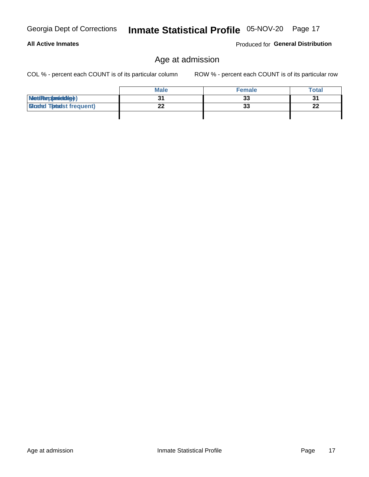### **All Active Inmates**

Produced for General Distribution

# Age at admission

COL % - percent each COUNT is of its particular column

|                                 | <b>Male</b> | <b>Female</b> | <b>Total</b> |
|---------------------------------|-------------|---------------|--------------|
| MetiRep(aniektlig)              |             | 33            | 31           |
| <b>Gladed Totadst frequent)</b> | ^^          | 33            | 22           |
|                                 |             |               |              |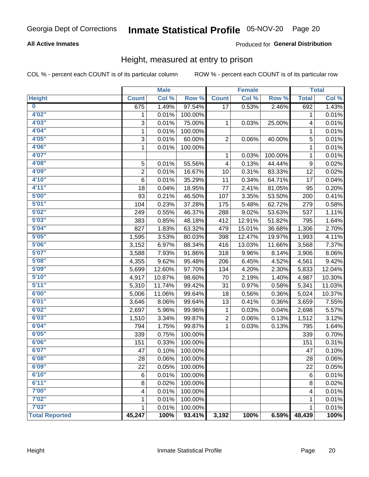# Inmate Statistical Profile 05-NOV-20 Page 20

#### **All Active Inmates**

#### Produced for General Distribution

### Height, measured at entry to prison

COL % - percent each COUNT is of its particular column

|                         |                | <b>Male</b> |         |                         | <b>Female</b> |         |              | <b>Total</b> |
|-------------------------|----------------|-------------|---------|-------------------------|---------------|---------|--------------|--------------|
| <b>Height</b>           | <b>Count</b>   | Col %       | Row %   | <b>Count</b>            | Col %         | Row %   | <b>Total</b> | Col %        |
| $\overline{\mathbf{0}}$ | 675            | 1.49%       | 97.54%  | $\overline{17}$         | 0.53%         | 2.46%   | 692          | 1.43%        |
| 4'02''                  | 1              | 0.01%       | 100.00% |                         |               |         | 1            | 0.01%        |
| 4'03''                  | 3              | 0.01%       | 75.00%  | 1                       | 0.03%         | 25.00%  | 4            | 0.01%        |
| 4'04"                   | 1              | 0.01%       | 100.00% |                         |               |         | 1            | 0.01%        |
| 4'05"                   | 3              | 0.01%       | 60.00%  | $\overline{2}$          | 0.06%         | 40.00%  | 5            | 0.01%        |
| 4'06"                   | 1              | 0.01%       | 100.00% |                         |               |         | 1            | 0.01%        |
| 4'07"                   |                |             |         | 1                       | 0.03%         | 100.00% | 1            | 0.01%        |
| 4'08"                   | 5              | 0.01%       | 55.56%  | 4                       | 0.13%         | 44.44%  | 9            | 0.02%        |
| 4'09"                   | $\overline{2}$ | 0.01%       | 16.67%  | 10                      | 0.31%         | 83.33%  | 12           | 0.02%        |
| 4'10''                  | 6              | 0.01%       | 35.29%  | 11                      | 0.34%         | 64.71%  | 17           | 0.04%        |
| 4'11''                  | 18             | 0.04%       | 18.95%  | 77                      | 2.41%         | 81.05%  | 95           | 0.20%        |
| 5'00''                  | 93             | 0.21%       | 46.50%  | 107                     | 3.35%         | 53.50%  | 200          | 0.41%        |
| 5'01"                   | 104            | 0.23%       | 37.28%  | 175                     | 5.48%         | 62.72%  | 279          | 0.58%        |
| 5'02"                   | 249            | 0.55%       | 46.37%  | 288                     | 9.02%         | 53.63%  | 537          | 1.11%        |
| 5'03''                  | 383            | 0.85%       | 48.18%  | 412                     | 12.91%        | 51.82%  | 795          | 1.64%        |
| 5'04"                   | 827            | 1.83%       | 63.32%  | 479                     | 15.01%        | 36.68%  | 1,306        | 2.70%        |
| 5'05"                   | 1,595          | 3.53%       | 80.03%  | 398                     | 12.47%        | 19.97%  | 1,993        | 4.11%        |
| 5'06''                  | 3,152          | 6.97%       | 88.34%  | 416                     | 13.03%        | 11.66%  | 3,568        | 7.37%        |
| 5'07"                   | 3,588          | 7.93%       | 91.86%  | 318                     | 9.96%         | 8.14%   | 3,906        | 8.06%        |
| 5'08''                  | 4,355          | 9.62%       | 95.48%  | 206                     | 6.45%         | 4.52%   | 4,561        | 9.42%        |
| 5'09''                  | 5,699          | 12.60%      | 97.70%  | 134                     | 4.20%         | 2.30%   | 5,833        | 12.04%       |
| 5'10''                  | 4,917          | 10.87%      | 98.60%  | 70                      | 2.19%         | 1.40%   | 4,987        | 10.30%       |
| 5'11''                  | 5,310          | 11.74%      | 99.42%  | 31                      | 0.97%         | 0.58%   | 5,341        | 11.03%       |
| 6'00''                  | 5,006          | 11.06%      | 99.64%  | 18                      | 0.56%         | 0.36%   | 5,024        | 10.37%       |
| 6'01''                  | 3,646          | 8.06%       | 99.64%  | 13                      | 0.41%         | 0.36%   | 3,659        | 7.55%        |
| 6'02"                   | 2,697          | 5.96%       | 99.96%  | 1                       | 0.03%         | 0.04%   | 2,698        | 5.57%        |
| 6'03''                  | 1,510          | 3.34%       | 99.87%  | $\overline{\mathbf{c}}$ | 0.06%         | 0.13%   | 1,512        | 3.12%        |
| 6'04"                   | 794            | 1.75%       | 99.87%  | $\mathbf{1}$            | 0.03%         | 0.13%   | 795          | 1.64%        |
| 6'05"                   | 339            | 0.75%       | 100.00% |                         |               |         | 339          | 0.70%        |
| 6'06''                  | 151            | 0.33%       | 100.00% |                         |               |         | 151          | 0.31%        |
| 6'07''                  | 47             | 0.10%       | 100.00% |                         |               |         | 47           | 0.10%        |
| 6'08"                   | 28             | 0.06%       | 100.00% |                         |               |         | 28           | 0.06%        |
| 6'09''                  | 22             | 0.05%       | 100.00% |                         |               |         | 22           | 0.05%        |
| 6'10''                  | 6              | 0.01%       | 100.00% |                         |               |         | 6            | 0.01%        |
| 6'11''                  | 8              | 0.02%       | 100.00% |                         |               |         | 8            | 0.02%        |
| 7'00"                   | 4              | 0.01%       | 100.00% |                         |               |         | 4            | 0.01%        |
| 7'02"                   | 1              | 0.01%       | 100.00% |                         |               |         | 1            | 0.01%        |
| 7'03''                  | 1              | 0.01%       | 100.00% |                         |               |         | 1            | 0.01%        |
| <b>Total Reported</b>   | 45,247         | 100%        | 93.41%  | 3,192                   | 100%          | 6.59%   | 48,439       | 100%         |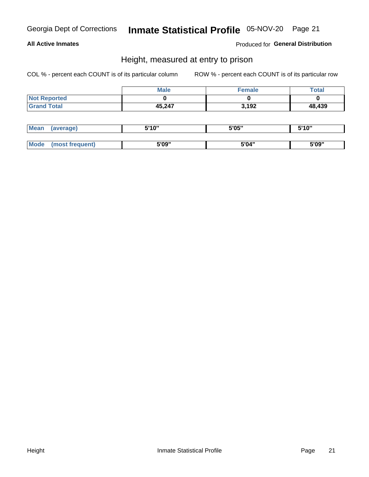# Inmate Statistical Profile 05-NOV-20 Page 21

#### **All Active Inmates**

Produced for General Distribution

### Height, measured at entry to prison

COL % - percent each COUNT is of its particular column

|                     | <b>Male</b> | Female | Total  |
|---------------------|-------------|--------|--------|
| <b>Not Reported</b> |             |        |        |
| <b>Grand Total</b>  | 45,247      | 3,192  | 48,439 |

| <b>Mean</b> | 'average) | <b>5'10"</b><br>1 V | 5'05" | <b>CIA AIL</b><br>1 U |
|-------------|-----------|---------------------|-------|-----------------------|
|             |           |                     |       |                       |
| $M_{\odot}$ | auent)    | 5'09"               | 5'04" | 5'09"                 |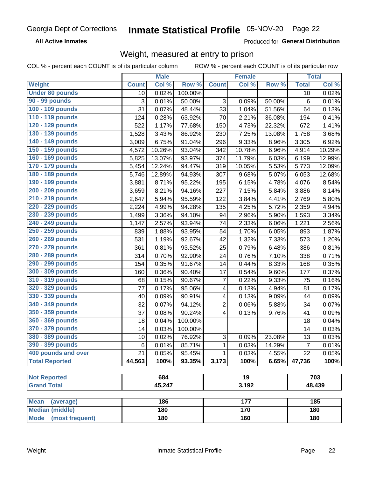#### Inmate Statistical Profile 05-NOV-20 Page 22

**All Active Inmates** 

Produced for General Distribution

### Weight, measured at entry to prison

COL % - percent each COUNT is of its particular column

|                                |              | <b>Male</b> |         |                         | <b>Female</b>   |        |                | <b>Total</b> |
|--------------------------------|--------------|-------------|---------|-------------------------|-----------------|--------|----------------|--------------|
| Weight                         | <b>Count</b> | Col %       | Row %   | <b>Count</b>            | Col %           | Row %  | <b>Total</b>   | Col %        |
| <b>Under 80 pounds</b>         | 10           | 0.02%       | 100.00% |                         |                 |        | 10             | 0.02%        |
| 90 - 99 pounds                 | 3            | 0.01%       | 50.00%  | 3                       | 0.09%           | 50.00% | 6              | 0.01%        |
| 100 - 109 pounds               | 31           | 0.07%       | 48.44%  | 33                      | 1.04%           | 51.56% | 64             | 0.13%        |
| 110 - 119 pounds               | 124          | 0.28%       | 63.92%  | 70                      | 2.21%           | 36.08% | 194            | 0.41%        |
| 120 - 129 pounds               | 522          | 1.17%       | 77.68%  | 150                     | 4.73%           | 22.32% | 672            | 1.41%        |
| 130 - 139 pounds               | 1,528        | 3.43%       | 86.92%  | 230                     | 7.25%           | 13.08% | 1,758          | 3.68%        |
| 140 - 149 pounds               | 3,009        | 6.75%       | 91.04%  | 296                     | 9.33%           | 8.96%  | 3,305          | 6.92%        |
| 150 - 159 pounds               | 4,572        | 10.26%      | 93.04%  | 342                     | 10.78%          | 6.96%  | 4,914          | 10.29%       |
| 160 - 169 pounds               | 5,825        | 13.07%      | 93.97%  | 374                     | 11.79%          | 6.03%  | 6,199          | 12.99%       |
| 170 - 179 pounds               | 5,454        | 12.24%      | 94.47%  | 319                     | 10.05%          | 5.53%  | 5,773          | 12.09%       |
| 180 - 189 pounds               | 5,746        | 12.89%      | 94.93%  | 307                     | 9.68%           | 5.07%  | 6,053          | 12.68%       |
| 190 - 199 pounds               | 3,881        | 8.71%       | 95.22%  | 195                     | 6.15%           | 4.78%  | 4,076          | 8.54%        |
| 200 - 209 pounds               | 3,659        | 8.21%       | 94.16%  | 227                     | 7.15%           | 5.84%  | 3,886          | 8.14%        |
| 210 - 219 pounds               | 2,647        | 5.94%       | 95.59%  | 122                     | 3.84%           | 4.41%  | 2,769          | 5.80%        |
| 220 - 229 pounds               | 2,224        | 4.99%       | 94.28%  | 135                     | 4.25%           | 5.72%  | 2,359          | 4.94%        |
| 230 - 239 pounds               | 1,499        | 3.36%       | 94.10%  | 94                      | 2.96%           | 5.90%  | 1,593          | 3.34%        |
| 240 - 249 pounds               | 1,147        | 2.57%       | 93.94%  | 74                      | 2.33%           | 6.06%  | 1,221          | 2.56%        |
| 250 - 259 pounds               | 839          | 1.88%       | 93.95%  | 54                      | 1.70%           | 6.05%  | 893            | 1.87%        |
| 260 - 269 pounds               | 531          | 1.19%       | 92.67%  | 42                      | 1.32%           | 7.33%  | 573            | 1.20%        |
| 270 - 279 pounds               | 361          | 0.81%       | 93.52%  | 25                      | 0.79%           | 6.48%  | 386            | 0.81%        |
| 280 - 289 pounds               | 314          | 0.70%       | 92.90%  | 24                      | 0.76%           | 7.10%  | 338            | 0.71%        |
| 290 - 299 pounds               | 154          | 0.35%       | 91.67%  | 14                      | 0.44%           | 8.33%  | 168            | 0.35%        |
| 300 - 309 pounds               | 160          | 0.36%       | 90.40%  | 17                      | 0.54%           | 9.60%  | 177            | 0.37%        |
| 310 - 319 pounds               | 68           | 0.15%       | 90.67%  | $\overline{7}$          | 0.22%           | 9.33%  | 75             | 0.16%        |
| 320 - 329 pounds               | 77           | 0.17%       | 95.06%  | 4                       | 0.13%           | 4.94%  | 81             | 0.17%        |
| 330 - 339 pounds               | 40           | 0.09%       | 90.91%  | 4                       | 0.13%           | 9.09%  | 44             | 0.09%        |
| 340 - 349 pounds               | 32           | 0.07%       | 94.12%  | $\overline{c}$          | 0.06%           | 5.88%  | 34             | 0.07%        |
| 350 - 359 pounds               | 37           | 0.08%       | 90.24%  | $\overline{\mathbf{4}}$ | 0.13%           | 9.76%  | 41             | 0.09%        |
| 360 - 369 pounds               | 18           | 0.04%       | 100.00% |                         |                 |        | 18             | 0.04%        |
| 370 - 379 pounds               | 14           | 0.03%       | 100.00% |                         |                 |        | 14             | 0.03%        |
| 380 - 389 pounds               | 10           | 0.02%       | 76.92%  | 3                       | 0.09%           | 23.08% | 13             | 0.03%        |
| 390 - 399 pounds               | 6            | 0.01%       | 85.71%  | 1                       | 0.03%           | 14.29% | $\overline{7}$ | 0.01%        |
| 400 pounds and over            | 21           | 0.05%       | 95.45%  | $\mathbf{1}$            | 0.03%           | 4.55%  | 22             | 0.05%        |
| <b>Total Reported</b>          | 44,563       | 100%        | 93.35%  | 3,173                   | 100%            | 6.65%  | 47,736         | 100%         |
|                                |              |             |         |                         |                 |        |                |              |
| <b>Not Reported</b>            |              | 684         |         |                         | $\overline{19}$ |        |                | 703          |
| <b>Grand Total</b>             |              | 45,247      |         |                         | 3,192           |        |                | 48,439       |
|                                |              |             |         |                         |                 |        |                |              |
| <b>Mean</b><br>(average)       |              | 186         |         |                         | 177             |        |                | 185          |
| <b>Median (middle)</b>         |              | 180         |         |                         | 170             |        |                | 180          |
| <b>Mode</b><br>(most frequent) |              | 180         |         | 160                     |                 |        | 180            |              |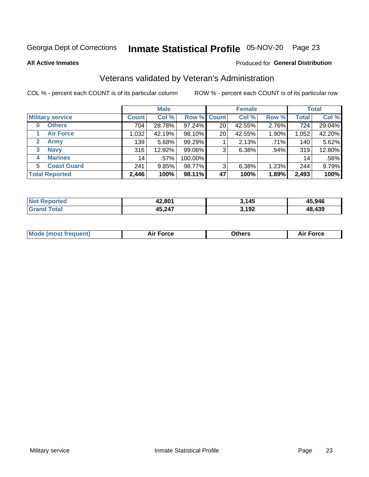# Inmate Statistical Profile 05-NOV-20 Page 23

**All Active Inmates** 

#### Produced for General Distribution

### Veterans validated by Veteran's Administration

COL % - percent each COUNT is of its particular column

|                          |              | <b>Male</b> |         |                    | <b>Female</b> |       |              | <b>Total</b> |
|--------------------------|--------------|-------------|---------|--------------------|---------------|-------|--------------|--------------|
| <b>Military service</b>  | <b>Count</b> | Col %       |         | <b>Row % Count</b> | Col %         | Row % | <b>Total</b> | Col %        |
| <b>Others</b><br>0       | 704          | 28.78%      | 97.24%  | 20                 | 42.55%        | 2.76% | 724          | 29.04%       |
| <b>Air Force</b>         | 1,032        | 42.19%      | 98.10%  | 20                 | 42.55%        | 1.90% | 1,052        | 42.20%       |
| 2<br><b>Army</b>         | 139          | 5.68%       | 99.29%  |                    | 2.13%         | .71%  | 140          | 5.62%        |
| <b>Navy</b><br>3         | 316          | 12.92%      | 99.06%  | 3                  | 6.38%         | .94%  | 319          | 12.80%       |
| <b>Marines</b><br>4      | 14           | $.57\%$     | 100.00% |                    |               |       | 14           | .56%         |
| <b>Coast Guard</b><br>5. | 241          | 9.85%       | 98.77%  | 3                  | 6.38%         | 1.23% | 244          | 9.79%        |
| <b>Total Reported</b>    | 2,446        | 100%        | 98.11%  | 47                 | 100%          | 1.89% | 2,493        | 100%         |

| <b>Not</b><br>. ಗeported | 42,801 | 145   | 45,946 |
|--------------------------|--------|-------|--------|
| ⊺otal<br>Grand           | 45,247 | 3,192 | 48,439 |

|  |  | <b>Mode (most frequent)</b> | <b>Force</b><br>Aır | วthers | orce |
|--|--|-----------------------------|---------------------|--------|------|
|--|--|-----------------------------|---------------------|--------|------|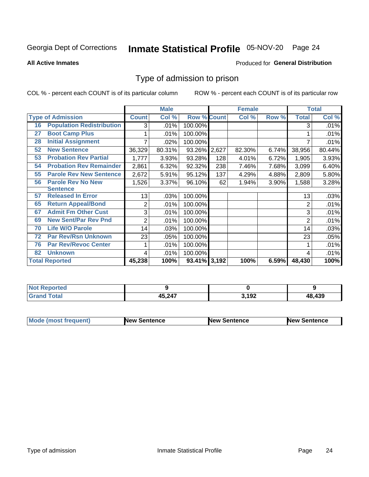# Inmate Statistical Profile 05-NOV-20 Page 24

**All Active Inmates** 

#### Produced for General Distribution

### Type of admission to prison

COL % - percent each COUNT is of its particular column

|    |                                  |              | <b>Male</b> |                    |     | <b>Female</b> |       |              | <b>Total</b> |
|----|----------------------------------|--------------|-------------|--------------------|-----|---------------|-------|--------------|--------------|
|    | <b>Type of Admission</b>         | <b>Count</b> | Col %       | <b>Row % Count</b> |     | Col %         | Row % | <b>Total</b> | Col %        |
| 16 | <b>Population Redistribution</b> | 3            | .01%        | 100.00%            |     |               |       | 3            | .01%         |
| 27 | <b>Boot Camp Plus</b>            |              | .01%        | 100.00%            |     |               |       |              | .01%         |
| 28 | <b>Initial Assignment</b>        |              | .02%        | 100.00%            |     |               |       |              | .01%         |
| 52 | <b>New Sentence</b>              | 36,329       | 80.31%      | 93.26% 2,627       |     | 82.30%        | 6.74% | 38,956       | 80.44%       |
| 53 | <b>Probation Rev Partial</b>     | 1,777        | 3.93%       | 93.28%             | 128 | 4.01%         | 6.72% | 1,905        | 3.93%        |
| 54 | <b>Probation Rev Remainder</b>   | 2,861        | 6.32%       | 92.32%             | 238 | 7.46%         | 7.68% | 3,099        | 6.40%        |
| 55 | <b>Parole Rev New Sentence</b>   | 2,672        | 5.91%       | 95.12%             | 137 | 4.29%         | 4.88% | 2,809        | 5.80%        |
| 56 | <b>Parole Rev No New</b>         | 1,526        | 3.37%       | 96.10%             | 62  | 1.94%         | 3.90% | 1,588        | 3.28%        |
|    | <b>Sentence</b>                  |              |             |                    |     |               |       |              |              |
| 57 | <b>Released In Error</b>         | 13           | .03%        | 100.00%            |     |               |       | 13           | .03%         |
| 65 | <b>Return Appeal/Bond</b>        | 2            | .01%        | 100.00%            |     |               |       | 2            | .01%         |
| 67 | <b>Admit Fm Other Cust</b>       | 3            | .01%        | 100.00%            |     |               |       | 3            | .01%         |
| 69 | <b>New Sent/Par Rev Pnd</b>      | 2            | .01%        | 100.00%            |     |               |       | 2            | .01%         |
| 70 | <b>Life W/O Parole</b>           | 14           | .03%        | 100.00%            |     |               |       | 14           | .03%         |
| 72 | <b>Par Rev/Rsn Unknown</b>       | 23           | .05%        | 100.00%            |     |               |       | 23           | .05%         |
| 76 | <b>Par Rev/Revoc Center</b>      |              | .01%        | 100.00%            |     |               |       |              | .01%         |
| 82 | <b>Unknown</b>                   | 4            | .01%        | 100.00%            |     |               |       | 4            | .01%         |
|    | <b>Total Reported</b>            | 45,238       | 100%        | 93.41% 3,192       |     | 100%          | 6.59% | 48,430       | 100%         |

| <b>Not Reported</b>           |        |       |        |
|-------------------------------|--------|-------|--------|
| <b>Total</b><br><b>'Grand</b> | 45,247 | 3,192 | 48,439 |

| <b>Mode (most frequent)</b> | <b>New Sentence</b> | <b>New Sentence</b> | <b>New Sentence</b> |
|-----------------------------|---------------------|---------------------|---------------------|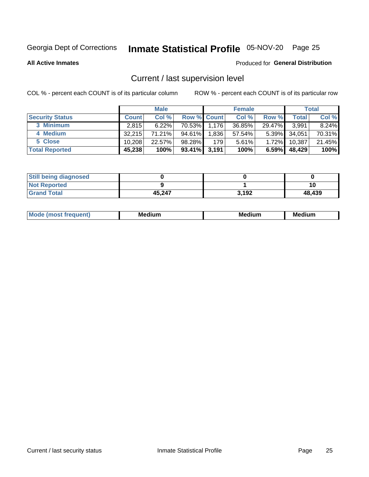# Inmate Statistical Profile 05-NOV-20 Page 25

**All Active Inmates** 

#### Produced for General Distribution

# Current / last supervision level

COL % - percent each COUNT is of its particular column

|                        |              | <b>Male</b> |                    |       | <b>Female</b> |          |              | <b>Total</b> |
|------------------------|--------------|-------------|--------------------|-------|---------------|----------|--------------|--------------|
| <b>Security Status</b> | <b>Count</b> | Col %       | <b>Row % Count</b> |       | Col %         | Row %    | <b>Total</b> | Col %        |
| 3 Minimum              | 2.815        | $6.22\%$    | 70.53%             | 1,176 | 36.85%        | 29.47%   | 3,991        | $8.24\%$     |
| 4 Medium               | 32.215       | 71.21%      | 94.61%             | 1,836 | 57.54%        | $5.39\%$ | 34,051       | 70.31%       |
| 5 Close                | 10.208       | 22.57%      | 98.28%             | 179   | 5.61%         | 1.72%    | 10,387       | 21.45%       |
| <b>Total Reported</b>  | 45,238       | 100%        | $93.41\%$ 3.191    |       | 100%          | $6.59\%$ | 48,429       | 100%         |

| <b>Still being diagnosed</b> |        |       |        |
|------------------------------|--------|-------|--------|
| <b>Not Reported</b>          |        |       | 1ι     |
| <b>Grand Total</b>           | 45,247 | 3,192 | 48,439 |

| Mo | Me<br>edium<br>_____ | M۵<br>rdıum<br>_____ | <b>Medium</b> |
|----|----------------------|----------------------|---------------|
|    |                      |                      |               |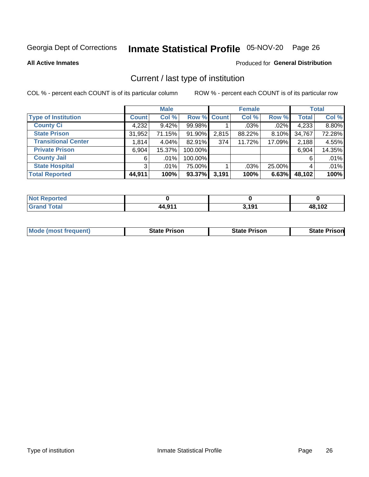# Inmate Statistical Profile 05-NOV-20 Page 26

**All Active Inmates** 

#### Produced for General Distribution

# Current / last type of institution

COL % - percent each COUNT is of its particular column

|                            |                | <b>Male</b> |             |       | <b>Female</b> |        |              | <b>Total</b> |
|----------------------------|----------------|-------------|-------------|-------|---------------|--------|--------------|--------------|
| <b>Type of Institution</b> | <b>Count</b>   | Col %       | Row % Count |       | Col %         | Row %  | <b>Total</b> | Col %        |
| <b>County Ci</b>           | 4,232          | 9.42%       | 99.98%      |       | $.03\%$       | .02%   | 4,233        | 8.80%        |
| <b>State Prison</b>        | 31,952         | 71.15%      | 91.90%      | 2,815 | 88.22%        | 8.10%  | 34,767       | 72.28%       |
| <b>Transitional Center</b> | 1,814          | 4.04%       | 82.91%      | 374   | 11.72%        | 17.09% | 2,188        | 4.55%        |
| <b>Private Prison</b>      | 6,904          | 15.37%      | 100.00%     |       |               |        | 6,904        | 14.35%       |
| <b>County Jail</b>         | 6              | $.01\%$     | 100.00%     |       |               |        | 6            | .01%         |
| <b>State Hospital</b>      | 3 <sup>1</sup> | $.01\%$     | 75.00%      |       | .03%          | 25.00% |              | .01%         |
| <b>Total Reported</b>      | 44,911         | 100%        | 93.37%      | 3,191 | 100%          | 6.63%  | 48,102       | 100%         |

| orted        |               |         |                      |
|--------------|---------------|---------|----------------------|
| <b>Total</b> | <b>AA 911</b> | 2 1 Q 1 | <b>AR 102</b><br>שו' |

|  | <b>Mode (most frequent)</b> | State Prison | <b>State Prison</b> | <b>State Prisonl</b> |
|--|-----------------------------|--------------|---------------------|----------------------|
|--|-----------------------------|--------------|---------------------|----------------------|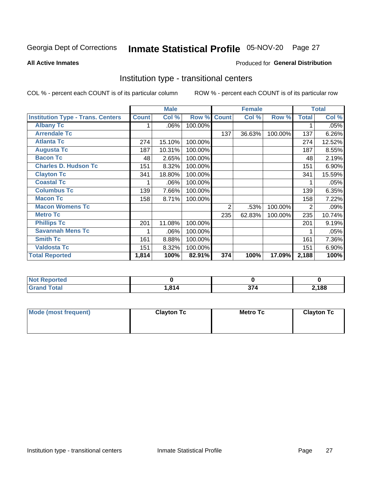# Inmate Statistical Profile 05-NOV-20 Page 27

**All Active Inmates** 

#### Produced for General Distribution

### Institution type - transitional centers

COL % - percent each COUNT is of its particular column

|                                          |              | <b>Male</b> |         |              | <b>Female</b> |         |              | <b>Total</b> |
|------------------------------------------|--------------|-------------|---------|--------------|---------------|---------|--------------|--------------|
| <b>Institution Type - Trans. Centers</b> | <b>Count</b> | Col %       | Row %   | <b>Count</b> | Col %         | Row %   | <b>Total</b> | Col %        |
| <b>Albany Tc</b>                         |              | .06%        | 100.00% |              |               |         |              | .05%         |
| <b>Arrendale Tc</b>                      |              |             |         | 137          | 36.63%        | 100.00% | 137          | 6.26%        |
| <b>Atlanta Tc</b>                        | 274          | 15.10%      | 100.00% |              |               |         | 274          | 12.52%       |
| <b>Augusta Tc</b>                        | 187          | 10.31%      | 100.00% |              |               |         | 187          | 8.55%        |
| <b>Bacon Tc</b>                          | 48           | 2.65%       | 100.00% |              |               |         | 48           | 2.19%        |
| <b>Charles D. Hudson Tc</b>              | 151          | 8.32%       | 100.00% |              |               |         | 151          | 6.90%        |
| <b>Clayton Tc</b>                        | 341          | 18.80%      | 100.00% |              |               |         | 341          | 15.59%       |
| <b>Coastal Tc</b>                        |              | .06%        | 100.00% |              |               |         |              | .05%         |
| <b>Columbus Tc</b>                       | 139          | 7.66%       | 100.00% |              |               |         | 139          | 6.35%        |
| <b>Macon Tc</b>                          | 158          | 8.71%       | 100.00% |              |               |         | 158          | 7.22%        |
| <b>Macon Womens Tc</b>                   |              |             |         | 2            | .53%          | 100.00% | 2            | .09%         |
| <b>Metro Tc</b>                          |              |             |         | 235          | 62.83%        | 100.00% | 235          | 10.74%       |
| <b>Phillips Tc</b>                       | 201          | 11.08%      | 100.00% |              |               |         | 201          | 9.19%        |
| <b>Savannah Mens Tc</b>                  |              | .06%        | 100.00% |              |               |         |              | .05%         |
| <b>Smith Tc</b>                          | 161          | 8.88%       | 100.00% |              |               |         | 161          | 7.36%        |
| <b>Valdosta Tc</b>                       | 151          | 8.32%       | 100.00% |              |               |         | 151          | 6.90%        |
| <b>Total Reported</b>                    | 1,814        | 100%        | 82.91%  | 374          | 100%          | 17.09%  | 2,188        | 100%         |

| Reported<br>NOT.<br> |            |                  |       |
|----------------------|------------|------------------|-------|
| <b>Total</b>         | <b>814</b> | $\sim$<br>$\sim$ | ∠,188 |

| Mode (most frequent) | <b>Clayton Tc</b> | Metro Tc | <b>Clayton Tc</b> |
|----------------------|-------------------|----------|-------------------|
|                      |                   |          |                   |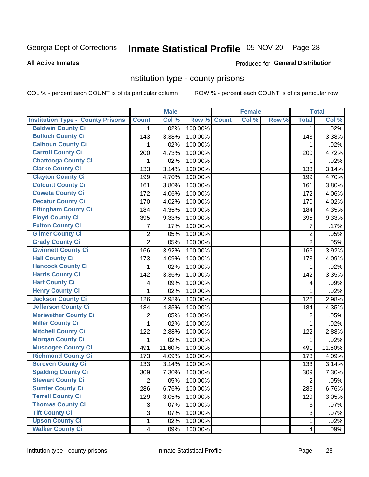# Inmate Statistical Profile 05-NOV-20 Page 28

#### **All Active Inmates**

#### Produced for General Distribution

### Institution type - county prisons

COL % - percent each COUNT is of its particular column

|                                          |                         | <b>Male</b> |         |              | <b>Female</b> |       |                         | <b>Total</b> |
|------------------------------------------|-------------------------|-------------|---------|--------------|---------------|-------|-------------------------|--------------|
| <b>Institution Type - County Prisons</b> | <b>Count</b>            | Col %       | Row %   | <b>Count</b> | Col %         | Row % | <b>Total</b>            | Col %        |
| <b>Baldwin County Ci</b>                 | $\mathbf 1$             | .02%        | 100.00% |              |               |       | $\mathbf{1}$            | .02%         |
| <b>Bulloch County Ci</b>                 | 143                     | 3.38%       | 100.00% |              |               |       | 143                     | 3.38%        |
| <b>Calhoun County Ci</b>                 | 1                       | .02%        | 100.00% |              |               |       | 1                       | .02%         |
| <b>Carroll County Ci</b>                 | 200                     | 4.73%       | 100.00% |              |               |       | 200                     | 4.72%        |
| <b>Chattooga County Ci</b>               | 1                       | .02%        | 100.00% |              |               |       | 1                       | .02%         |
| <b>Clarke County Ci</b>                  | 133                     | 3.14%       | 100.00% |              |               |       | 133                     | 3.14%        |
| <b>Clayton County Ci</b>                 | 199                     | 4.70%       | 100.00% |              |               |       | 199                     | 4.70%        |
| <b>Colquitt County Ci</b>                | 161                     | 3.80%       | 100.00% |              |               |       | 161                     | 3.80%        |
| <b>Coweta County Ci</b>                  | 172                     | 4.06%       | 100.00% |              |               |       | 172                     | 4.06%        |
| <b>Decatur County Ci</b>                 | 170                     | 4.02%       | 100.00% |              |               |       | 170                     | 4.02%        |
| <b>Effingham County Ci</b>               | 184                     | 4.35%       | 100.00% |              |               |       | 184                     | 4.35%        |
| <b>Floyd County Ci</b>                   | 395                     | 9.33%       | 100.00% |              |               |       | 395                     | 9.33%        |
| <b>Fulton County Ci</b>                  | 7                       | .17%        | 100.00% |              |               |       | $\overline{7}$          | .17%         |
| <b>Gilmer County Ci</b>                  | 2                       | .05%        | 100.00% |              |               |       | $\overline{2}$          | .05%         |
| <b>Grady County Ci</b>                   | $\overline{2}$          | .05%        | 100.00% |              |               |       | $\overline{2}$          | .05%         |
| <b>Gwinnett County Ci</b>                | 166                     | 3.92%       | 100.00% |              |               |       | 166                     | 3.92%        |
| <b>Hall County Ci</b>                    | 173                     | 4.09%       | 100.00% |              |               |       | 173                     | 4.09%        |
| <b>Hancock County Ci</b>                 | 1                       | .02%        | 100.00% |              |               |       | 1                       | .02%         |
| <b>Harris County Ci</b>                  | 142                     | 3.36%       | 100.00% |              |               |       | 142                     | 3.35%        |
| <b>Hart County Ci</b>                    | 4                       | .09%        | 100.00% |              |               |       | 4                       | .09%         |
| <b>Henry County Ci</b>                   | 1                       | .02%        | 100.00% |              |               |       | 1                       | .02%         |
| <b>Jackson County Ci</b>                 | 126                     | 2.98%       | 100.00% |              |               |       | 126                     | 2.98%        |
| <b>Jefferson County Ci</b>               | 184                     | 4.35%       | 100.00% |              |               |       | 184                     | 4.35%        |
| <b>Meriwether County Ci</b>              | 2                       | .05%        | 100.00% |              |               |       | $\overline{2}$          | .05%         |
| <b>Miller County Ci</b>                  | 1                       | .02%        | 100.00% |              |               |       | $\mathbf{1}$            | .02%         |
| <b>Mitchell County Ci</b>                | 122                     | 2.88%       | 100.00% |              |               |       | 122                     | 2.88%        |
| <b>Morgan County Ci</b>                  | 1                       | .02%        | 100.00% |              |               |       | 1                       | .02%         |
| <b>Muscogee County Ci</b>                | 491                     | 11.60%      | 100.00% |              |               |       | 491                     | 11.60%       |
| <b>Richmond County Ci</b>                | 173                     | 4.09%       | 100.00% |              |               |       | 173                     | 4.09%        |
| <b>Screven County Ci</b>                 | 133                     | 3.14%       | 100.00% |              |               |       | 133                     | 3.14%        |
| <b>Spalding County Ci</b>                | 309                     | 7.30%       | 100.00% |              |               |       | 309                     | 7.30%        |
| <b>Stewart County Ci</b>                 | $\overline{2}$          | .05%        | 100.00% |              |               |       | $\overline{2}$          | .05%         |
| <b>Sumter County Ci</b>                  | 286                     | 6.76%       | 100.00% |              |               |       | 286                     | 6.76%        |
| <b>Terrell County Ci</b>                 | 129                     | 3.05%       | 100.00% |              |               |       | 129                     | 3.05%        |
| <b>Thomas County Ci</b>                  | 3                       | .07%        | 100.00% |              |               |       | 3                       | .07%         |
| <b>Tift County Ci</b>                    | 3                       | .07%        | 100.00% |              |               |       | 3                       | .07%         |
| <b>Upson County Ci</b>                   | 1                       | .02%        | 100.00% |              |               |       | 1                       | .02%         |
| <b>Walker County Ci</b>                  | $\overline{\mathbf{4}}$ | .09%        | 100.00% |              |               |       | $\overline{\mathbf{4}}$ | .09%         |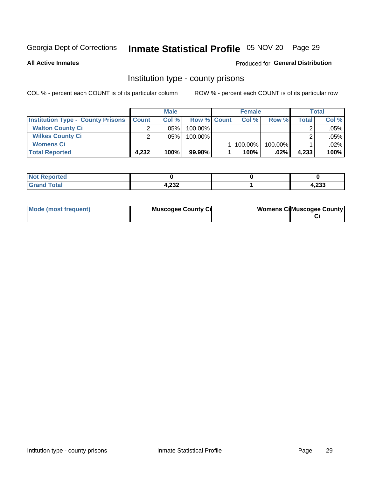# Inmate Statistical Profile 05-NOV-20 Page 29

**All Active Inmates** 

#### Produced for General Distribution

### Institution type - county prisons

COL % - percent each COUNT is of its particular column

|                                          |              | <b>Male</b> |                    | <b>Female</b> |         |       | <b>Total</b> |
|------------------------------------------|--------------|-------------|--------------------|---------------|---------|-------|--------------|
| <b>Institution Type - County Prisons</b> | <b>Count</b> | Col%        | <b>Row % Count</b> | Col%          | Row %   | Total | Col %        |
| <b>Walton County Ci</b>                  | ⌒            | .05%        | 100.00%            |               |         |       | .05%         |
| <b>Wilkes County Ci</b>                  |              | $.05\%$     | 100.00%            |               |         |       | .05%         |
| <b>Womens Ci</b>                         |              |             |                    | 100.00%       | 100.00% |       | .02%         |
| <b>Total Reported</b>                    | 4,232        | 100%        | 99.98%             | 100%          | .02%    | 4,233 | 100%         |

| portea |               |               |
|--------|---------------|---------------|
| $\sim$ | ה הח<br>4,ZJZ | ົດດດ<br>4,2JJ |

| Mode (most frequent) | <b>Muscogee County Ci</b> | <b>Womens Cil Muscogee County</b> |
|----------------------|---------------------------|-----------------------------------|
|                      |                           |                                   |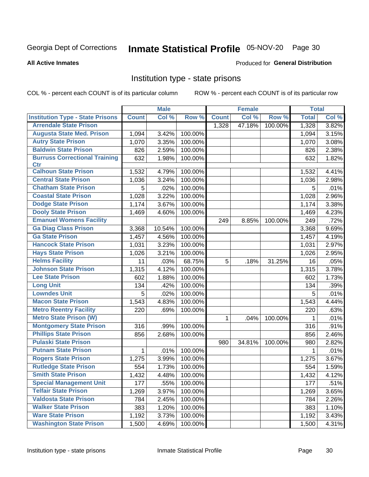# Inmate Statistical Profile 05-NOV-20 Page 30

#### **All Active Inmates**

#### Produced for General Distribution

### Institution type - state prisons

COL % - percent each COUNT is of its particular column

|                                         |              | <b>Male</b> |         |              | <b>Female</b> |         | <b>Total</b> |       |
|-----------------------------------------|--------------|-------------|---------|--------------|---------------|---------|--------------|-------|
| <b>Institution Type - State Prisons</b> | <b>Count</b> | Col %       | Row %   | <b>Count</b> | Col %         | Row %   | <b>Total</b> | Col % |
| <b>Arrendale State Prison</b>           |              |             |         | 1,328        | 47.18%        | 100.00% | 1,328        | 3.82% |
| <b>Augusta State Med. Prison</b>        | 1,094        | 3.42%       | 100.00% |              |               |         | 1,094        | 3.15% |
| <b>Autry State Prison</b>               | 1,070        | 3.35%       | 100.00% |              |               |         | 1,070        | 3.08% |
| <b>Baldwin State Prison</b>             | 826          | 2.59%       | 100.00% |              |               |         | 826          | 2.38% |
| <b>Burruss Correctional Training</b>    | 632          | 1.98%       | 100.00% |              |               |         | 632          | 1.82% |
| <b>Ctr</b>                              |              |             |         |              |               |         |              |       |
| <b>Calhoun State Prison</b>             | 1,532        | 4.79%       | 100.00% |              |               |         | 1,532        | 4.41% |
| <b>Central State Prison</b>             | 1,036        | 3.24%       | 100.00% |              |               |         | 1,036        | 2.98% |
| <b>Chatham State Prison</b>             | 5            | .02%        | 100.00% |              |               |         | 5            | .01%  |
| <b>Coastal State Prison</b>             | 1,028        | 3.22%       | 100.00% |              |               |         | 1,028        | 2.96% |
| <b>Dodge State Prison</b>               | 1,174        | 3.67%       | 100.00% |              |               |         | 1,174        | 3.38% |
| <b>Dooly State Prison</b>               | 1,469        | 4.60%       | 100.00% |              |               |         | 1,469        | 4.23% |
| <b>Emanuel Womens Facility</b>          |              |             |         | 249          | 8.85%         | 100.00% | 249          | .72%  |
| <b>Ga Diag Class Prison</b>             | 3,368        | 10.54%      | 100.00% |              |               |         | 3,368        | 9.69% |
| <b>Ga State Prison</b>                  | 1,457        | 4.56%       | 100.00% |              |               |         | 1,457        | 4.19% |
| <b>Hancock State Prison</b>             | 1,031        | 3.23%       | 100.00% |              |               |         | 1,031        | 2.97% |
| <b>Hays State Prison</b>                | 1,026        | 3.21%       | 100.00% |              |               |         | 1,026        | 2.95% |
| <b>Helms Facility</b>                   | 11           | .03%        | 68.75%  | 5            | .18%          | 31.25%  | 16           | .05%  |
| <b>Johnson State Prison</b>             | 1,315        | 4.12%       | 100.00% |              |               |         | 1,315        | 3.78% |
| <b>Lee State Prison</b>                 | 602          | 1.88%       | 100.00% |              |               |         | 602          | 1.73% |
| <b>Long Unit</b>                        | 134          | .42%        | 100.00% |              |               |         | 134          | .39%  |
| <b>Lowndes Unit</b>                     | 5            | .02%        | 100.00% |              |               |         | 5            | .01%  |
| <b>Macon State Prison</b>               | 1,543        | 4.83%       | 100.00% |              |               |         | 1,543        | 4.44% |
| <b>Metro Reentry Facility</b>           | 220          | .69%        | 100.00% |              |               |         | 220          | .63%  |
| <b>Metro State Prison (W)</b>           |              |             |         | $\mathbf 1$  | .04%          | 100.00% | 1            | .01%  |
| <b>Montgomery State Prison</b>          | 316          | .99%        | 100.00% |              |               |         | 316          | .91%  |
| <b>Phillips State Prison</b>            | 856          | 2.68%       | 100.00% |              |               |         | 856          | 2.46% |
| <b>Pulaski State Prison</b>             |              |             |         | 980          | 34.81%        | 100.00% | 980          | 2.82% |
| <b>Putnam State Prison</b>              | $\mathbf{1}$ | .01%        | 100.00% |              |               |         | 1            | .01%  |
| <b>Rogers State Prison</b>              | 1,275        | 3.99%       | 100.00% |              |               |         | 1,275        | 3.67% |
| <b>Rutledge State Prison</b>            | 554          | 1.73%       | 100.00% |              |               |         | 554          | 1.59% |
| <b>Smith State Prison</b>               | 1,432        | $4.48\%$    | 100.00% |              |               |         | 1,432        | 4.12% |
| <b>Special Management Unit</b>          | 177          | .55%        | 100.00% |              |               |         | 177          | .51%  |
| <b>Telfair State Prison</b>             | 1,269        | 3.97%       | 100.00% |              |               |         | 1,269        | 3.65% |
| <b>Valdosta State Prison</b>            | 784          | 2.45%       | 100.00% |              |               |         | 784          | 2.26% |
| <b>Walker State Prison</b>              | 383          | 1.20%       | 100.00% |              |               |         | 383          | 1.10% |
| <b>Ware State Prison</b>                | 1,192        | 3.73%       | 100.00% |              |               |         | 1,192        | 3.43% |
| <b>Washington State Prison</b>          | 1,500        | 4.69%       | 100.00% |              |               |         | 1,500        | 4.31% |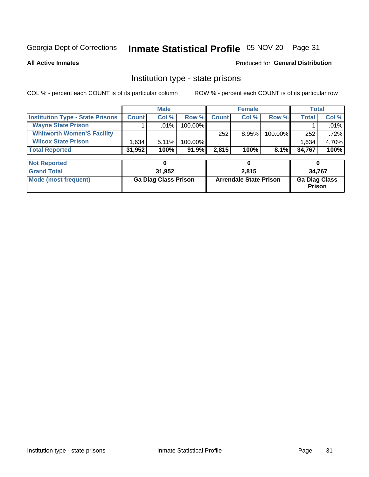# Inmate Statistical Profile 05-NOV-20 Page 31

**All Active Inmates** 

#### Produced for General Distribution

### Institution type - state prisons

COL % - percent each COUNT is of its particular column

|                                         |              | <b>Male</b> |            |              | <b>Female</b> |         |        | Total   |
|-----------------------------------------|--------------|-------------|------------|--------------|---------------|---------|--------|---------|
| <b>Institution Type - State Prisons</b> | <b>Count</b> | Col %       | Row %      | <b>Count</b> | Col%          | Row %   | Total  | Col %   |
| <b>Wayne State Prison</b>               |              | $.01\%$     | $100.00\%$ |              |               |         |        | .01%    |
| <b>Whitworth Women'S Facility</b>       |              |             |            | 252          | 8.95%         | 100.00% | 252    | $.72\%$ |
| <b>Wilcox State Prison</b>              | .634         | 5.11%       | 100.00%    |              |               |         | 1,634  | 4.70%   |
| <b>Total Reported</b>                   | 31,952       | 100%        | 91.9%      | 2,815        | 100%          | 8.1%    | 34,767 | 100%    |

| <b>Not Reported</b>  |                             |                               |                                       |
|----------------------|-----------------------------|-------------------------------|---------------------------------------|
| <b>Grand Total</b>   | 31.952                      | 2,815                         | 34.767                                |
| Mode (most frequent) | <b>Ga Diag Class Prison</b> | <b>Arrendale State Prison</b> | <b>Ga Diag Class</b><br><b>Prison</b> |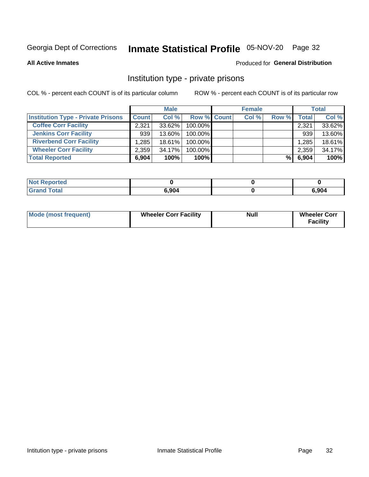# Inmate Statistical Profile 05-NOV-20 Page 32

**All Active Inmates** 

#### Produced for General Distribution

### Institution type - private prisons

COL % - percent each COUNT is of its particular column

|                                           |              | <b>Male</b> |                    | <b>Female</b> |       |       | <b>Total</b> |
|-------------------------------------------|--------------|-------------|--------------------|---------------|-------|-------|--------------|
| <b>Institution Type - Private Prisons</b> | <b>Count</b> | Col %       | <b>Row % Count</b> | Col %         | Row % | Total | Col %        |
| <b>Coffee Corr Facility</b>               | 2,321        | $33.62\%$   | 100.00%            |               |       | 2,321 | 33.62%       |
| <b>Jenkins Corr Facility</b>              | 939          | $13.60\%$   | $100.00\%$         |               |       | 939   | 13.60%       |
| <b>Riverbend Corr Facility</b>            | 1.285        | $18.61\%$   | 100.00%            |               |       | 1,285 | 18.61%       |
| <b>Wheeler Corr Facility</b>              | 2,359        | 34.17%      | 100.00%            |               |       | 2,359 | 34.17%       |
| <b>Total Reported</b>                     | 6,904        | 100%        | $100\%$            |               | %     | 6,904 | 100%         |

| 'Noi<br><b>Reported</b> |       |       |
|-------------------------|-------|-------|
| <b>Total</b>            | 6,904 | 5,904 |

| <b>Mode (most frequent)</b> | <b>Wheeler Corr Facility</b> | <b>Null</b> | <b>Wheeler Corr</b><br><b>Facility</b> |
|-----------------------------|------------------------------|-------------|----------------------------------------|
|-----------------------------|------------------------------|-------------|----------------------------------------|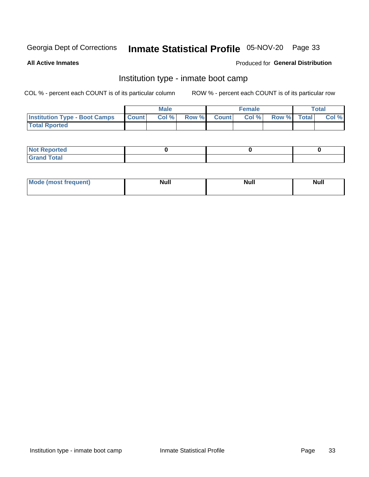# Inmate Statistical Profile 05-NOV-20 Page 33

**All Active Inmates** 

#### Produced for General Distribution

### Institution type - inmate boot camp

COL % - percent each COUNT is of its particular column

|                                      | <b>Male</b>  |       |  | <b>Female</b> |      |             | Total |       |
|--------------------------------------|--------------|-------|--|---------------|------|-------------|-------|-------|
| <b>Institution Type - Boot Camps</b> | <b>Count</b> | Col % |  | Row % Count   | Col% | Row % Total |       | Col % |
| <b>Total Rported</b>                 |              |       |  |               |      |             |       |       |

| <b>Not Reported</b> |  |  |
|---------------------|--|--|
| <b>Total</b><br>Cro |  |  |

| Mod<br>uamo | Nul.<br>$- - - - - -$ | <b>Null</b> | . .<br>uu.<br>------ |
|-------------|-----------------------|-------------|----------------------|
|             |                       |             |                      |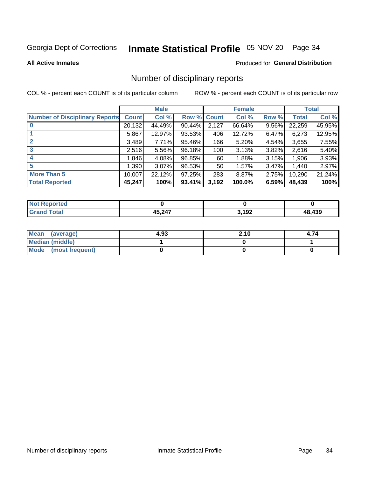# Inmate Statistical Profile 05-NOV-20 Page 34

#### **All Active Inmates**

#### Produced for General Distribution

### Number of disciplinary reports

COL % - percent each COUNT is of its particular column

|                                       |              | <b>Male</b> |             |       | <b>Female</b> |       |        | <b>Total</b> |
|---------------------------------------|--------------|-------------|-------------|-------|---------------|-------|--------|--------------|
| <b>Number of Disciplinary Reports</b> | <b>Count</b> | Col %       | Row % Count |       | Col %         | Row % | Total  | Col %        |
| $\bf{0}$                              | 20,132       | 44.49%      | 90.44%      | 2,127 | 66.64%        | 9.56% | 22,259 | 45.95%       |
|                                       | 5,867        | 12.97%      | 93.53%      | 406   | 12.72%        | 6.47% | 6,273  | 12.95%       |
| $\mathbf{2}$                          | 3,489        | 7.71%       | 95.46%      | 166   | 5.20%         | 4.54% | 3,655  | 7.55%        |
| 3                                     | 2,516        | 5.56%       | 96.18%      | 100   | 3.13%         | 3.82% | 2,616  | 5.40%        |
|                                       | 1,846        | 4.08%       | 96.85%      | 60    | 1.88%         | 3.15% | 1,906  | 3.93%        |
| 5                                     | 1.390        | 3.07%       | 96.53%      | 50    | 1.57%         | 3.47% | 1,440  | 2.97%        |
| <b>More Than 5</b>                    | 10,007       | 22.12%      | 97.25%      | 283   | 8.87%         | 2.75% | 10,290 | 21.24%       |
| <b>Total Reported</b>                 | 45,247       | 100%        | 93.41%      | 3,192 | 100.0%        | 6.59% | 48,439 | 100%         |

| orted<br>NO1 |              |              |     |
|--------------|--------------|--------------|-----|
| Total        | 15 247<br>л. | 2,102<br>19Z | 439 |

| Mean (average)       | 4.93 | 2.10 | 4.74 |
|----------------------|------|------|------|
| Median (middle)      |      |      |      |
| Mode (most frequent) |      |      |      |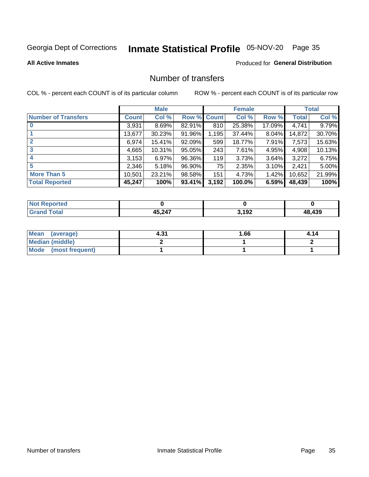# Inmate Statistical Profile 05-NOV-20 Page 35

#### **All Active Inmates**

#### Produced for General Distribution

### Number of transfers

COL % - percent each COUNT is of its particular column

|                            |         | <b>Male</b> |             |       | <b>Female</b> |          |              | <b>Total</b> |
|----------------------------|---------|-------------|-------------|-------|---------------|----------|--------------|--------------|
| <b>Number of Transfers</b> | Count l | Col %       | Row % Count |       | Col %         | Row %    | <b>Total</b> | Col %        |
|                            | 3,931   | 8.69%       | 82.91%      | 810   | 25.38%        | 17.09%   | 4,741        | 9.79%        |
|                            | 13,677  | 30.23%      | 91.96%      | 1,195 | 37.44%        | 8.04%    | 14,872       | 30.70%       |
|                            | 6,974   | 15.41%      | 92.09%      | 599   | 18.77%        | 7.91%    | 7,573        | 15.63%       |
| 3                          | 4,665   | $10.31\%$   | 95.05%      | 243   | 7.61%         | 4.95%    | 4,908        | 10.13%       |
|                            | 3,153   | 6.97%       | 96.36%      | 119   | 3.73%         | $3.64\%$ | 3,272        | 6.75%        |
| 5                          | 2,346   | 5.18%       | 96.90%      | 75    | 2.35%         | $3.10\%$ | 2,421        | 5.00%        |
| <b>More Than 5</b>         | 10,501  | 23.21%      | 98.58%      | 151   | 4.73%         | $1.42\%$ | 10,652       | 21.99%       |
| <b>Total Reported</b>      | 45,247  | 100%        | 93.41%      | 3,192 | 100.0%        | 6.59%    | 48,439       | 100%         |

| orted<br>NO1 |              |              |     |
|--------------|--------------|--------------|-----|
| Total        | 15 247<br>л. | 2,102<br>19Z | 439 |

| Mean (average)         | 4.31 | 1.66 | 4.14 |
|------------------------|------|------|------|
| <b>Median (middle)</b> |      |      |      |
| Mode (most frequent)   |      |      |      |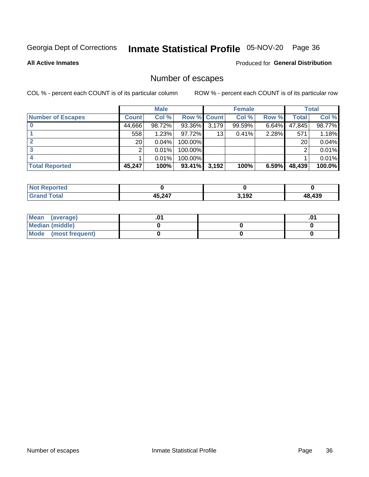# Inmate Statistical Profile 05-NOV-20 Page 36

**All Active Inmates** 

#### Produced for General Distribution

# Number of escapes

COL % - percent each COUNT is of its particular column

|                          |              | <b>Male</b> |             |       | <b>Female</b> |       |                 | <b>Total</b> |
|--------------------------|--------------|-------------|-------------|-------|---------------|-------|-----------------|--------------|
| <b>Number of Escapes</b> | <b>Count</b> | Col %       | Row % Count |       | Col %         | Row % | Total           | Col %        |
|                          | 44,666       | 98.72%      | 93.36%      | 3,179 | 99.59%        | 6.64% | 47,845          | 98.77%       |
|                          | 558          | 1.23%       | 97.72%      | 13    | 0.41%         | 2.28% | 571             | 1.18%        |
| 2                        | 20           | 0.04%       | 100.00%     |       |               |       | 20 <sup>1</sup> | 0.04%        |
| 3                        | ົ            | 0.01%       | 100.00%     |       |               |       | ⌒               | 0.01%        |
|                          |              | 0.01%       | 100.00%     |       |               |       |                 | 0.01%        |
| <b>Total Reported</b>    | 45,247       | 100%        | $93.41\%$   | 3,192 | 100%          | 6.59% | 48,439          | 100.0%       |

| <b>Not Reported</b> |        |                         |     |
|---------------------|--------|-------------------------|-----|
| <b>Grand Total</b>  | 15 247 | 2,102<br>J. 1 <i>34</i> | 439 |

| Mean (average)         |  | .0 <sup>4</sup> |
|------------------------|--|-----------------|
| <b>Median (middle)</b> |  |                 |
| Mode (most frequent)   |  |                 |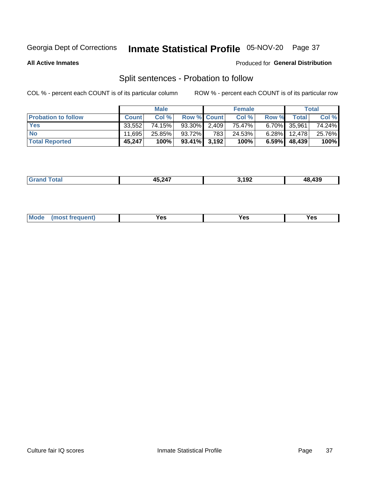# Inmate Statistical Profile 05-NOV-20 Page 37

**All Active Inmates** 

#### Produced for General Distribution

# Split sentences - Probation to follow

COL % - percent each COUNT is of its particular column

|                            |              | <b>Male</b> |                 |     | <b>Female</b> |          |                   | <b>Total</b> |
|----------------------------|--------------|-------------|-----------------|-----|---------------|----------|-------------------|--------------|
| <b>Probation to follow</b> | <b>Count</b> | Col%        | Row % Count     |     | Col %         | Row %    | <b>Total</b>      | Col %        |
| <b>Yes</b>                 | 33.552       | 74.15%      | $93.30\%$ 2.409 |     | 75.47%        |          | $6.70\%$ 35,961   | 74.24%       |
| <b>No</b>                  | 11.695       | 25.85%      | 93.72%          | 783 | 24.53%        |          | $6.28\%$   12,478 | 25.76%       |
| <b>Total Reported</b>      | 45,247       | 100%        | $93.41\%$ 3,192 |     | 100%          | $6.59\%$ | 48,439            | 100%         |

| 15 247<br>15<br>- - - | $\sqrt{2}$<br>ำ⊎∠<br>___ | .439 |
|-----------------------|--------------------------|------|
|                       |                          |      |

| <b>Mode</b><br>reauent)<br>Yes<br>v.c<br>0٥<br>.<br>. .<br>$\sim$ |
|-------------------------------------------------------------------|
|-------------------------------------------------------------------|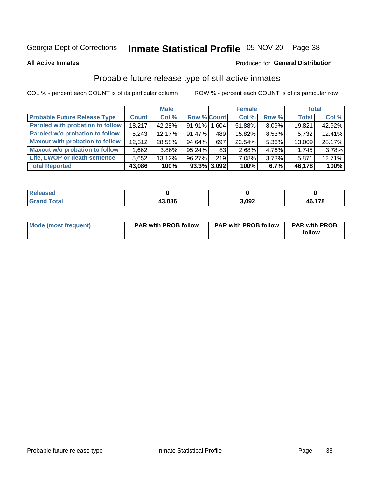# Inmate Statistical Profile 05-NOV-20 Page 38

**All Active Inmates** 

#### Produced for General Distribution

### Probable future release type of still active inmates

COL % - percent each COUNT is of its particular column

|                                         |              | <b>Male</b> |                    |     | <b>Female</b> |       | <b>Total</b> |        |
|-----------------------------------------|--------------|-------------|--------------------|-----|---------------|-------|--------------|--------|
| <b>Probable Future Release Type</b>     | <b>Count</b> | Col%        | <b>Row % Count</b> |     | Col %         | Row % | <b>Total</b> | Col %  |
| <b>Paroled with probation to follow</b> | 18,217       | 42.28%      | 91.91% 1.604       |     | 51.88%        | 8.09% | 19,821       | 42.92% |
| Paroled w/o probation to follow         | 5,243        | 12.17%      | 91.47%             | 489 | 15.82%        | 8.53% | 5,732        | 12.41% |
| <b>Maxout with probation to follow</b>  | 12,312       | 28.58%      | 94.64%             | 697 | 22.54%        | 5.36% | 13,009       | 28.17% |
| <b>Maxout w/o probation to follow</b>   | 1,662        | $3.86\%$    | 95.24%             | 83  | 2.68%         | 4.76% | 1,745        | 3.78%  |
| Life, LWOP or death sentence            | 5,652        | 13.12%      | 96.27%             | 219 | 7.08%         | 3.73% | 5,871        | 12.71% |
| <b>Total Reported</b>                   | 43,086       | 100%        | $93.3\%$ 3,092     |     | 100%          | 6.7%  | 46,178       | 100%   |

| eleased     |        |       |                         |
|-------------|--------|-------|-------------------------|
| <b>otal</b> | 43,086 | 3,092 | 470<br>46<br>1 O<br>rv. |

| <b>Mode (most frequent)</b> | <b>PAR with PROB follow</b> | <b>PAR with PROB follow</b> | <b>PAR with PROB</b> |
|-----------------------------|-----------------------------|-----------------------------|----------------------|
|                             |                             |                             | follow               |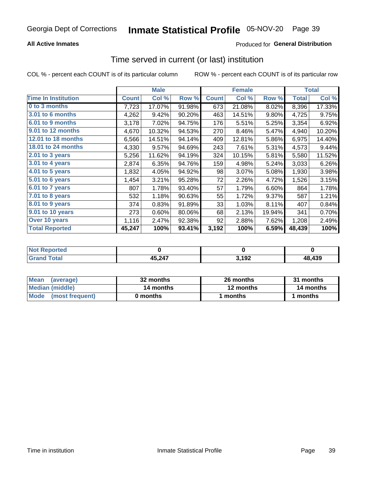### **All Active Inmates**

### **Produced for General Distribution**

## Time served in current (or last) institution

COL % - percent each COUNT is of its particular column

|                            |              | <b>Male</b> |        |              | <b>Female</b> |        |              | <b>Total</b> |
|----------------------------|--------------|-------------|--------|--------------|---------------|--------|--------------|--------------|
| <b>Time In Institution</b> | <b>Count</b> | Col %       | Row %  | <b>Count</b> | Col %         | Row %  | <b>Total</b> | Col %        |
| 0 to 3 months              | 7,723        | 17.07%      | 91.98% | 673          | 21.08%        | 8.02%  | 8,396        | 17.33%       |
| 3.01 to 6 months           | 4,262        | 9.42%       | 90.20% | 463          | 14.51%        | 9.80%  | 4,725        | 9.75%        |
| 6.01 to 9 months           | 3,178        | 7.02%       | 94.75% | 176          | 5.51%         | 5.25%  | 3,354        | 6.92%        |
| 9.01 to 12 months          | 4,670        | 10.32%      | 94.53% | 270          | 8.46%         | 5.47%  | 4,940        | 10.20%       |
| 12.01 to 18 months         | 6,566        | 14.51%      | 94.14% | 409          | 12.81%        | 5.86%  | 6,975        | 14.40%       |
| <b>18.01 to 24 months</b>  | 4,330        | 9.57%       | 94.69% | 243          | 7.61%         | 5.31%  | 4,573        | 9.44%        |
| 2.01 to 3 years            | 5,256        | 11.62%      | 94.19% | 324          | 10.15%        | 5.81%  | 5,580        | 11.52%       |
| $3.01$ to 4 years          | 2,874        | 6.35%       | 94.76% | 159          | 4.98%         | 5.24%  | 3,033        | 6.26%        |
| 4.01 to 5 years            | 1,832        | 4.05%       | 94.92% | 98           | 3.07%         | 5.08%  | 1,930        | 3.98%        |
| 5.01 to 6 years            | 1,454        | 3.21%       | 95.28% | 72           | 2.26%         | 4.72%  | 1,526        | 3.15%        |
| 6.01 to 7 years            | 807          | 1.78%       | 93.40% | 57           | 1.79%         | 6.60%  | 864          | 1.78%        |
| 7.01 to 8 years            | 532          | 1.18%       | 90.63% | 55           | 1.72%         | 9.37%  | 587          | 1.21%        |
| $8.01$ to 9 years          | 374          | 0.83%       | 91.89% | 33           | 1.03%         | 8.11%  | 407          | 0.84%        |
| 9.01 to 10 years           | 273          | 0.60%       | 80.06% | 68           | 2.13%         | 19.94% | 341          | 0.70%        |
| Over 10 years              | 1,116        | 2.47%       | 92.38% | 92           | 2.88%         | 7.62%  | 1,208        | 2.49%        |
| <b>Total Reported</b>      | 45,247       | 100%        | 93.41% | 3,192        | 100%          | 6.59%  | 48,439       | 100%         |

| <b>Renorted</b><br><b>Not</b> |        |                     |        |
|-------------------------------|--------|---------------------|--------|
| rotal.                        | 45,247 | <b>102</b><br>1 J 4 | 48,439 |

| <b>Mean</b><br>(average) | 32 months | 26 months | 31 months |
|--------------------------|-----------|-----------|-----------|
| Median (middle)          | 14 months | 12 months | 14 months |
| Mode<br>(most frequent)  | 0 months  | months    | months    |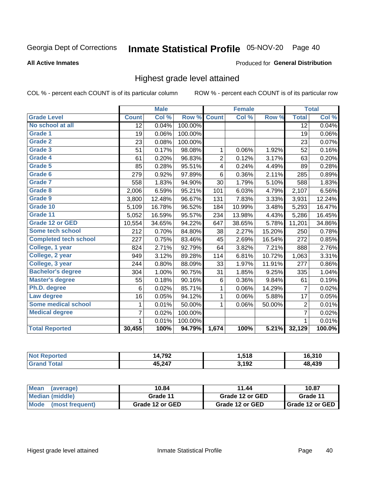#### Inmate Statistical Profile 05-NOV-20 Page 40

#### **All Active Inmates**

#### Produced for General Distribution

### Highest grade level attained

COL % - percent each COUNT is of its particular column

|                              |                 | <b>Male</b> |         |                | <b>Female</b> |                     |                 | <b>Total</b> |
|------------------------------|-----------------|-------------|---------|----------------|---------------|---------------------|-----------------|--------------|
| <b>Grade Level</b>           | <b>Count</b>    | Col %       | Row %   | <b>Count</b>   | Col %         | Row %               | <b>Total</b>    | Col %        |
| No school at all             | $\overline{12}$ | 0.04%       | 100.00% |                |               |                     | $\overline{12}$ | 0.04%        |
| <b>Grade 1</b>               | 19              | 0.06%       | 100.00% |                |               |                     | 19              | 0.06%        |
| <b>Grade 2</b>               | 23              | 0.08%       | 100.00% |                |               |                     | 23              | 0.07%        |
| Grade 3                      | 51              | 0.17%       | 98.08%  | $\mathbf{1}$   | 0.06%         | 1.92%               | 52              | 0.16%        |
| Grade 4                      | 61              | 0.20%       | 96.83%  | $\overline{2}$ | 0.12%         | 3.17%               | 63              | 0.20%        |
| Grade 5                      | 85              | 0.28%       | 95.51%  | 4              | 0.24%         | 4.49%               | 89              | 0.28%        |
| Grade 6                      | 279             | 0.92%       | 97.89%  | 6              | 0.36%         | 2.11%               | 285             | 0.89%        |
| <b>Grade 7</b>               | 558             | 1.83%       | 94.90%  | 30             | 1.79%         | 5.10%               | 588             | 1.83%        |
| Grade 8                      | 2,006           | 6.59%       | 95.21%  | 101            | 6.03%         | 4.79%               | 2,107           | 6.56%        |
| Grade 9                      | 3,800           | 12.48%      | 96.67%  | 131            | 7.83%         | 3.33%               | 3,931           | 12.24%       |
| Grade 10                     | 5,109           | 16.78%      | 96.52%  | 184            | 10.99%        | 3.48%               | 5,293           | 16.47%       |
| Grade 11                     | 5,052           | 16.59%      | 95.57%  | 234            | 13.98%        | 4.43%               | 5,286           | 16.45%       |
| <b>Grade 12 or GED</b>       | 10,554          | 34.65%      | 94.22%  | 647            | 38.65%        | 5.78%               | 11,201          | 34.86%       |
| <b>Some tech school</b>      | 212             | 0.70%       | 84.80%  | 38             | 2.27%         | 15.20%              | 250             | 0.78%        |
| <b>Completed tech school</b> | 227             | 0.75%       | 83.46%  | 45             | 2.69%         | 16.54%              | 272             | 0.85%        |
| College, 1 year              | 824             | 2.71%       | 92.79%  | 64             | 3.82%         | 7.21%               | 888             | 2.76%        |
| College, 2 year              | 949             | 3.12%       | 89.28%  | 114            | 6.81%         | 10.72%              | 1,063           | 3.31%        |
| College, 3 year              | 244             | 0.80%       | 88.09%  | 33             | 1.97%         | 11.91%              | 277             | 0.86%        |
| <b>Bachelor's degree</b>     | 304             | 1.00%       | 90.75%  | 31             | 1.85%         | 9.25%               | 335             | 1.04%        |
| <b>Master's degree</b>       | 55              | 0.18%       | 90.16%  | 6              | 0.36%         | 9.84%               | 61              | 0.19%        |
| Ph.D. degree                 | 6               | 0.02%       | 85.71%  | 1              | 0.06%         | 14.29%              | $\overline{7}$  | 0.02%        |
| Law degree                   | 16              | 0.05%       | 94.12%  | $\mathbf{1}$   | 0.06%         | 5.88%               | 17              | 0.05%        |
| <b>Some medical school</b>   | 1               | 0.01%       | 50.00%  | 1              | 0.06%         | 50.00%              | $\overline{2}$  | 0.01%        |
| <b>Medical degree</b>        | 7               | 0.02%       | 100.00% |                |               |                     | $\overline{7}$  | 0.02%        |
|                              | $\mathbf 1$     | 0.01%       | 100.00% |                |               |                     | 1               | 0.01%        |
| <b>Total Reported</b>        | 30,455          | 100%        | 94.79%  | 1,674          | 100%          | $\overline{5.21\%}$ | 32,129          | 100.0%       |

| 202<br>. л<br>Ÿã | 518. ا      | 6.310 |
|------------------|-------------|-------|
| 15 217           | 2,102<br>▝▘ | 439   |

| <b>Mean</b><br>(average) | 10.84           | 11.44           | 10.87           |
|--------------------------|-----------------|-----------------|-----------------|
| Median (middle)          | Grade 11        | Grade 12 or GED | Grade 11        |
| Mode (most frequent)     | Grade 12 or GED | Grade 12 or GED | Grade 12 or GED |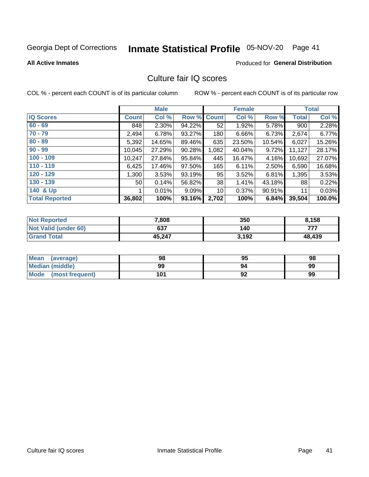# Inmate Statistical Profile 05-NOV-20 Page 41

**All Active Inmates** 

#### **Produced for General Distribution**

## Culture fair IQ scores

COL % - percent each COUNT is of its particular column

|                       |                 | <b>Male</b> |             |       | <b>Female</b> |        |              | <b>Total</b> |
|-----------------------|-----------------|-------------|-------------|-------|---------------|--------|--------------|--------------|
| <b>IQ Scores</b>      | <b>Count</b>    | Col %       | Row % Count |       | Col %         | Row %  | <b>Total</b> | Col %        |
| $60 - 69$             | 848             | 2.30%       | 94.22%      | 52    | 1.92%         | 5.78%  | 900          | 2.28%        |
| $70 - 79$             | 2,494           | 6.78%       | 93.27%      | 180   | 6.66%         | 6.73%  | 2,674        | 6.77%        |
| $80 - 89$             | 5,392           | 14.65%      | 89.46%      | 635   | 23.50%        | 10.54% | 6,027        | 15.26%       |
| $90 - 99$             | 10,045          | 27.29%      | 90.28%      | 1,082 | 40.04%        | 9.72%  | 11,127       | 28.17%       |
| $100 - 109$           | 10,247          | 27.84%      | 95.84%      | 445   | 16.47%        | 4.16%  | 10,692       | 27.07%       |
| $110 - 119$           | 6,425           | 17.46%      | 97.50%      | 165   | 6.11%         | 2.50%  | 6,590        | 16.68%       |
| $120 - 129$           | 1,300           | 3.53%       | 93.19%      | 95    | 3.52%         | 6.81%  | 1,395        | 3.53%        |
| $130 - 139$           | 50 <sub>1</sub> | 0.14%       | 56.82%      | 38    | 1.41%         | 43.18% | 88           | 0.22%        |
| 140 & Up              |                 | 0.01%       | 9.09%       | 10    | 0.37%         | 90.91% | 11           | 0.03%        |
| <b>Total Reported</b> | 36,802          | 100%        | 93.16%      | 2,702 | 100%          | 6.84%  | 39,504       | 100.0%       |

| <b>Not Reported</b>         | 7,808  | 350   | 8,158  |
|-----------------------------|--------|-------|--------|
| <b>Not Valid (under 60)</b> | 637    | 140   | フフフ    |
| <b>Grand Total</b>          | 45,247 | 3,192 | 48,439 |

| <b>Mean</b><br>(average) | 98  | 95 | 98 |
|--------------------------|-----|----|----|
| <b>Median (middle)</b>   | 99  | 94 | 99 |
| Mode<br>(most frequent)  | 101 | 92 | 99 |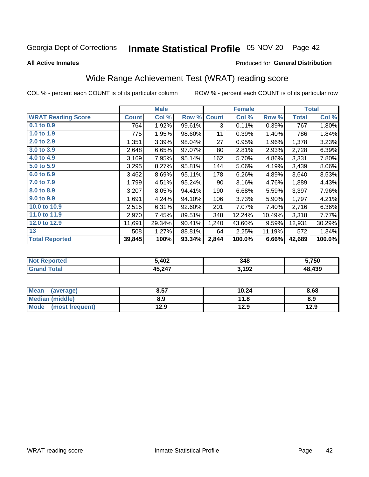# Inmate Statistical Profile 05-NOV-20 Page 42

**All Active Inmates** 

### Produced for General Distribution

## Wide Range Achievement Test (WRAT) reading score

COL % - percent each COUNT is of its particular column

|                           |              | <b>Male</b> |        |              | <b>Female</b> |        |              | <b>Total</b> |
|---------------------------|--------------|-------------|--------|--------------|---------------|--------|--------------|--------------|
| <b>WRAT Reading Score</b> | <b>Count</b> | Col %       | Row %  | <b>Count</b> | Col %         | Row %  | <b>Total</b> | Col %        |
| $0.1$ to $0.9$            | 764          | 1.92%       | 99.61% | 3            | 0.11%         | 0.39%  | 767          | 1.80%        |
| 1.0 to 1.9                | 775          | 1.95%       | 98.60% | 11           | 0.39%         | 1.40%  | 786          | 1.84%        |
| 2.0 to 2.9                | 1,351        | 3.39%       | 98.04% | 27           | 0.95%         | 1.96%  | 1,378        | 3.23%        |
| 3.0 to 3.9                | 2,648        | 6.65%       | 97.07% | 80           | 2.81%         | 2.93%  | 2,728        | 6.39%        |
| 4.0 to 4.9                | 3,169        | 7.95%       | 95.14% | 162          | 5.70%         | 4.86%  | 3,331        | 7.80%        |
| 5.0 to 5.9                | 3,295        | 8.27%       | 95.81% | 144          | 5.06%         | 4.19%  | 3,439        | $8.06\%$     |
| 6.0 to 6.9                | 3,462        | 8.69%       | 95.11% | 178          | 6.26%         | 4.89%  | 3,640        | 8.53%        |
| 7.0 to 7.9                | 1,799        | 4.51%       | 95.24% | 90           | 3.16%         | 4.76%  | 1,889        | 4.43%        |
| 8.0 to 8.9                | 3,207        | 8.05%       | 94.41% | 190          | 6.68%         | 5.59%  | 3,397        | 7.96%        |
| 9.0 to 9.9                | 1,691        | 4.24%       | 94.10% | 106          | 3.73%         | 5.90%  | 1,797        | 4.21%        |
| 10.0 to 10.9              | 2,515        | 6.31%       | 92.60% | 201          | 7.07%         | 7.40%  | 2,716        | 6.36%        |
| 11.0 to 11.9              | 2,970        | 7.45%       | 89.51% | 348          | 12.24%        | 10.49% | 3,318        | 7.77%        |
| 12.0 to 12.9              | 11,691       | 29.34%      | 90.41% | 1,240        | 43.60%        | 9.59%  | 12,931       | 30.29%       |
| 13                        | 508          | 1.27%       | 88.81% | 64           | 2.25%         | 11.19% | 572          | 1.34%        |
| <b>Total Reported</b>     | 39,845       | 100%        | 93.34% | 2,844        | 100.0%        | 6.66%  | 42,689       | 100.0%       |

| Teu.<br>NO | 5,402            | 348   | ៊,750         |
|------------|------------------|-------|---------------|
|            | 45 247<br>10.LTI | 3,192 | 18,439<br>л о |

| Mean<br>(average)       | 8.57 | 10.24 | 8.68 |
|-------------------------|------|-------|------|
| Median (middle)         | 8.9  | 11.8  | 8.9  |
| Mode<br>(most frequent) | 12.9 | 12.9  | 12.9 |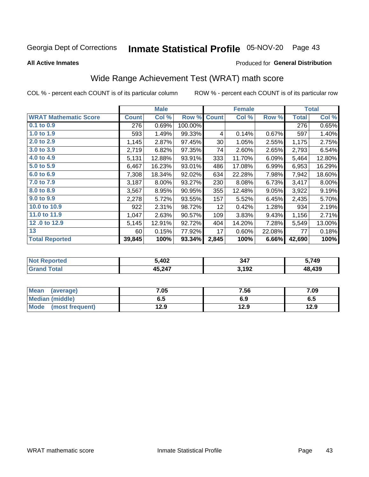# Inmate Statistical Profile 05-NOV-20 Page 43

**All Active Inmates** 

#### Produced for General Distribution

## Wide Range Achievement Test (WRAT) math score

COL % - percent each COUNT is of its particular column

|                              |              | <b>Male</b> |         |                 | <b>Female</b> |        |                  | <b>Total</b> |
|------------------------------|--------------|-------------|---------|-----------------|---------------|--------|------------------|--------------|
| <b>WRAT Mathematic Score</b> | <b>Count</b> | Col %       | Row %   | <b>Count</b>    | Col %         | Row %  | <b>Total</b>     | Col %        |
| 0.1 to 0.9                   | 276          | 0.69%       | 100.00% |                 |               |        | $\overline{276}$ | 0.65%        |
| 1.0 to 1.9                   | 593          | 1.49%       | 99.33%  | 4               | 0.14%         | 0.67%  | 597              | 1.40%        |
| 2.0 to 2.9                   | 1,145        | 2.87%       | 97.45%  | 30              | 1.05%         | 2.55%  | 1,175            | 2.75%        |
| 3.0 to 3.9                   | 2,719        | 6.82%       | 97.35%  | 74              | 2.60%         | 2.65%  | 2,793            | 6.54%        |
| 4.0 to 4.9                   | 5,131        | 12.88%      | 93.91%  | 333             | 11.70%        | 6.09%  | 5,464            | 12.80%       |
| 5.0 to 5.9                   | 6,467        | 16.23%      | 93.01%  | 486             | 17.08%        | 6.99%  | 6,953            | 16.29%       |
| 6.0 to 6.9                   | 7,308        | 18.34%      | 92.02%  | 634             | 22.28%        | 7.98%  | 7,942            | 18.60%       |
| 7.0 to 7.9                   | 3,187        | 8.00%       | 93.27%  | 230             | 8.08%         | 6.73%  | 3,417            | 8.00%        |
| 8.0 to 8.9                   | 3,567        | 8.95%       | 90.95%  | 355             | 12.48%        | 9.05%  | 3,922            | 9.19%        |
| 9.0 to 9.9                   | 2,278        | 5.72%       | 93.55%  | 157             | 5.52%         | 6.45%  | 2,435            | 5.70%        |
| 10.0 to 10.9                 | 922          | 2.31%       | 98.72%  | 12 <sub>2</sub> | 0.42%         | 1.28%  | 934              | 2.19%        |
| 11.0 to 11.9                 | 1,047        | 2.63%       | 90.57%  | 109             | 3.83%         | 9.43%  | 1,156            | 2.71%        |
| 12.0 to 12.9                 | 5,145        | 12.91%      | 92.72%  | 404             | 14.20%        | 7.28%  | 5,549            | 13.00%       |
| 13                           | 60           | 0.15%       | 77.92%  | 17              | 0.60%         | 22.08% | 77               | 0.18%        |
| <b>Total Reported</b>        | 39,845       | 100%        | 93.34%  | 2,845           | 100%          | 6.66%  | 42,690           | 100%         |

| NO<br>$\bullet$ and $\bullet$ | ,402   | 347   | ,749 |
|-------------------------------|--------|-------|------|
| otal                          | 45,247 | 3,192 | .439 |

| <b>Mean</b><br>(average) | 7.05 | 7.56 | 7.09 |
|--------------------------|------|------|------|
| Median (middle)          | 6.5  | 6.9  | ს. ა |
| Mode<br>(most frequent)  | 12.9 | 12.9 | 12.9 |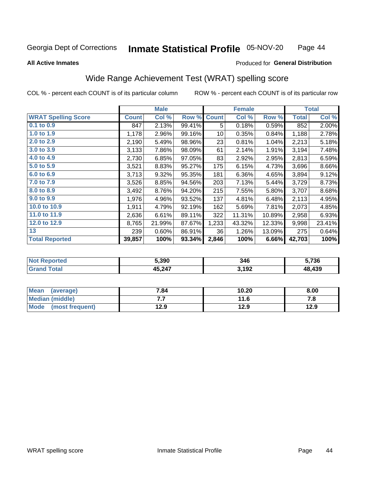#### Inmate Statistical Profile 05-NOV-20 Page 44

#### **All Active Inmates**

#### Produced for General Distribution

## Wide Range Achievement Test (WRAT) spelling score

COL % - percent each COUNT is of its particular column

|                            |              | <b>Male</b> |        |              | <b>Female</b> |        |              | <b>Total</b> |
|----------------------------|--------------|-------------|--------|--------------|---------------|--------|--------------|--------------|
| <b>WRAT Spelling Score</b> | <b>Count</b> | Col %       | Row %  | <b>Count</b> | Col %         | Row %  | <b>Total</b> | Col %        |
| $0.1$ to $0.9$             | 847          | 2.13%       | 99.41% | 5            | 0.18%         | 0.59%  | 852          | 2.00%        |
| 1.0 to 1.9                 | 1,178        | 2.96%       | 99.16% | 10           | 0.35%         | 0.84%  | 1,188        | 2.78%        |
| 2.0 to 2.9                 | 2,190        | 5.49%       | 98.96% | 23           | 0.81%         | 1.04%  | 2,213        | 5.18%        |
| 3.0 to 3.9                 | 3,133        | 7.86%       | 98.09% | 61           | 2.14%         | 1.91%  | 3,194        | 7.48%        |
| 4.0 to 4.9                 | 2,730        | 6.85%       | 97.05% | 83           | 2.92%         | 2.95%  | 2,813        | 6.59%        |
| 5.0 to 5.9                 | 3,521        | 8.83%       | 95.27% | 175          | 6.15%         | 4.73%  | 3,696        | 8.66%        |
| 6.0 to 6.9                 | 3,713        | 9.32%       | 95.35% | 181          | 6.36%         | 4.65%  | 3,894        | 9.12%        |
| 7.0 to 7.9                 | 3,526        | 8.85%       | 94.56% | 203          | 7.13%         | 5.44%  | 3,729        | 8.73%        |
| 8.0 to 8.9                 | 3,492        | 8.76%       | 94.20% | 215          | 7.55%         | 5.80%  | 3,707        | 8.68%        |
| 9.0 to 9.9                 | 1,976        | 4.96%       | 93.52% | 137          | 4.81%         | 6.48%  | 2,113        | 4.95%        |
| 10.0 to 10.9               | 1,911        | 4.79%       | 92.19% | 162          | 5.69%         | 7.81%  | 2,073        | 4.85%        |
| 11.0 to 11.9               | 2,636        | 6.61%       | 89.11% | 322          | 11.31%        | 10.89% | 2,958        | 6.93%        |
| 12.0 to 12.9               | 8,765        | 21.99%      | 87.67% | 1,233        | 43.32%        | 12.33% | 9,998        | 23.41%       |
| 13                         | 239          | 0.60%       | 86.91% | 36           | 1.26%         | 13.09% | 275          | 0.64%        |
| <b>Total Reported</b>      | 39,857       | 100%        | 93.34% | 2,846        | 100%          | 6.66%  | 42,703       | 100%         |

| <b>rted</b><br>NO | 5,390             | 346   | ;,736         |
|-------------------|-------------------|-------|---------------|
|                   | 45 247<br>TJ.L.TI | 3,192 | 18,439<br>л о |

| <b>Mean</b><br>(average) | 7.84 | 10.20 | 8.00 |
|--------------------------|------|-------|------|
| Median (middle)          | . .  | 11.6  | 7. O |
| Mode<br>(most frequent)  | 12.9 | 12.9  | 12.9 |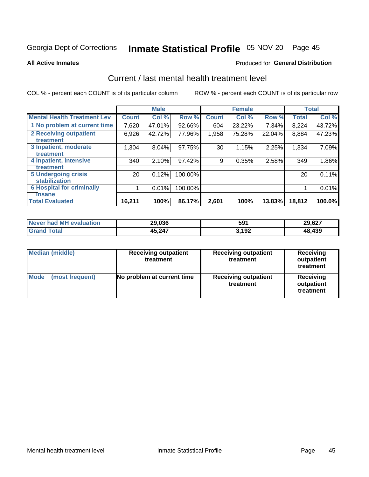# Inmate Statistical Profile 05-NOV-20 Page 45

**All Active Inmates** 

### **Produced for General Distribution**

## Current / last mental health treatment level

COL % - percent each COUNT is of its particular column

|                                    |                 | <b>Male</b> |         |              | <b>Female</b> |        |              | <b>Total</b> |
|------------------------------------|-----------------|-------------|---------|--------------|---------------|--------|--------------|--------------|
| <b>Mental Health Treatment Lev</b> | <b>Count</b>    | Col %       | Row %   | <b>Count</b> | Col %         | Row %  | <b>Total</b> | Col %        |
| 1 No problem at current time       | 7,620           | 47.01%      | 92.66%  | 604          | 23.22%        | 7.34%  | 8,224        | 43.72%       |
| 2 Receiving outpatient             | 6,926           | 42.72%      | 77.96%  | 1,958        | 75.28%        | 22.04% | 8,884        | 47.23%       |
| <b>Treatment</b>                   |                 |             |         |              |               |        |              |              |
| 3 Inpatient, moderate              | 1,304           | 8.04%       | 97.75%  | 30           | 1.15%         | 2.25%  | 1,334        | 7.09%        |
| Treatment                          |                 |             |         |              |               |        |              |              |
| 4 Inpatient, intensive             | 340             | 2.10%       | 97.42%  | 9            | 0.35%         | 2.58%  | 349          | 1.86%        |
| <b>Treatment</b>                   |                 |             |         |              |               |        |              |              |
| <b>5 Undergoing crisis</b>         | 20 <sub>1</sub> | 0.12%       | 100.00% |              |               |        | 20           | 0.11%        |
| <b>stabilization</b>               |                 |             |         |              |               |        |              |              |
| <b>6 Hospital for criminally</b>   |                 | 0.01%       | 100.00% |              |               |        |              | 0.01%        |
| <b>Tinsane</b>                     |                 |             |         |              |               |        |              |              |
| <b>Total Evaluated</b>             | 16,211          | 100%        | 86.17%  | 2,601        | 100%          | 13.83% | 18,812       | 100.0%       |

| Never had MH evaluation | 29,036 | 591   | 29,627 |
|-------------------------|--------|-------|--------|
|                         | 45,247 | 3.192 | ,439   |

| <b>Median (middle)</b>         | <b>Receiving outpatient</b><br>treatment | <b>Receiving outpatient</b><br>treatment | <b>Receiving</b><br>outpatient<br>treatment |  |
|--------------------------------|------------------------------------------|------------------------------------------|---------------------------------------------|--|
| <b>Mode</b><br>(most frequent) | No problem at current time               | <b>Receiving outpatient</b><br>treatment | Receiving<br>outpatient<br>treatment        |  |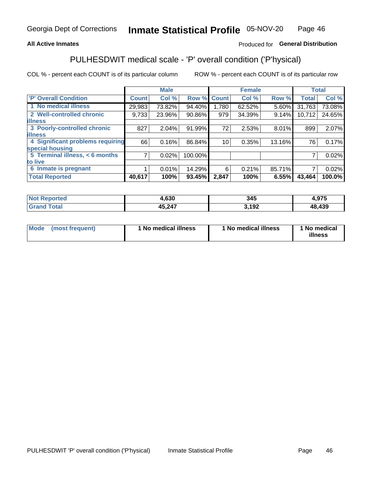#### **All Active Inmates**

### Produced for General Distribution

## PULHESDWIT medical scale - 'P' overall condition ('P'hysical)

COL % - percent each COUNT is of its particular column

|                                  |              | <b>Male</b> |         |              | <b>Female</b> |        |              | <b>Total</b> |
|----------------------------------|--------------|-------------|---------|--------------|---------------|--------|--------------|--------------|
| 'P' Overall Condition            | <b>Count</b> | Col %       | Row %   | <b>Count</b> | Col %         | Row %  | <b>Total</b> | Col %        |
| 1 No medical illness             | 29,983       | 73.82%      | 94.40%  | 1,780        | 62.52%        | 5.60%  | 31,763       | 73.08%       |
| 2 Well-controlled chronic        | 9,733        | 23.96%      | 90.86%  | 979          | 34.39%        | 9.14%  | 10,712       | 24.65%       |
| <b>lillness</b>                  |              |             |         |              |               |        |              |              |
| 3 Poorly-controlled chronic      | 827          | $2.04\%$    | 91.99%  | 72           | 2.53%         | 8.01%  | 899          | 2.07%        |
| <b>lillness</b>                  |              |             |         |              |               |        |              |              |
| 4 Significant problems requiring | 66           | 0.16%       | 86.84%  | 10           | 0.35%         | 13.16% | 76           | 0.17%        |
| special housing                  |              |             |         |              |               |        |              |              |
| 5 Terminal illness, < 6 months   | 7            | 0.02%       | 100.00% |              |               |        | 7            | 0.02%        |
| to live                          |              |             |         |              |               |        |              |              |
| 6 Inmate is pregnant             |              | 0.01%       | 14.29%  | 6            | 0.21%         | 85.71% | 7            | 0.02%        |
| <b>Total Reported</b>            | 40,617       | 100%        | 93.45%  | 2,847        | 100%          | 6.55%  | 43,464       | 100.0%       |

| тео | <b>CON</b><br>טכס. | マイベ<br>U⊤J  | $\sim$               |
|-----|--------------------|-------------|----------------------|
|     | E 947              | 102<br>45 ו | 439. {<br><b>A</b> 2 |

| Mode | (most frequent) | 1 No medical illness | 1 No medical illness | 1 No medical<br>illness |
|------|-----------------|----------------------|----------------------|-------------------------|
|------|-----------------|----------------------|----------------------|-------------------------|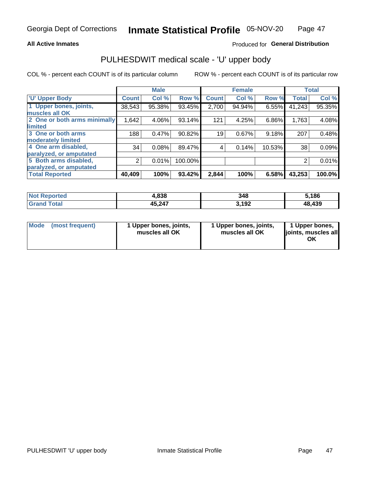#### **All Active Inmates**

### Produced for General Distribution

## PULHESDWIT medical scale - 'U' upper body

COL % - percent each COUNT is of its particular column

|                              |              | <b>Male</b> |         |              | <b>Female</b> |        |              | <b>Total</b> |
|------------------------------|--------------|-------------|---------|--------------|---------------|--------|--------------|--------------|
| <b>U' Upper Body</b>         | <b>Count</b> | Col %       | Row %   | <b>Count</b> | Col %         | Row %  | <b>Total</b> | Col %        |
| 1 Upper bones, joints,       | 38,543       | 95.38%      | 93.45%  | 2,700        | 94.94%        | 6.55%  | 41,243       | 95.35%       |
| muscles all OK               |              |             |         |              |               |        |              |              |
| 2 One or both arms minimally | 1,642        | 4.06%       | 93.14%  | 121          | 4.25%         | 6.86%  | 1,763        | 4.08%        |
| limited                      |              |             |         |              |               |        |              |              |
| 3 One or both arms           | 188          | 0.47%       | 90.82%  | 19           | 0.67%         | 9.18%  | 207          | 0.48%        |
| <b>moderately limited</b>    |              |             |         |              |               |        |              |              |
| 4 One arm disabled,          | 34           | 0.08%       | 89.47%  | 4            | 0.14%         | 10.53% | 38           | 0.09%        |
| paralyzed, or amputated      |              |             |         |              |               |        |              |              |
| 5 Both arms disabled,        | 2            | 0.01%       | 100.00% |              |               |        | 2            | 0.01%        |
| paralyzed, or amputated      |              |             |         |              |               |        |              |              |
| <b>Total Reported</b>        | 40,409       | 100%        | 93.42%  | 2,844        | 100%          | 6.58%  | 43,253       | 100.0%       |

| <b>Not Reported</b>   | 4,838  | 348   | 5,186  |
|-----------------------|--------|-------|--------|
| <b>Total</b><br>Grand | 45,247 | 3,192 | 48,439 |

| Mode | (most frequent) | 1 Upper bones, joints,<br>muscles all OK | 1 Upper bones, joints,<br>muscles all OK | 1 Upper bones,<br>joints, muscles all<br>ΟK |
|------|-----------------|------------------------------------------|------------------------------------------|---------------------------------------------|
|------|-----------------|------------------------------------------|------------------------------------------|---------------------------------------------|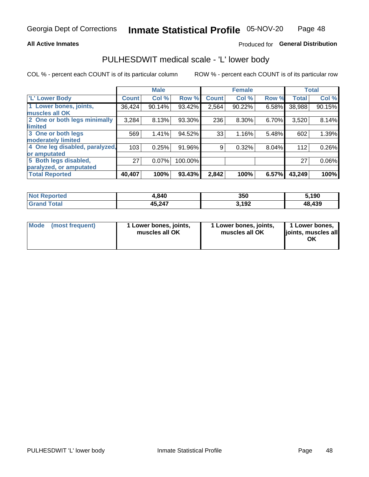#### **All Active Inmates**

### Produced for General Distribution

## PULHESDWIT medical scale - 'L' lower body

COL % - percent each COUNT is of its particular column

|                                |              | <b>Male</b> |         |              | <b>Female</b> |       |              | <b>Total</b> |
|--------------------------------|--------------|-------------|---------|--------------|---------------|-------|--------------|--------------|
| 'L' Lower Body                 | <b>Count</b> | Col %       | Row %   | <b>Count</b> | Col %         | Row % | <b>Total</b> | Col %        |
| 1 Lower bones, joints,         | 36,424       | 90.14%      | 93.42%  | 2,564        | 90.22%        | 6.58% | 38,988       | 90.15%       |
| muscles all OK                 |              |             |         |              |               |       |              |              |
| 2 One or both legs minimally   | 3,284        | 8.13%       | 93.30%  | 236          | 8.30%         | 6.70% | 3,520        | 8.14%        |
| limited                        |              |             |         |              |               |       |              |              |
| 3 One or both legs             | 569          | 1.41%       | 94.52%  | 33           | 1.16%         | 5.48% | 602          | 1.39%        |
| moderately limited             |              |             |         |              |               |       |              |              |
| 4 One leg disabled, paralyzed, | 103          | 0.25%       | 91.96%  | 9            | 0.32%         | 8.04% | 112          | 0.26%        |
| or amputated                   |              |             |         |              |               |       |              |              |
| 5 Both legs disabled,          | 27           | 0.07%       | 100.00% |              |               |       | 27           | 0.06%        |
| paralyzed, or amputated        |              |             |         |              |               |       |              |              |
| <b>Total Reported</b>          | 40,407       | 100%        | 93.43%  | 2,842        | 100%          | 6.57% | 43,249       | 100%         |

| <b>Not Reported</b> | 4,840  | 350   | 5,190  |
|---------------------|--------|-------|--------|
| <b>Grand Total</b>  | 45,247 | 3,192 | 48,439 |

| Mode | (most frequent) | 1 Lower bones, joints,<br>muscles all OK | I Lower bones, joints,<br>muscles all OK | 1 Lower bones,<br>joints, muscles all<br>ΟK |
|------|-----------------|------------------------------------------|------------------------------------------|---------------------------------------------|
|------|-----------------|------------------------------------------|------------------------------------------|---------------------------------------------|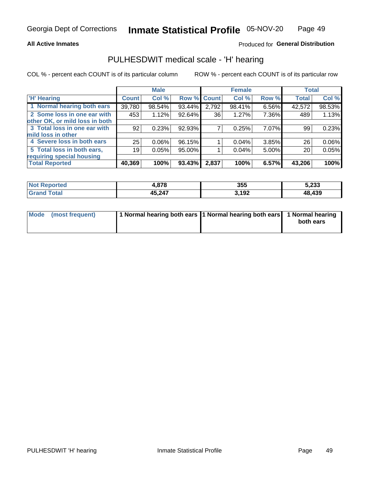#### **All Active Inmates**

### Produced for General Distribution

### PULHESDWIT medical scale - 'H' hearing

COL % - percent each COUNT is of its particular column

|                                |              | <b>Male</b> |             |       | <b>Female</b> |       | <b>Total</b> |        |
|--------------------------------|--------------|-------------|-------------|-------|---------------|-------|--------------|--------|
| <b>H' Hearing</b>              | <b>Count</b> | Col %       | Row % Count |       | Col %         | Row % | <b>Total</b> | Col %  |
| 1 Normal hearing both ears     | 39,780       | 98.54%      | 93.44%      | 2,792 | 98.41%        | 6.56% | 42,572       | 98.53% |
| 2 Some loss in one ear with    | 453          | 1.12%       | 92.64%      | 36    | 1.27%         | 7.36% | 489          | 1.13%  |
| other OK, or mild loss in both |              |             |             |       |               |       |              |        |
| 3 Total loss in one ear with   | 92           | 0.23%       | 92.93%      |       | 0.25%         | 7.07% | 99           | 0.23%  |
| mild loss in other             |              |             |             |       |               |       |              |        |
| 4 Severe loss in both ears     | 25           | 0.06%       | 96.15%      |       | 0.04%         | 3.85% | 26           | 0.06%  |
| 5 Total loss in both ears,     | 19           | 0.05%       | 95.00%      |       | 0.04%         | 5.00% | 20           | 0.05%  |
| requiring special housing      |              |             |             |       |               |       |              |        |
| <b>Total Reported</b>          | 40,369       | 100%        | 93.43%      | 2,837 | 100%          | 6.57% | 43,206       | 100%   |

| <b>Not Reno</b><br>ੋ"∩rted | 070    | 85 F F<br>კეე | 5,233  |
|----------------------------|--------|---------------|--------|
| Total                      | 45,247 | 3,192         | 48,439 |

| Mode (most frequent) | 1 Normal hearing both ears 11 Normal hearing both ears 1 Normal hearing | both ears |
|----------------------|-------------------------------------------------------------------------|-----------|
|                      |                                                                         |           |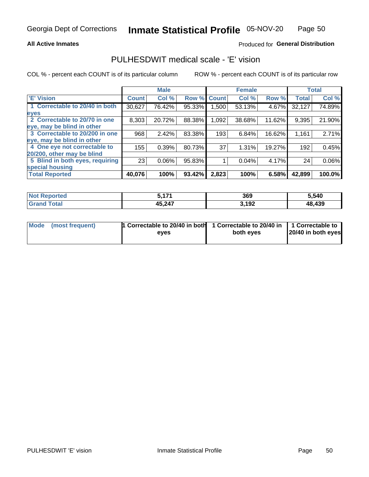#### **All Active Inmates**

### Produced for General Distribution

### PULHESDWIT medical scale - 'E' vision

COL % - percent each COUNT is of its particular column

|                                 |              | <b>Male</b> |        |              | <b>Female</b> |        |              | <b>Total</b> |
|---------------------------------|--------------|-------------|--------|--------------|---------------|--------|--------------|--------------|
| 'E' Vision                      | <b>Count</b> | Col %       | Row %  | <b>Count</b> | Col %         | Row %  | <b>Total</b> | Col %        |
| 1 Correctable to 20/40 in both  | 30,627       | 76.42%      | 95.33% | .500         | 53.13%        | 4.67%  | 32,127       | 74.89%       |
| eyes                            |              |             |        |              |               |        |              |              |
| 2 Correctable to 20/70 in one   | 8,303        | 20.72%      | 88.38% | 1,092        | 38.68%        | 11.62% | 9,395        | 21.90%       |
| eye, may be blind in other      |              |             |        |              |               |        |              |              |
| 3 Correctable to 20/200 in one  | 968          | 2.42%       | 83.38% | 193          | 6.84%         | 16.62% | 1,161        | 2.71%        |
| leye, may be blind in other     |              |             |        |              |               |        |              |              |
| 4 One eye not correctable to    | 155          | 0.39%       | 80.73% | 37           | 1.31%         | 19.27% | 192          | 0.45%        |
| 20/200, other may be blind      |              |             |        |              |               |        |              |              |
| 5 Blind in both eyes, requiring | 23           | 0.06%       | 95.83% |              | 0.04%         | 4.17%  | 24           | 0.06%        |
| special housing                 |              |             |        |              |               |        |              |              |
| <b>Total Reported</b>           | 40,076       | 100%        | 93.42% | 2,823        | 100%          | 6.58%  | 42,899       | 100.0%       |

| <b>Not Reported</b> | 474    | 369   | 5,540  |
|---------------------|--------|-------|--------|
| Гоtа                | 45,247 | 3,192 | 48,439 |

| Mode (most frequent) | 1 Correctable to 20/40 in both<br>eves | 1 Correctable to 20/40 in   1 Correctable to  <br>both eves | 20/40 in both eyes |
|----------------------|----------------------------------------|-------------------------------------------------------------|--------------------|
|                      |                                        |                                                             |                    |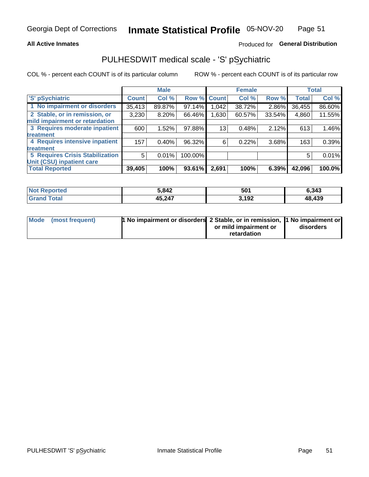#### **All Active Inmates**

### Produced for General Distribution

## PULHESDWIT medical scale - 'S' pSychiatric

COL % - percent each COUNT is of its particular column

|                                        |              | <b>Male</b> |             |       | <b>Female</b> |        |              | <b>Total</b> |
|----------------------------------------|--------------|-------------|-------------|-------|---------------|--------|--------------|--------------|
| 'S' pSychiatric                        | <b>Count</b> | Col %       | Row % Count |       | Col %         | Row %  | <b>Total</b> | Col %        |
| 1 No impairment or disorders           | 35,413       | 89.87%      | 97.14%      | 1,042 | 38.72%        | 2.86%  | 36,455       | 86.60%       |
| 2 Stable, or in remission, or          | 3,230        | $8.20\%$    | 66.46%      | 1,630 | 60.57%        | 33.54% | 4,860        | 11.55%       |
| mild impairment or retardation         |              |             |             |       |               |        |              |              |
| 3 Requires moderate inpatient          | 600          | 1.52%       | 97.88%      | 13    | 0.48%         | 2.12%  | 613          | 1.46%        |
| treatment                              |              |             |             |       |               |        |              |              |
| 4 Requires intensive inpatient         | 157          | 0.40%       | 96.32%      | 6     | 0.22%         | 3.68%  | 163          | 0.39%        |
| treatment                              |              |             |             |       |               |        |              |              |
| <b>5 Requires Crisis Stabilization</b> | 5            | 0.01%       | 100.00%     |       |               |        | 5            | 0.01%        |
| Unit (CSU) inpatient care              |              |             |             |       |               |        |              |              |
| <b>Total Reported</b>                  | 39,405       | 100%        | 93.61%      | 2,691 | 100%          | 6.39%  | 42,096       | 100.0%       |

| <b>Not Reported</b> | 5,842  | 501   | 6,343  |
|---------------------|--------|-------|--------|
| Total<br>Grand      | 45,247 | 3,192 | 48,439 |

| Mode (most frequent) | <b>1 No impairment or disorders 2 Stable, or in remission, 1 No impairment or</b> |                       |           |
|----------------------|-----------------------------------------------------------------------------------|-----------------------|-----------|
|                      |                                                                                   | or mild impairment or | disorders |
|                      |                                                                                   | retardation           |           |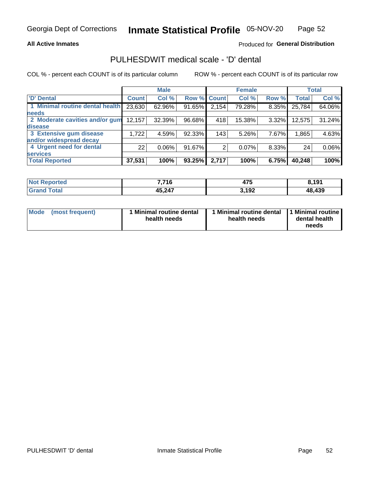#### **All Active Inmates**

### Produced for General Distribution

## PULHESDWIT medical scale - 'D' dental

COL % - percent each COUNT is of its particular column

|                                 |              | <b>Male</b> |        |              | <b>Female</b> |          |              | <b>Total</b> |
|---------------------------------|--------------|-------------|--------|--------------|---------------|----------|--------------|--------------|
| <b>D'</b> Dental                | <b>Count</b> | Col %       | Row %  | <b>Count</b> | Col %         | Row %    | <b>Total</b> | Col %        |
| 1 Minimal routine dental health | 23,630       | 62.96%      | 91.65% | 2,154        | 79.28%        | $8.35\%$ | 25,784       | 64.06%       |
| <b>needs</b>                    |              |             |        |              |               |          |              |              |
| 2 Moderate cavities and/or gum  | 12,157       | 32.39%      | 96.68% | 418          | 15.38%        | 3.32%    | 12,575       | 31.24%       |
| disease                         |              |             |        |              |               |          |              |              |
| 3 Extensive gum disease         | 1,722        | 4.59%       | 92.33% | 143          | 5.26%         | 7.67%    | 1,865        | 4.63%        |
| and/or widespread decay         |              |             |        |              |               |          |              |              |
| 4 Urgent need for dental        | 22           | $0.06\%$    | 91.67% |              | 0.07%         | 8.33%    | 24           | 0.06%        |
| <b>services</b>                 |              |             |        |              |               |          |              |              |
| <b>Total Reported</b>           | 37,531       | 100%        | 93.25% | 2,717        | 100%          | 6.75%    | 40,248       | 100%         |

| rteo<br>NO            | 7,716  | $\rightarrow$<br>475 | 8,191         |
|-----------------------|--------|----------------------|---------------|
| $f \wedge f \wedge f$ | 45,247 | 3,192                | .8,439<br>1 R |

| <b>Mode</b> | (most frequent) | Minimal routine dental<br>health needs | 1 Minimal routine dental 11 Minimal routine<br>health needs | dental health<br>needs |
|-------------|-----------------|----------------------------------------|-------------------------------------------------------------|------------------------|
|-------------|-----------------|----------------------------------------|-------------------------------------------------------------|------------------------|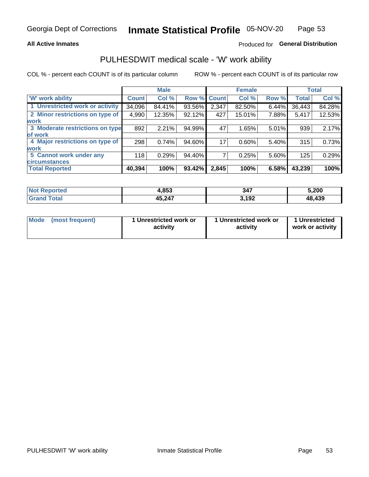#### **All Active Inmates**

### Produced for General Distribution

## PULHESDWIT medical scale - 'W' work ability

COL % - percent each COUNT is of its particular column

|                                 |              | <b>Male</b> |                    |       | <b>Female</b> |       |              | <b>Total</b> |
|---------------------------------|--------------|-------------|--------------------|-------|---------------|-------|--------------|--------------|
| 'W' work ability                | <b>Count</b> | Col %       | <b>Row % Count</b> |       | Col %         | Row % | <b>Total</b> | Col %        |
| 1 Unrestricted work or activity | 34,096       | 84.41%      | 93.56%             | 2,347 | 82.50%        | 6.44% | 36,443       | 84.28%       |
| 2 Minor restrictions on type of | 4,990        | 12.35%      | 92.12%             | 427   | 15.01%        | 7.88% | 5,417        | 12.53%       |
| <b>work</b>                     |              |             |                    |       |               |       |              |              |
| 3 Moderate restrictions on type | 892          | 2.21%       | 94.99%             | 47    | 1.65%         | 5.01% | 939          | 2.17%        |
| of work                         |              |             |                    |       |               |       |              |              |
| 4 Major restrictions on type of | 298          | 0.74%       | 94.60%             | 17    | 0.60%         | 5.40% | 315          | 0.73%        |
| <b>work</b>                     |              |             |                    |       |               |       |              |              |
| 5 Cannot work under any         | 118          | 0.29%       | 94.40%             |       | 0.25%         | 5.60% | 125          | 0.29%        |
| <b>circumstances</b>            |              |             |                    |       |               |       |              |              |
| <b>Total Reported</b>           | 40,394       | 100%        | 93.42%             | 2,845 | 100%          | 6.58% | 43,239       | 100%         |

| NotR<br><b>Enorted</b> | .853   | 347                  | 5,200  |
|------------------------|--------|----------------------|--------|
| Гоtal                  | 45,247 | 2 ימ<br>1 J 4<br>. . | 48,439 |

| Mode            | 1 Unrestricted work or | 1 Unrestricted work or | 1 Unrestricted   |
|-----------------|------------------------|------------------------|------------------|
| (most frequent) | activity               | activity               | work or activity |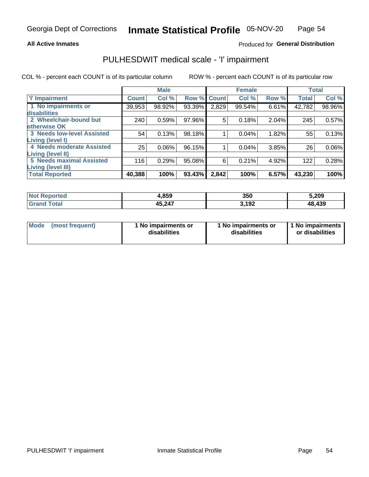#### **All Active Inmates**

### Produced for General Distribution

## PULHESDWIT medical scale - 'I' impairment

COL % - percent each COUNT is of its particular column

|                                                              |              | <b>Male</b> |        |             | <b>Female</b> |       | <b>Total</b> |          |
|--------------------------------------------------------------|--------------|-------------|--------|-------------|---------------|-------|--------------|----------|
| <b>T' Impairment</b>                                         | <b>Count</b> | Col %       |        | Row % Count | Col %         | Row % | <b>Total</b> | Col %    |
| 1 No impairments or                                          | 39,953       | 98.92%      | 93.39% | 2,829       | 99.54%        | 6.61% | 42,782       | 98.96%   |
| disabilities<br>2 Wheelchair-bound but<br>otherwise OK       | 240          | 0.59%       | 97.96% | 5           | 0.18%         | 2.04% | 245          | 0.57%    |
| <b>3 Needs low-level Assisted</b><br>Living (level I)        | 54           | 0.13%       | 98.18% |             | 0.04%         | 1.82% | 55           | 0.13%    |
| 4 Needs moderate Assisted<br>Living (level II)               | 25           | $0.06\%$    | 96.15% |             | 0.04%         | 3.85% | 26           | $0.06\%$ |
| <b>5 Needs maximal Assisted</b><br><b>Living (level III)</b> | 116          | 0.29%       | 95.08% | 6           | 0.21%         | 4.92% | 122          | 0.28%    |
| <b>Total Reported</b>                                        | 40,388       | 100%        | 93.43% | 2,842       | 100%          | 6.57% | 43,230       | 100%     |

| orted | l.859  | 350         | 5,209  |
|-------|--------|-------------|--------|
|       | 45,247 | 102<br>94 L | 48,439 |

| Mode | (most frequent) | 1 No impairments or<br>disabilities | 1 No impairments or<br>disabilities | 1 No impairments<br>or disabilities |
|------|-----------------|-------------------------------------|-------------------------------------|-------------------------------------|
|------|-----------------|-------------------------------------|-------------------------------------|-------------------------------------|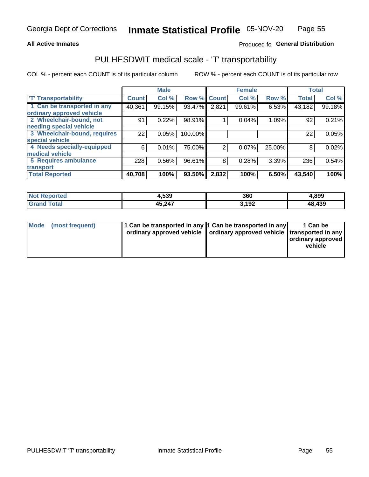#### **All Active Inmates**

### Produced fo General Distribution

## PULHESDWIT medical scale - 'T' transportability

COL % - percent each COUNT is of its particular column

|                              |              | <b>Male</b> |         |              | <b>Female</b> |        |              | <b>Total</b> |
|------------------------------|--------------|-------------|---------|--------------|---------------|--------|--------------|--------------|
| <b>T' Transportability</b>   | <b>Count</b> | Col %       | Row %   | <b>Count</b> | Col %         | Row %  | <b>Total</b> | Col %        |
| 1 Can be transported in any  | 40,361       | 99.15%      | 93.47%  | 2,821        | 99.61%        | 6.53%  | 43,182       | 99.18%       |
| ordinary approved vehicle    |              |             |         |              |               |        |              |              |
| 2 Wheelchair-bound, not      | 91           | 0.22%       | 98.91%  |              | 0.04%         | 1.09%  | 92           | 0.21%        |
| needing special vehicle      |              |             |         |              |               |        |              |              |
| 3 Wheelchair-bound, requires | 22           | 0.05%       | 100.00% |              |               |        | 22           | 0.05%        |
| special vehicle              |              |             |         |              |               |        |              |              |
| 4 Needs specially-equipped   | 6            | 0.01%       | 75.00%  | 2            | 0.07%         | 25.00% | 8            | 0.02%        |
| medical vehicle              |              |             |         |              |               |        |              |              |
| <b>5 Requires ambulance</b>  | 228          | 0.56%       | 96.61%  | 8            | 0.28%         | 3.39%  | 236          | 0.54%        |
| transport                    |              |             |         |              |               |        |              |              |
| <b>Total Reported</b>        | 40,708       | 100%        | 93.50%  | 2,832        | 100%          | 6.50%  | 43,540       | 100%         |

| orted | 1,539         | 360          | 4,899       |
|-------|---------------|--------------|-------------|
|       | <b>AE 9A7</b> | 192<br>194 L | ,439<br>1.R |

|  | Mode (most frequent) | 1 Can be transported in any 1 Can be transported in any<br>ordinary approved vehicle   ordinary approved vehicle   transported in any |  | 1 Can be<br>  ordinary approved  <br>vehicle |
|--|----------------------|---------------------------------------------------------------------------------------------------------------------------------------|--|----------------------------------------------|
|--|----------------------|---------------------------------------------------------------------------------------------------------------------------------------|--|----------------------------------------------|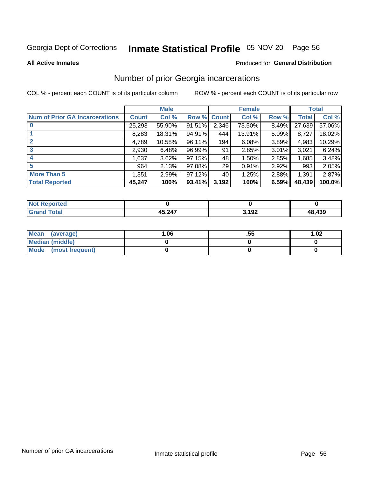# Inmate Statistical Profile 05-NOV-20 Page 56

**All Active Inmates** 

### **Produced for General Distribution**

### Number of prior Georgia incarcerations

COL % - percent each COUNT is of its particular column

|                                       |        | <b>Male</b> |             |       | <b>Female</b> |       |        | <b>Total</b> |
|---------------------------------------|--------|-------------|-------------|-------|---------------|-------|--------|--------------|
| <b>Num of Prior GA Incarcerations</b> | Count  | Col %       | Row % Count |       | Col %         | Row % | Total  | Col %        |
|                                       | 25,293 | 55.90%      | 91.51%      | 2,346 | 73.50%        | 8.49% | 27,639 | 57.06%       |
|                                       | 8,283  | 18.31%      | 94.91%      | 444   | 13.91%        | 5.09% | 8,727  | 18.02%       |
| $\overline{2}$                        | 4,789  | 10.58%      | 96.11%      | 194   | 6.08%         | 3.89% | 4,983  | 10.29%       |
| 3                                     | 2,930  | 6.48%       | 96.99%      | 91    | 2.85%         | 3.01% | 3,021  | 6.24%        |
| $\boldsymbol{4}$                      | 1,637  | 3.62%       | $97.15\%$   | 48    | 1.50%         | 2.85% | 1,685  | 3.48%        |
| 5                                     | 964    | 2.13%       | 97.08%      | 29    | 0.91%         | 2.92% | 993    | 2.05%        |
| <b>More Than 5</b>                    | 1,351  | 2.99%       | $97.12\%$   | 40    | 1.25%         | 2.88% | 1,391  | 2.87%        |
| <b>Total Reported</b>                 | 45,247 | 100%        | 93.41%      | 3,192 | 100%          | 6.59% | 48,439 | 100.0%       |

| orted<br>NO |            |      |      |
|-------------|------------|------|------|
| `otal       | $AB$ $2A7$ | ,192 | ,439 |
| Gr          | , , , , ,  |      | 48   |

| Mean (average)       | 06.، | .55 | 1.02 |
|----------------------|------|-----|------|
| Median (middle)      |      |     |      |
| Mode (most frequent) |      |     |      |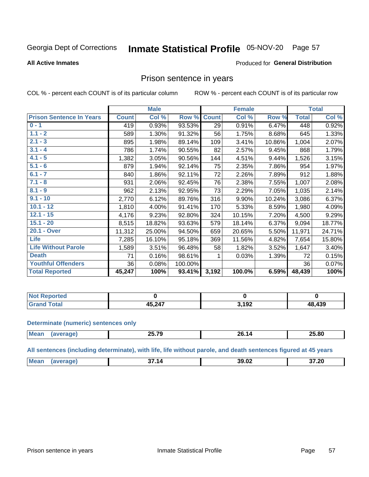#### Inmate Statistical Profile 05-NOV-20 Page 57

#### **All Active Inmates**

#### Produced for General Distribution

### Prison sentence in years

COL % - percent each COUNT is of its particular column

ROW % - percent each COUNT is of its particular row

|                                 |              | <b>Male</b> |         |              | <b>Female</b> |        | <b>Total</b> |        |
|---------------------------------|--------------|-------------|---------|--------------|---------------|--------|--------------|--------|
| <b>Prison Sentence In Years</b> | <b>Count</b> | Col %       | Row %   | <b>Count</b> | Col %         | Row %  | <b>Total</b> | Col %  |
| $0 - 1$                         | 419          | 0.93%       | 93.53%  | 29           | 0.91%         | 6.47%  | 448          | 0.92%  |
| $1.1 - 2$                       | 589          | 1.30%       | 91.32%  | 56           | 1.75%         | 8.68%  | 645          | 1.33%  |
| $2.1 - 3$                       | 895          | 1.98%       | 89.14%  | 109          | 3.41%         | 10.86% | 1,004        | 2.07%  |
| $3.1 - 4$                       | 786          | 1.74%       | 90.55%  | 82           | 2.57%         | 9.45%  | 868          | 1.79%  |
| $4.1 - 5$                       | 1,382        | 3.05%       | 90.56%  | 144          | 4.51%         | 9.44%  | 1,526        | 3.15%  |
| $5.1 - 6$                       | 879          | 1.94%       | 92.14%  | 75           | 2.35%         | 7.86%  | 954          | 1.97%  |
| $6.1 - 7$                       | 840          | 1.86%       | 92.11%  | 72           | 2.26%         | 7.89%  | 912          | 1.88%  |
| $7.1 - 8$                       | 931          | 2.06%       | 92.45%  | 76           | 2.38%         | 7.55%  | 1,007        | 2.08%  |
| $8.1 - 9$                       | 962          | 2.13%       | 92.95%  | 73           | 2.29%         | 7.05%  | 1,035        | 2.14%  |
| $9.1 - 10$                      | 2,770        | 6.12%       | 89.76%  | 316          | 9.90%         | 10.24% | 3,086        | 6.37%  |
| $10.1 - 12$                     | 1,810        | 4.00%       | 91.41%  | 170          | 5.33%         | 8.59%  | 1,980        | 4.09%  |
| $12.1 - 15$                     | 4,176        | 9.23%       | 92.80%  | 324          | 10.15%        | 7.20%  | 4,500        | 9.29%  |
| $15.1 - 20$                     | 8,515        | 18.82%      | 93.63%  | 579          | 18.14%        | 6.37%  | 9,094        | 18.77% |
| 20.1 - Over                     | 11,312       | 25.00%      | 94.50%  | 659          | 20.65%        | 5.50%  | 11,971       | 24.71% |
| <b>Life</b>                     | 7,285        | 16.10%      | 95.18%  | 369          | 11.56%        | 4.82%  | 7,654        | 15.80% |
| <b>Life Without Parole</b>      | 1,589        | 3.51%       | 96.48%  | 58           | 1.82%         | 3.52%  | 1,647        | 3.40%  |
| <b>Death</b>                    | 71           | 0.16%       | 98.61%  |              | 0.03%         | 1.39%  | 72           | 0.15%  |
| <b>Youthful Offenders</b>       | 36           | 0.08%       | 100.00% |              |               |        | 36           | 0.07%  |
| <b>Total Reported</b>           | 45,247       | 100%        | 93.41%  | 3,192        | 100.0%        | 6.59%  | 48,439       | 100%   |

| <b>Not Reported</b> |        |            |        |
|---------------------|--------|------------|--------|
| . Caro              | 15 247 | 102<br>194 | 48,439 |

#### **Determinate (numeric) sentences only**

| <b>Mean</b> | $\sim$ $ \sim$<br>1 U<br>---- | /n<br>Ί4 | 25.80 |
|-------------|-------------------------------|----------|-------|
|             |                               |          |       |

All sentences (including determinate), with life, life without parole, and death sentences figured at 45 years

| 39.02<br><b>Me</b><br>--<br>27 OC<br>14<br>ש.ע⊾<br>. . 20<br>___ |  |  |  |
|------------------------------------------------------------------|--|--|--|
|                                                                  |  |  |  |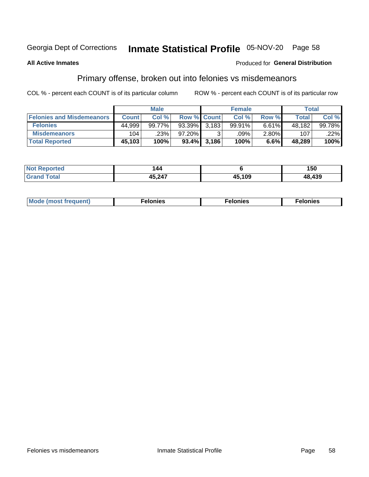## Inmate Statistical Profile 05-NOV-20 Page 58

#### **All Active Inmates**

#### **Produced for General Distribution**

## Primary offense, broken out into felonies vs misdemeanors

COL % - percent each COUNT is of its particular column

|                                  |              | <b>Male</b> |        |                    | <b>Female</b> |       | Total  |        |
|----------------------------------|--------------|-------------|--------|--------------------|---------------|-------|--------|--------|
| <b>Felonies and Misdemeanors</b> | <b>Count</b> | Col%        |        | <b>Row % Count</b> | Col%          | Row % | Total  | Col %  |
| <b>Felonies</b>                  | 44,999       | 99.77%      | 93.39% | 3.183              | 99.91%        | 6.61% | 48,182 | 99.78% |
| <b>Misdemeanors</b>              | 104          | .23%        | 97.20% | C.                 | .09% '        | 2.80% | 107    | .22%   |
| <b>Total Reported</b>            | 45,103       | 100%        |        | $93.4\%$ 3,186     | 100%          | 6.6%  | 48,289 | 100%   |

| <b>Not</b><br>Reported |              |        | 150    |
|------------------------|--------------|--------|--------|
| ™otaı<br><b>Grand</b>  | 15 247<br>″∙ | +5,109 | 48,439 |

| <b>Mo</b><br>requent)<br>$\sim$ | nıes | າເes | elonies |
|---------------------------------|------|------|---------|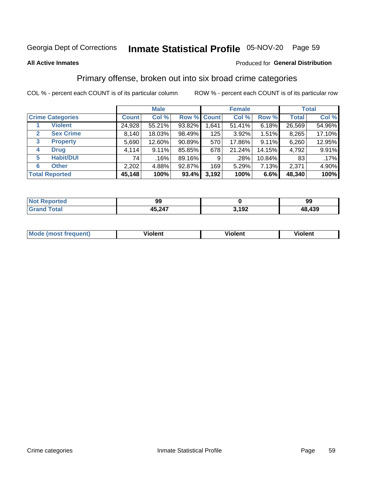# Inmate Statistical Profile 05-NOV-20 Page 59

#### **All Active Inmates**

#### Produced for General Distribution

### Primary offense, broken out into six broad crime categories

COL % - percent each COUNT is of its particular column

|                                 |                 | <b>Male</b> |        |             | <b>Female</b> |        |              | <b>Total</b> |  |
|---------------------------------|-----------------|-------------|--------|-------------|---------------|--------|--------------|--------------|--|
| <b>Crime Categories</b>         | <b>Count</b>    | Col %       |        | Row % Count | Col %         | Row %  | <b>Total</b> | Col %        |  |
| <b>Violent</b>                  | 24,928          | 55.21%      | 93.82% | 1,641       | 51.41%        | 6.18%  | 26,569       | 54.96%       |  |
| <b>Sex Crime</b><br>2           | 8,140           | 18.03%      | 98.49% | 125         | 3.92%         | 1.51%  | 8,265        | 17.10%       |  |
| $\mathbf{3}$<br><b>Property</b> | 5,690           | 12.60%      | 90.89% | 570         | 17.86%        | 9.11%  | 6,260        | 12.95%       |  |
| <b>Drug</b><br>4                | 4,114           | 9.11%       | 85.85% | 678         | 21.24%        | 14.15% | 4,792        | 9.91%        |  |
| <b>Habit/DUI</b><br>5           | 74 <sub>1</sub> | .16%        | 89.16% | 9           | $.28\%$       | 10.84% | 83           | .17%         |  |
| <b>Other</b><br>6               | 2,202           | 4.88%       | 92.87% | 169         | 5.29%         | 7.13%  | 2,371        | 4.90%        |  |
| <b>Total Reported</b>           | 45,148          | 100%        | 93.4%  | 3,192       | 100%          | 6.6%   | 48,340       | 100%         |  |

| τeα<br>NO | ac<br>J. |                                                 | 99         |
|-----------|----------|-------------------------------------------------|------------|
|           | 45,247   | $\sqrt{2}$<br>$\mathcal{A}$ , i j $\mathcal{L}$ | .439<br>1Я |

| <b>Mode (most frequent)</b> | .<br><b>iolent</b> | 'iolent | ---<br>Violent |
|-----------------------------|--------------------|---------|----------------|
|                             |                    |         |                |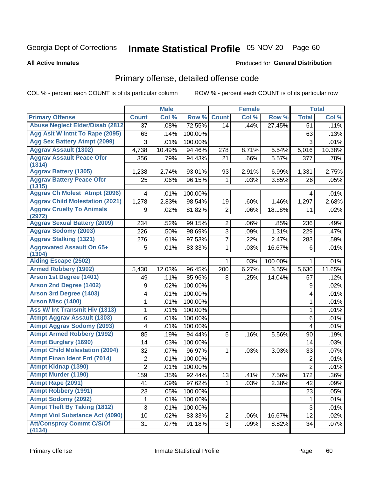# Inmate Statistical Profile 05-NOV-20 Page 60

**All Active Inmates** 

#### **Produced for General Distribution**

## Primary offense, detailed offense code

COL % - percent each COUNT is of its particular column

|                                            |                 | <b>Male</b> |         |                | <b>Female</b> |         |                  | <b>Total</b> |
|--------------------------------------------|-----------------|-------------|---------|----------------|---------------|---------|------------------|--------------|
| <b>Primary Offense</b>                     | <b>Count</b>    | Col %       | Row %   | <b>Count</b>   | Col %         | Row %   | <b>Total</b>     | Col %        |
| <b>Abuse Neglect Elder/Disab (2812)</b>    | $\overline{37}$ | .08%        | 72.55%  | 14             | .44%          | 27.45%  | 51               | .11%         |
| Agg Aslt W Intnt To Rape (2095)            | 63              | .14%        | 100.00% |                |               |         | 63               | .13%         |
| <b>Agg Sex Battery Atmpt (2099)</b>        | 3               | .01%        | 100.00% |                |               |         | $\mathbf{3}$     | .01%         |
| <b>Aggrav Assault (1302)</b>               | 4,738           | 10.49%      | 94.46%  | 278            | 8.71%         | 5.54%   | 5,016            | 10.38%       |
| <b>Aggrav Assault Peace Ofcr</b>           | 356             | .79%        | 94.43%  | 21             | .66%          | 5.57%   | 377              | .78%         |
| (1314)                                     |                 |             |         |                |               |         |                  |              |
| <b>Aggrav Battery (1305)</b>               | 1,238           | 2.74%       | 93.01%  | 93             | 2.91%         | 6.99%   | 1,331            | 2.75%        |
| <b>Aggrav Battery Peace Ofcr</b><br>(1315) | 25              | .06%        | 96.15%  | 1              | .03%          | 3.85%   | 26               | .05%         |
| <b>Aggrav Ch Molest Atmpt (2096)</b>       | 4               | .01%        | 100.00% |                |               |         | 4                | .01%         |
| <b>Aggrav Child Molestation (2021)</b>     | 1,278           | 2.83%       | 98.54%  | 19             | .60%          | 1.46%   | 1,297            | 2.68%        |
| <b>Aggrav Cruelty To Animals</b>           | 9               | .02%        | 81.82%  | $\overline{2}$ | .06%          | 18.18%  | 11               | .02%         |
| (2972)                                     |                 |             |         |                |               |         |                  |              |
| <b>Aggrav Sexual Battery (2009)</b>        | 234             | .52%        | 99.15%  | $\overline{2}$ | .06%          | .85%    | 236              | .49%         |
| <b>Aggrav Sodomy (2003)</b>                | 226             | .50%        | 98.69%  | $\overline{3}$ | .09%          | 1.31%   | 229              | .47%         |
| <b>Aggrav Stalking (1321)</b>              | 276             | .61%        | 97.53%  | $\overline{7}$ | .22%          | 2.47%   | 283              | .59%         |
| <b>Aggravated Assault On 65+</b><br>(1304) | 5               | .01%        | 83.33%  | $\mathbf{1}$   | .03%          | 16.67%  | 6                | .01%         |
| <b>Aiding Escape (2502)</b>                |                 |             |         | 1              | .03%          | 100.00% | 1                | .01%         |
| <b>Armed Robbery (1902)</b>                | 5,430           | 12.03%      | 96.45%  | 200            | 6.27%         | 3.55%   | 5,630            | 11.65%       |
| Arson 1st Degree (1401)                    | 49              | .11%        | 85.96%  | 8              | .25%          | 14.04%  | 57               | .12%         |
| <b>Arson 2nd Degree (1402)</b>             | 9               | .02%        | 100.00% |                |               |         | 9                | .02%         |
| <b>Arson 3rd Degree (1403)</b>             | 4               | .01%        | 100.00% |                |               |         | 4                | .01%         |
| <b>Arson Misc (1400)</b>                   | 1               | .01%        | 100.00% |                |               |         | 1                | .01%         |
| Ass W/ Int Transmit Hiv (1313)             | 1               | .01%        | 100.00% |                |               |         | $\mathbf{1}$     | .01%         |
| <b>Atmpt Aggrav Assault (1303)</b>         | 6               | .01%        | 100.00% |                |               |         | 6                | .01%         |
| <b>Atmpt Aggrav Sodomy (2093)</b>          | 4               | .01%        | 100.00% |                |               |         | 4                | .01%         |
| <b>Atmpt Armed Robbery (1992)</b>          | 85              | .19%        | 94.44%  | 5              | .16%          | 5.56%   | 90               | .19%         |
| <b>Atmpt Burglary (1690)</b>               | 14              | .03%        | 100.00% |                |               |         | 14               | .03%         |
| <b>Atmpt Child Molestation (2094)</b>      | 32              | .07%        | 96.97%  | 1              | .03%          | 3.03%   | 33               | .07%         |
| <b>Atmpt Finan Ident Frd (7014)</b>        | $\overline{2}$  | .01%        | 100.00% |                |               |         | $\sqrt{2}$       | .01%         |
| <b>Atmpt Kidnap (1390)</b>                 | $\overline{2}$  | .01%        | 100.00% |                |               |         | $\overline{2}$   | .01%         |
| <b>Atmpt Murder (1190)</b>                 | 159             | .35%        | 92.44%  | 13             | .41%          | 7.56%   | $\overline{172}$ | .36%         |
| Atmpt Rape (2091)                          | 41              | .09%        | 97.62%  |                | .03%          | 2.38%   | 42               | .09%         |
| <b>Atmpt Robbery (1991)</b>                | 23              | .05%        | 100.00% |                |               |         | 23               | .05%         |
| <b>Atmpt Sodomy (2092)</b>                 | 1               | .01%        | 100.00% |                |               |         | 1                | .01%         |
| <b>Atmpt Theft By Taking (1812)</b>        | 3               | .01%        | 100.00% |                |               |         | $\mathfrak{S}$   | .01%         |
| <b>Atmpt Viol Substance Act (4090)</b>     | 10              | .02%        | 83.33%  | $\overline{c}$ | .06%          | 16.67%  | 12               | .02%         |
| <b>Att/Consprcy Commt C/S/Of</b><br>(4134) | 31              | .07%        | 91.18%  | 3 <sup>1</sup> | .09%          | 8.82%   | 34               | .07%         |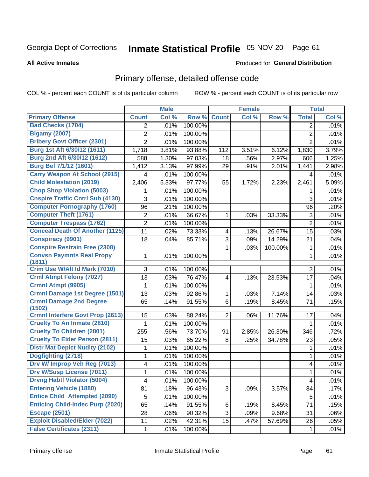# Inmate Statistical Profile 05-NOV-20 Page 61

**Produced for General Distribution** 

#### **All Active Inmates**

## Primary offense, detailed offense code

COL % - percent each COUNT is of its particular column

|                                          |                | <b>Male</b> |                  |                         | <b>Female</b> |         |                | <b>Total</b> |
|------------------------------------------|----------------|-------------|------------------|-------------------------|---------------|---------|----------------|--------------|
| <b>Primary Offense</b>                   | <b>Count</b>   | Col %       | Row <sup>%</sup> | <b>Count</b>            | Col %         | Row %   | <b>Total</b>   | Col %        |
| <b>Bad Checks (1704)</b>                 | $\overline{2}$ | .01%        | 100.00%          |                         |               |         | 2              | .01%         |
| <b>Bigamy (2007)</b>                     | 2              | .01%        | 100.00%          |                         |               |         | $\overline{2}$ | .01%         |
| <b>Bribery Govt Officer (2301)</b>       | $\overline{2}$ | .01%        | 100.00%          |                         |               |         | $\overline{2}$ | .01%         |
| Burg 1st Aft 6/30/12 (1611)              | 1,718          | 3.81%       | 93.88%           | 112                     | 3.51%         | 6.12%   | 1,830          | 3.79%        |
| Burg 2nd Aft 6/30/12 (1612)              | 588            | 1.30%       | 97.03%           | 18                      | .56%          | 2.97%   | 606            | 1.25%        |
| <b>Burg Bef 7/1/12 (1601)</b>            | 1,412          | 3.13%       | 97.99%           | 29                      | .91%          | 2.01%   | 1,441          | 2.98%        |
| <b>Carry Weapon At School (2915)</b>     | 4              | .01%        | 100.00%          |                         |               |         | 4              | .01%         |
| <b>Child Molestation (2019)</b>          | 2,406          | 5.33%       | 97.77%           | 55                      | 1.72%         | 2.23%   | 2,461          | 5.09%        |
| <b>Chop Shop Violation (5003)</b>        | 1              | .01%        | 100.00%          |                         |               |         | 1              | .01%         |
| <b>Cnspire Traffic Cntrl Sub (4130)</b>  | 3              | .01%        | 100.00%          |                         |               |         | 3              | .01%         |
| <b>Computer Pornography (1760)</b>       | 96             | .21%        | 100.00%          |                         |               |         | 96             | .20%         |
| <b>Computer Theft (1761)</b>             | 2              | .01%        | 66.67%           | $\mathbf{1}$            | .03%          | 33.33%  | 3              | .01%         |
| <b>Computer Trespass (1762)</b>          | $\overline{2}$ | .01%        | 100.00%          |                         |               |         | $\overline{2}$ | .01%         |
| <b>Conceal Death Of Another (1125)</b>   | 11             | .02%        | 73.33%           | $\overline{\mathbf{4}}$ | .13%          | 26.67%  | 15             | .03%         |
| <b>Conspiracy (9901)</b>                 | 18             | .04%        | 85.71%           | 3                       | .09%          | 14.29%  | 21             | .04%         |
| <b>Conspire Restrain Free (2308)</b>     |                |             |                  | 1                       | .03%          | 100.00% | 1              | .01%         |
| <b>Convsn Paymnts Real Propy</b>         | 1              | .01%        | 100.00%          |                         |               |         | $\mathbf{1}$   | .01%         |
| (1811)                                   |                |             |                  |                         |               |         |                |              |
| Crim Use W/Alt Id Mark (7010)            | 3              | .01%        | 100.00%          |                         |               |         | 3              | .01%         |
| <b>Crml Atmpt Felony (7027)</b>          | 13             | .03%        | 76.47%           | $\overline{\mathbf{4}}$ | .13%          | 23.53%  | 17             | .04%         |
| Crmnl Atmpt (9905)                       | 1              | .01%        | 100.00%          |                         |               |         | 1              | .01%         |
| <b>Crmnl Damage 1st Degree (1501)</b>    | 13             | .03%        | 92.86%           | 1                       | .03%          | 7.14%   | 14             | .03%         |
| <b>Crmnl Damage 2nd Degree</b><br>(1502) | 65             | .14%        | 91.55%           | 6                       | .19%          | 8.45%   | 71             | .15%         |
| <b>Crmnl Interfere Govt Prop (2613)</b>  | 15             | .03%        | 88.24%           | $\overline{2}$          | .06%          | 11.76%  | 17             | .04%         |
| <b>Cruelty To An Inmate (2810)</b>       | 1              | .01%        | 100.00%          |                         |               |         | 1              | .01%         |
| <b>Cruelty To Children (2801)</b>        | 255            | .56%        | 73.70%           | 91                      | 2.85%         | 26.30%  | 346            | .72%         |
| <b>Cruelty To Elder Person (2811)</b>    | 15             | .03%        | 65.22%           | 8                       | .25%          | 34.78%  | 23             | .05%         |
| <b>Distr Mat Depict Nudity (2102)</b>    | 1              | .01%        | 100.00%          |                         |               |         | 1              | .01%         |
| Dogfighting (2718)                       | 1              | .01%        | 100.00%          |                         |               |         | 1              | .01%         |
| Drv W/ Improp Veh Reg (7013)             | 4              | .01%        | 100.00%          |                         |               |         | 4              | .01%         |
| <b>Drv W/Susp License (7011)</b>         | $\mathbf 1$    | .01%        | 100.00%          |                         |               |         | 1              | .01%         |
| <b>Drvng Habtl Violator (5004)</b>       | 4              | .01%        | 100.00%          |                         |               |         | 4              | .01%         |
| <b>Entering Vehicle (1880)</b>           | 81             | .18%        | 96.43%           | 3                       | .09%          | 3.57%   | 84             | .17%         |
| <b>Entice Child Attempted (2090)</b>     | 5              | .01%        | 100.00%          |                         |               |         | 5              | .01%         |
| <b>Enticing Child-Indec Purp (2020)</b>  | 65             | .14%        | 91.55%           | 6                       | .19%          | 8.45%   | 71             | .15%         |
| <b>Escape (2501)</b>                     | 28             | .06%        | 90.32%           | 3                       | .09%          | 9.68%   | 31             | .06%         |
| <b>Exploit Disabled/Elder (7022)</b>     | 11             | .02%        | 42.31%           | 15                      | .47%          | 57.69%  | 26             | .05%         |
| <b>False Certificates (2311)</b>         | $\mathbf 1$    | .01%        | 100.00%          |                         |               |         | 1              | .01%         |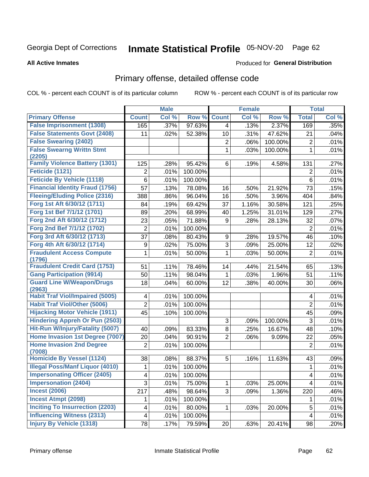# Inmate Statistical Profile 05-NOV-20 Page 62

#### **All Active Inmates**

#### **Produced for General Distribution**

### Primary offense, detailed offense code

COL % - percent each COUNT is of its particular column

|                                            |                         | <b>Male</b> |         |                 | <b>Female</b> |         |                         | <b>Total</b> |
|--------------------------------------------|-------------------------|-------------|---------|-----------------|---------------|---------|-------------------------|--------------|
| <b>Primary Offense</b>                     | <b>Count</b>            | Col %       | Row %   | <b>Count</b>    | Col %         | Row %   | <b>Total</b>            | Col %        |
| <b>False Imprisonment (1308)</b>           | 165                     | .37%        | 97.63%  | $\overline{4}$  | .13%          | 2.37%   | 169                     | .35%         |
| <b>False Statements Govt (2408)</b>        | 11                      | .02%        | 52.38%  | 10              | .31%          | 47.62%  | 21                      | .04%         |
| <b>False Swearing (2402)</b>               |                         |             |         | 2               | .06%          | 100.00% | $\overline{2}$          | .01%         |
| <b>False Swearng Writtn Stmt</b>           |                         |             |         | 1               | .03%          | 100.00% | 1                       | .01%         |
| (2205)                                     |                         |             |         |                 |               |         |                         |              |
| <b>Family Violence Battery (1301)</b>      | 125                     | .28%        | 95.42%  | 6               | .19%          | 4.58%   | 131                     | .27%         |
| Feticide (1121)                            | $\overline{2}$          | .01%        | 100.00% |                 |               |         | $\overline{2}$          | .01%         |
| <b>Feticide By Vehicle (1118)</b>          | 6                       | .01%        | 100.00% |                 |               |         | 6                       | .01%         |
| <b>Financial Identity Fraud (1756)</b>     | 57                      | .13%        | 78.08%  | 16              | .50%          | 21.92%  | 73                      | .15%         |
| <b>Fleeing/Eluding Police (2316)</b>       | 388                     | .86%        | 96.04%  | 16              | .50%          | 3.96%   | 404                     | .84%         |
| Forg 1st Aft 6/30/12 (1711)                | 84                      | .19%        | 69.42%  | 37              | 1.16%         | 30.58%  | 121                     | .25%         |
| Forg 1st Bef 7/1/12 (1701)                 | 89                      | .20%        | 68.99%  | 40              | 1.25%         | 31.01%  | 129                     | .27%         |
| Forg 2nd Aft 6/30/12 (1712)                | 23                      | .05%        | 71.88%  | 9               | .28%          | 28.13%  | 32                      | .07%         |
| Forg 2nd Bef 7/1/12 (1702)                 | 2                       | .01%        | 100.00% |                 |               |         | $\overline{2}$          | .01%         |
| Forg 3rd Aft 6/30/12 (1713)                | 37                      | .08%        | 80.43%  | 9               | .28%          | 19.57%  | 46                      | .10%         |
| Forg 4th Aft 6/30/12 (1714)                | 9                       | .02%        | 75.00%  | 3               | .09%          | 25.00%  | 12                      | .02%         |
| <b>Fraudulent Access Compute</b><br>(1796) | 1                       | .01%        | 50.00%  | 1               | .03%          | 50.00%  | 2                       | .01%         |
| <b>Fraudulent Credit Card (1753)</b>       | 51                      | .11%        | 78.46%  | 14              | .44%          | 21.54%  | 65                      | .13%         |
| <b>Gang Participation (9914)</b>           | 50                      | .11%        | 98.04%  | 1               | .03%          | 1.96%   | 51                      | .11%         |
| <b>Guard Line W/Weapon/Drugs</b>           | 18                      | .04%        | 60.00%  | 12              | .38%          | 40.00%  | 30                      | .06%         |
| (2963)                                     |                         |             |         |                 |               |         |                         |              |
| <b>Habit Traf Viol/Impaired (5005)</b>     | 4                       | .01%        | 100.00% |                 |               |         | 4                       | .01%         |
| <b>Habit Traf Viol/Other (5006)</b>        | $\overline{2}$          | .01%        | 100.00% |                 |               |         | $\overline{2}$          | .01%         |
| <b>Hijacking Motor Vehicle (1911)</b>      | 45                      | .10%        | 100.00% |                 |               |         | 45                      | .09%         |
| <b>Hindering Appreh Or Pun (2503)</b>      |                         |             |         | 3               | .09%          | 100.00% | 3                       | .01%         |
| Hit-Run W/Injury/Fatality (5007)           | 40                      | .09%        | 83.33%  | 8               | .25%          | 16.67%  | 48                      | .10%         |
| Home Invasion 1st Degree (7007)            | 20                      | .04%        | 90.91%  | $\overline{2}$  | .06%          | 9.09%   | 22                      | .05%         |
| <b>Home Invasion 2nd Degree</b><br>(7008)  | $\overline{2}$          | .01%        | 100.00% |                 |               |         | $\overline{2}$          | .01%         |
| Homicide By Vessel (1124)                  | 38                      | .08%        | 88.37%  | 5               | .16%          | 11.63%  | 43                      | .09%         |
| <b>Illegal Poss/Manf Liquor (4010)</b>     | 1                       | .01%        | 100.00% |                 |               |         | 1                       | .01%         |
| <b>Impersonating Officer (2405)</b>        | $\overline{\mathbf{4}}$ | .01%        | 100.00% |                 |               |         | $\overline{\mathbf{4}}$ | .01%         |
| <b>Impersonation (2404)</b>                | 3                       | .01%        | 75.00%  | 1               | .03%          | 25.00%  | 4                       | .01%         |
| <b>Incest (2006)</b>                       | 217                     | .48%        | 98.64%  | 3               | .09%          | 1.36%   | 220                     | .46%         |
| <b>Incest Atmpt (2098)</b>                 | 1                       | .01%        | 100.00% |                 |               |         | 1                       | .01%         |
| <b>Inciting To Insurrection (2203)</b>     | 4                       | .01%        | 80.00%  | 1               | .03%          | 20.00%  | 5                       | .01%         |
| <b>Influencing Witness (2313)</b>          | $\overline{\mathbf{4}}$ | .01%        | 100.00% |                 |               |         | 4                       | .01%         |
| <b>Injury By Vehicle (1318)</b>            | 78                      | .17%        | 79.59%  | 20 <sup>°</sup> | .63%          | 20.41%  | 98                      | .20%         |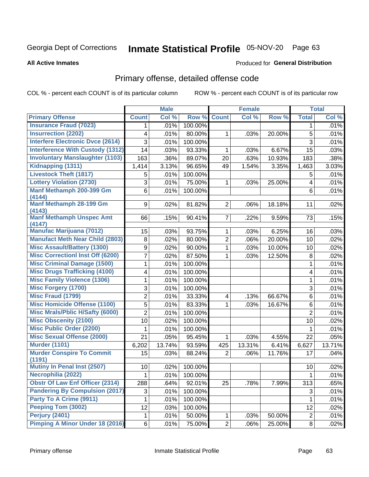# Inmate Statistical Profile 05-NOV-20 Page 63

#### **All Active Inmates**

#### **Produced for General Distribution**

### Primary offense, detailed offense code

COL % - percent each COUNT is of its particular column

|                                           |                           | <b>Male</b> |         |                         | <b>Female</b> |        |                | <b>Total</b> |
|-------------------------------------------|---------------------------|-------------|---------|-------------------------|---------------|--------|----------------|--------------|
| <b>Primary Offense</b>                    | <b>Count</b>              | Col %       | Row %   | <b>Count</b>            | Col %         | Row %  | <b>Total</b>   | Col %        |
| <b>Insurance Fraud (7023)</b>             | $\mathbf 1$               | .01%        | 100.00% |                         |               |        | 1              | .01%         |
| <b>Insurrection (2202)</b>                | 4                         | .01%        | 80.00%  | 1                       | .03%          | 20.00% | 5              | .01%         |
| <b>Interfere Electronic Dvce (2614)</b>   | 3                         | .01%        | 100.00% |                         |               |        | 3              | .01%         |
| <b>Interference With Custody (1312)</b>   | 14                        | .03%        | 93.33%  | 1                       | .03%          | 6.67%  | 15             | .03%         |
| <b>Involuntary Manslaughter (1103)</b>    | 163                       | .36%        | 89.07%  | 20                      | .63%          | 10.93% | 183            | .38%         |
| Kidnapping (1311)                         | 1,414                     | 3.13%       | 96.65%  | 49                      | 1.54%         | 3.35%  | 1,463          | 3.03%        |
| <b>Livestock Theft (1817)</b>             | 5                         | .01%        | 100.00% |                         |               |        | 5              | .01%         |
| <b>Lottery Violation (2730)</b>           | 3                         | .01%        | 75.00%  | $\mathbf 1$             | .03%          | 25.00% | 4              | .01%         |
| Manf Methamph 200-399 Gm                  | 6                         | .01%        | 100.00% |                         |               |        | 6              | .01%         |
| (4144)                                    |                           |             |         |                         |               |        |                |              |
| <b>Manf Methamph 28-199 Gm</b>            | 9                         | .02%        | 81.82%  | $\overline{2}$          | .06%          | 18.18% | 11             | .02%         |
| (4143)<br><b>Manf Methamph Unspec Amt</b> | 66                        | .15%        | 90.41%  | $\overline{7}$          | .22%          | 9.59%  | 73             | .15%         |
| (4147)                                    |                           |             |         |                         |               |        |                |              |
| <b>Manufac Marijuana (7012)</b>           | 15                        | .03%        | 93.75%  | 1                       | .03%          | 6.25%  | 16             | .03%         |
| <b>Manufact Meth Near Child (2803)</b>    | $\,8\,$                   | .02%        | 80.00%  | $\overline{2}$          | .06%          | 20.00% | 10             | .02%         |
| <b>Misc Assault/Battery (1300)</b>        | 9                         | .02%        | 90.00%  | $\mathbf{1}$            | .03%          | 10.00% | 10             | .02%         |
| <b>Misc Correctionl Inst Off (6200)</b>   | 7                         | .02%        | 87.50%  | 1                       | .03%          | 12.50% | 8              | .02%         |
| <b>Misc Criminal Damage (1500)</b>        | 1                         | .01%        | 100.00% |                         |               |        | 1              | .01%         |
| <b>Misc Drugs Trafficking (4100)</b>      | 4                         | .01%        | 100.00% |                         |               |        | 4              | .01%         |
| <b>Misc Family Violence (1306)</b>        | 1                         | .01%        | 100.00% |                         |               |        | 1              | .01%         |
| <b>Misc Forgery (1700)</b>                | 3                         | .01%        | 100.00% |                         |               |        | 3              | .01%         |
| <b>Misc Fraud (1799)</b>                  | $\overline{2}$            | .01%        | 33.33%  | $\overline{\mathbf{4}}$ | .13%          | 66.67% | 6              | .01%         |
| <b>Misc Homicide Offense (1100)</b>       | 5                         | .01%        | 83.33%  | 1                       | .03%          | 16.67% | 6              | .01%         |
| <b>Misc Mrals/Pblic H/Safty (6000)</b>    | 2                         | .01%        | 100.00% |                         |               |        | $\overline{2}$ | .01%         |
| <b>Misc Obscenity (2100)</b>              | 10                        | .02%        | 100.00% |                         |               |        | 10             | .02%         |
| <b>Misc Public Order (2200)</b>           | 1                         | .01%        | 100.00% |                         |               |        | 1              | .01%         |
| <b>Misc Sexual Offense (2000)</b>         | 21                        | .05%        | 95.45%  | 1                       | .03%          | 4.55%  | 22             | .05%         |
| <b>Murder (1101)</b>                      | 6,202                     | 13.74%      | 93.59%  | 425                     | 13.31%        | 6.41%  | 6,627          | 13.71%       |
| <b>Murder Conspire To Commit</b>          | 15                        | .03%        | 88.24%  | $\overline{2}$          | .06%          | 11.76% | 17             | .04%         |
| (1191)                                    |                           |             |         |                         |               |        |                |              |
| Mutiny In Penal Inst (2507)               | 10                        | .02%        | 100.00% |                         |               |        | 10             | .02%         |
| Necrophilia (2022)                        | $\mathbf{1}$              | .01%        | 100.00% |                         |               |        | $\mathbf{1}$   | .01%         |
| <b>Obstr Of Law Enf Officer (2314)</b>    | 288                       | .64%        | 92.01%  | 25                      | .78%          | 7.99%  | 313            | .65%         |
| <b>Pandering By Compulsion (2017)</b>     | $\ensuremath{\mathsf{3}}$ | .01%        | 100.00% |                         |               |        | 3              | .01%         |
| Party To A Crime (9911)                   | 1                         | .01%        | 100.00% |                         |               |        | 1              | .01%         |
| Peeping Tom (3002)                        | 12                        | .03%        | 100.00% |                         |               |        | 12             | .02%         |
| <b>Perjury (2401)</b>                     | 1                         | .01%        | 50.00%  | 1                       | .03%          | 50.00% | $\sqrt{2}$     | .01%         |
| Pimping A Minor Under 18 (2016)           | 6                         | .01%        | 75.00%  | $\overline{2}$          | .06%          | 25.00% | $\bf 8$        | .02%         |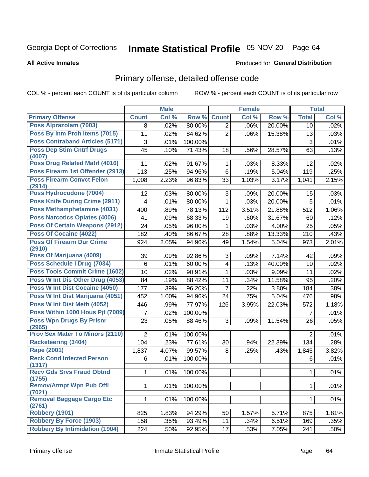# Inmate Statistical Profile 05-NOV-20 Page 64

#### **All Active Inmates**

### **Produced for General Distribution**

## Primary offense, detailed offense code

COL % - percent each COUNT is of its particular column

|                                            |                | <b>Male</b> |         |                | <b>Female</b> |                     |                | <b>Total</b> |
|--------------------------------------------|----------------|-------------|---------|----------------|---------------|---------------------|----------------|--------------|
| <b>Primary Offense</b>                     | <b>Count</b>   | Col %       | Row %   | <b>Count</b>   | Col %         | Row %               | <b>Total</b>   | Col %        |
| Poss Alprazolam (7003)                     | 8              | .02%        | 80.00%  | 2 <sup>1</sup> | .06%          | 20.00%              | 10             | .02%         |
| Poss By Inm Proh Items (7015)              | 11             | .02%        | 84.62%  | $\overline{2}$ | .06%          | 15.38%              | 13             | .03%         |
| <b>Poss Contraband Articles (5171)</b>     | 3              | .01%        | 100.00% |                |               |                     | 3              | .01%         |
| <b>Poss Dep Stim Cntrf Drugs</b>           | 45             | .10%        | 71.43%  | 18             | .56%          | 28.57%              | 63             | .13%         |
| (4007)                                     |                |             |         |                |               |                     |                |              |
| <b>Poss Drug Related Matrl (4016)</b>      | 11             | .02%        | 91.67%  | 1              | .03%          | 8.33%               | 12             | .02%         |
| Poss Firearm 1st Offender (2913)           | 113            | .25%        | 94.96%  | 6              | .19%          | $\overline{5.04\%}$ | 119            | .25%         |
| <b>Poss Firearm Convct Felon</b><br>(2914) | 1,008          | 2.23%       | 96.83%  | 33             | 1.03%         | 3.17%               | 1,041          | 2.15%        |
| Poss Hydrocodone (7004)                    | 12             | .03%        | 80.00%  | 3              | .09%          | 20.00%              | 15             | .03%         |
| <b>Poss Knife During Crime (2911)</b>      | 4              | .01%        | 80.00%  | $\mathbf{1}$   | .03%          | 20.00%              | 5              | .01%         |
| Poss Methamphetamine (4031)                | 400            | .89%        | 78.13%  | 112            | 3.51%         | 21.88%              | 512            | 1.06%        |
| <b>Poss Narcotics Opiates (4006)</b>       | 41             | .09%        | 68.33%  | 19             | .60%          | 31.67%              | 60             | .12%         |
| <b>Poss Of Certain Weapons (2912)</b>      | 24             | .05%        | 96.00%  | 1              | .03%          | 4.00%               | 25             | .05%         |
| <b>Poss Of Cocaine (4022)</b>              | 182            | .40%        | 86.67%  | 28             | .88%          | 13.33%              | 210            | .43%         |
| <b>Poss Of Firearm Dur Crime</b>           | 924            | 2.05%       | 94.96%  | 49             | 1.54%         | 5.04%               | 973            | 2.01%        |
| (2910)                                     |                |             |         |                |               |                     |                |              |
| Poss Of Marijuana (4009)                   | 39             | .09%        | 92.86%  | 3              | .09%          | 7.14%               | 42             | .09%         |
| Poss Schedule I Drug (7034)                | 6              | .01%        | 60.00%  | 4              | .13%          | 40.00%              | 10             | .02%         |
| <b>Poss Tools Commit Crime (1602)</b>      | 10             | .02%        | 90.91%  | 1              | .03%          | 9.09%               | 11             | .02%         |
| Poss W Int Dis Other Drug (4053)           | 84             | .19%        | 88.42%  | 11             | .34%          | 11.58%              | 95             | .20%         |
| <b>Poss W Int Dist Cocaine (4050)</b>      | 177            | .39%        | 96.20%  | $\overline{7}$ | .22%          | 3.80%               | 184            | .38%         |
| Poss W Int Dist Marijuana (4051)           | 452            | 1.00%       | 94.96%  | 24             | .75%          | 5.04%               | 476            | .98%         |
| Poss W Int Dist Meth (4052)                | 446            | .99%        | 77.97%  | 126            | 3.95%         | 22.03%              | 572            | 1.18%        |
| Poss Within 1000 Hous Pjt (7009)           | 7              | .02%        | 100.00% |                |               |                     | 7              | .01%         |
| <b>Poss Wpn Drugs By Prisnr</b><br>(2965)  | 23             | .05%        | 88.46%  | 3              | .09%          | 11.54%              | 26             | .05%         |
| <b>Prov Sex Mater To Minors (2110)</b>     | $\overline{2}$ | .01%        | 100.00% |                |               |                     | $\overline{2}$ | .01%         |
| <b>Racketeering (3404)</b>                 | 104            | .23%        | 77.61%  | 30             | .94%          | 22.39%              | 134            | .28%         |
| <b>Rape (2001)</b>                         | 1,837          | 4.07%       | 99.57%  | 8              | .25%          | .43%                | 1,845          | 3.82%        |
| <b>Reck Cond Infected Person</b>           | 6              | .01%        | 100.00% |                |               |                     | 6              | .01%         |
| (1317)                                     |                |             |         |                |               |                     |                |              |
| <b>Recv Gds Srvs Fraud Obtnd</b>           | 1.             | .01%        | 100.00% |                |               |                     | 1.             | .01%         |
| (1755)<br><b>Remov/Atmpt Wpn Pub Offl</b>  | 1              | .01%        | 100.00% |                |               |                     | 1              | .01%         |
| (7021)                                     |                |             |         |                |               |                     |                |              |
| <b>Removal Baggage Cargo Etc</b>           | 1              | .01%        | 100.00% |                |               |                     | 1              | .01%         |
| (2761)                                     |                |             |         |                |               |                     |                |              |
| <b>Robbery (1901)</b>                      | 825            | 1.83%       | 94.29%  | 50             | 1.57%         | 5.71%               | 875            | 1.81%        |
| <b>Robbery By Force (1903)</b>             | 158            | .35%        | 93.49%  | 11             | .34%          | 6.51%               | 169            | .35%         |
| <b>Robbery By Intimidation (1904)</b>      | 224            | .50%        | 92.95%  | 17             | .53%          | 7.05%               | 241            | .50%         |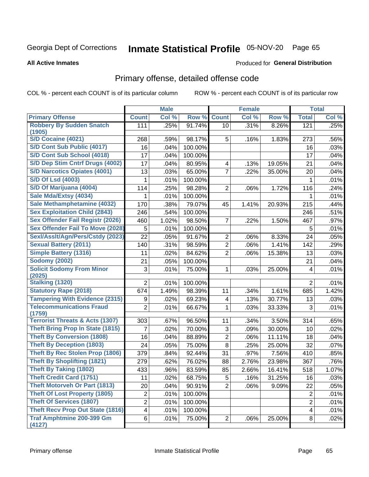# Inmate Statistical Profile 05-NOV-20 Page 65

#### **All Active Inmates**

#### **Produced for General Distribution**

### Primary offense, detailed offense code

COL % - percent each COUNT is of its particular column

|                                                      |                         | <b>Male</b> |         |                         | <b>Female</b> |        |                | <b>Total</b> |
|------------------------------------------------------|-------------------------|-------------|---------|-------------------------|---------------|--------|----------------|--------------|
| <b>Primary Offense</b>                               | <b>Count</b>            | Col %       | Row %   | <b>Count</b>            | Col %         | Row %  | <b>Total</b>   | Col %        |
| <b>Robbery By Sudden Snatch</b>                      | 111                     | .25%        | 91.74%  | 10 <sup>1</sup>         | .31%          | 8.26%  | 121            | .25%         |
| (1905)                                               |                         |             |         |                         |               |        |                |              |
| S/D Cocaine (4021)                                   | 268                     | .59%        | 98.17%  | 5                       | .16%          | 1.83%  | 273            | .56%         |
| S/D Cont Sub Public (4017)                           | 16                      | .04%        | 100.00% |                         |               |        | 16             | .03%         |
| S/D Cont Sub School (4018)                           | 17                      | .04%        | 100.00% |                         |               |        | 17             | .04%         |
| S/D Dep Stim Cntrf Drugs (4002)                      | 17                      | .04%        | 80.95%  | $\overline{\mathbf{4}}$ | .13%          | 19.05% | 21             | .04%         |
| <b>S/D Narcotics Opiates (4001)</b>                  | 13                      | .03%        | 65.00%  | $\overline{7}$          | .22%          | 35.00% | 20             | .04%         |
| <b>S/D Of Lsd (4003)</b>                             | 1                       | .01%        | 100.00% |                         |               |        | 1              | .01%         |
| S/D Of Marijuana (4004)                              | 114                     | .25%        | 98.28%  | $\overline{2}$          | .06%          | 1.72%  | 116            | .24%         |
| Sale Mda/Extsy (4034)                                |                         | .01%        | 100.00% |                         |               |        | 1              | .01%         |
| Sale Methamphetamine (4032)                          | 170                     | .38%        | 79.07%  | 45                      | 1.41%         | 20.93% | 215            | .44%         |
| <b>Sex Exploitation Child (2843)</b>                 | 246                     | .54%        | 100.00% |                         |               |        | 246            | .51%         |
| <b>Sex Offender Fail Registr (2026)</b>              | 460                     | 1.02%       | 98.50%  | $\overline{7}$          | .22%          | 1.50%  | 467            | .97%         |
| <b>Sex Offender Fail To Move (2028)</b>              | 5                       | .01%        | 100.00% |                         |               |        | 5              | .01%         |
| Sexl/Asslt/Agn/Pers/Cstdy (2023)                     | 22                      | .05%        | 91.67%  | $\overline{2}$          | .06%          | 8.33%  | 24             | .05%         |
| <b>Sexual Battery (2011)</b>                         | 140                     | .31%        | 98.59%  | $\overline{2}$          | .06%          | 1.41%  | 142            | .29%         |
| <b>Simple Battery (1316)</b>                         | 11                      | .02%        | 84.62%  | $\overline{2}$          | .06%          | 15.38% | 13             | .03%         |
| <b>Sodomy (2002)</b>                                 | 21                      | .05%        | 100.00% |                         |               |        | 21             | .04%         |
| <b>Solicit Sodomy From Minor</b>                     | $\mathfrak{S}$          | .01%        | 75.00%  | 1                       | .03%          | 25.00% | 4              | .01%         |
| (2025)                                               |                         |             |         |                         |               |        |                |              |
| <b>Stalking (1320)</b>                               | 2                       | .01%        | 100.00% |                         |               |        | $\overline{2}$ | .01%         |
| <b>Statutory Rape (2018)</b>                         | 674                     | 1.49%       | 98.39%  | 11                      | .34%          | 1.61%  | 685            | 1.42%        |
| <b>Tampering With Evidence (2315)</b>                | 9                       | .02%        | 69.23%  | $\overline{\mathbf{4}}$ | .13%          | 30.77% | 13             | .03%         |
| <b>Telecommunications Fraud</b>                      | $\overline{2}$          | .01%        | 66.67%  | 1                       | .03%          | 33.33% | 3              | .01%         |
| (1759)<br><b>Terrorist Threats &amp; Acts (1307)</b> | 303                     | .67%        | 96.50%  | 11                      | .34%          | 3.50%  | 314            | .65%         |
| <b>Theft Bring Prop In State (1815)</b>              | 7                       | .02%        | 70.00%  | 3                       | .09%          | 30.00% | 10             | .02%         |
| <b>Theft By Conversion (1808)</b>                    | 16                      |             | 88.89%  | $\overline{2}$          | .06%          | 11.11% | 18             |              |
| <b>Theft By Deception (1803)</b>                     | 24                      | .04%        |         | 8                       |               |        | 32             | .04%         |
| <b>Theft By Rec Stolen Prop (1806)</b>               |                         | .05%        | 75.00%  |                         | .25%          | 25.00% |                | .07%         |
| <b>Theft By Shoplifting (1821)</b>                   | 379                     | .84%        | 92.44%  | 31                      | .97%          | 7.56%  | 410            | .85%         |
|                                                      | 279                     | .62%        | 76.02%  | 88                      | 2.76%         | 23.98% | 367            | .76%         |
| <b>Theft By Taking (1802)</b>                        | 433                     | .96%        | 83.59%  | 85                      | 2.66%         | 16.41% | 518            | 1.07%        |
| <b>Theft Credit Card (1751)</b>                      | 11                      | .02%        | 68.75%  | 5                       | .16%          | 31.25% | 16             | .03%         |
| <b>Theft Motorveh Or Part (1813)</b>                 | 20                      | .04%        | 90.91%  | $\overline{2}$          | .06%          | 9.09%  | 22             | .05%         |
| <b>Theft Of Lost Property (1805)</b>                 | $\overline{c}$          | .01%        | 100.00% |                         |               |        | $\overline{2}$ | .01%         |
| <b>Theft Of Services (1807)</b>                      | $\overline{2}$          | .01%        | 100.00% |                         |               |        | $\overline{2}$ | .01%         |
| <b>Theft Recv Prop Out State (1816)</b>              | $\overline{\mathbf{4}}$ | .01%        | 100.00% |                         |               |        | 4              | .01%         |
| <b>Traf Amphtmine 200-399 Gm</b><br>(4127)           | 6                       | .01%        | 75.00%  | 2                       | .06%          | 25.00% | 8              | .02%         |
|                                                      |                         |             |         |                         |               |        |                |              |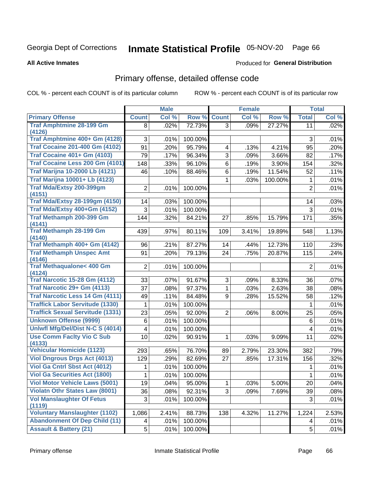# Inmate Statistical Profile 05-NOV-20 Page 66

**All Active Inmates** 

### **Produced for General Distribution**

## Primary offense, detailed offense code

COL % - percent each COUNT is of its particular column

|                                                 |                | <b>Male</b> |         |                         | <b>Female</b> |         |                | <b>Total</b> |
|-------------------------------------------------|----------------|-------------|---------|-------------------------|---------------|---------|----------------|--------------|
| <b>Primary Offense</b>                          | <b>Count</b>   | Col %       | Row %   | <b>Count</b>            | Col %         | Row %   | <b>Total</b>   | Col %        |
| <b>Traf Amphtmine 28-199 Gm</b>                 | 8              | .02%        | 72.73%  | 3 <sup>1</sup>          | .09%          | 27.27%  | 11             | .02%         |
| (4126)                                          |                |             |         |                         |               |         |                |              |
| Traf Amphtmine 400+ Gm (4128)                   | 3              | .01%        | 100.00% |                         |               |         | 3              | .01%         |
| <b>Traf Cocaine 201-400 Gm (4102)</b>           | 91             | .20%        | 95.79%  | $\overline{\mathbf{4}}$ | .13%          | 4.21%   | 95             | .20%         |
| <b>Traf Cocaine 401+ Gm (4103)</b>              | 79             | .17%        | 96.34%  | $\overline{3}$          | .09%          | 3.66%   | 82             | .17%         |
| Traf Cocaine Less 200 Gm (4101)                 | 148            | .33%        | 96.10%  | 6                       | .19%          | 3.90%   | 154            | .32%         |
| <b>Traf Marijna 10-2000 Lb (4121)</b>           | 46             | .10%        | 88.46%  | 6                       | .19%          | 11.54%  | 52             | .11%         |
| <b>Traf Marijna 10001+ Lb (4123)</b>            |                |             |         | $\mathbf 1$             | .03%          | 100.00% | 1              | .01%         |
| <b>Traf Mda/Extsy 200-399gm</b>                 | 2              | .01%        | 100.00% |                         |               |         | $\overline{2}$ | .01%         |
| (4151)<br><b>Traf Mda/Extsy 28-199gm (4150)</b> |                |             | 100.00% |                         |               |         |                | .03%         |
| Traf Mda/Extsy 400+Gm (4152)                    | 14<br>3        | .03%        |         |                         |               |         | 14<br>3        |              |
| <b>Traf Methamph 200-399 Gm</b>                 |                | .01%        | 100.00% |                         |               |         |                | .01%         |
| (4141)                                          | 144            | .32%        | 84.21%  | 27                      | .85%          | 15.79%  | 171            | .35%         |
| <b>Traf Methamph 28-199 Gm</b>                  | 439            | .97%        | 80.11%  | 109                     | 3.41%         | 19.89%  | 548            | 1.13%        |
| (4140)                                          |                |             |         |                         |               |         |                |              |
| Traf Methamph 400+ Gm (4142)                    | 96             | .21%        | 87.27%  | 14                      | .44%          | 12.73%  | 110            | .23%         |
| <b>Traf Methamph Unspec Amt</b><br>(4146)       | 91             | .20%        | 79.13%  | 24                      | .75%          | 20.87%  | 115            | .24%         |
| <b>Traf Methaqualone&lt; 400 Gm</b>             | $\overline{2}$ | .01%        | 100.00% |                         |               |         | $\overline{2}$ | .01%         |
| (4124)                                          |                |             |         |                         |               |         |                |              |
| <b>Traf Narcotic 15-28 Gm (4112)</b>            | 33             | .07%        | 91.67%  | 3                       | .09%          | 8.33%   | 36             | .07%         |
| Traf Narcotic 29+ Gm (4113)                     | 37             | .08%        | 97.37%  | $\mathbf{1}$            | .03%          | 2.63%   | 38             | .08%         |
| Traf Narcotic Less 14 Gm (4111)                 | 49             | .11%        | 84.48%  | 9                       | .28%          | 15.52%  | 58             | .12%         |
| <b>Traffick Labor Servitude (1330)</b>          | 1              | .01%        | 100.00% |                         |               |         | 1              | .01%         |
| <b>Traffick Sexual Servitude (1331)</b>         | 23             | .05%        | 92.00%  | $\overline{2}$          | .06%          | 8.00%   | 25             | .05%         |
| <b>Unknown Offense (9999)</b>                   | 6              | .01%        | 100.00% |                         |               |         | $\,6$          | .01%         |
| Uniwfl Mfg/Del/Dist N-C S (4014)                | 4              | .01%        | 100.00% |                         |               |         | 4              | .01%         |
| <b>Use Comm Facity Vio C Sub</b><br>(4133)      | 10             | .02%        | 90.91%  | 1                       | .03%          | 9.09%   | 11             | .02%         |
| <b>Vehicular Homicide (1123)</b>                | 293            | .65%        | 76.70%  | 89                      | 2.79%         | 23.30%  | 382            | .79%         |
| <b>Viol Dngrous Drgs Act (4013)</b>             | 129            | .29%        | 82.69%  | 27                      | .85%          | 17.31%  | 156            | .32%         |
| Viol Ga Cntrl Sbst Act (4012)                   | 1              | .01%        | 100.00% |                         |               |         | 1              | .01%         |
| <b>Viol Ga Securities Act (1800)</b>            | $\mathbf 1$    | .01%        | 100.00% |                         |               |         | $\mathbf 1$    | .01%         |
| <b>Viol Motor Vehicle Laws (5001)</b>           | 19             | .04%        | 95.00%  | $\mathbf{1}$            | .03%          | 5.00%   | 20             | .04%         |
| <b>Violatn Othr States Law (8001)</b>           | 36             | .08%        | 92.31%  | 3 <sup>1</sup>          | .09%          | 7.69%   | 39             | .08%         |
| <b>Vol Manslaughter Of Fetus</b>                | 3              | .01%        | 100.00% |                         |               |         | 3              | .01%         |
| (1119)                                          |                |             |         |                         |               |         |                |              |
| <b>Voluntary Manslaughter (1102)</b>            | 1,086          | 2.41%       | 88.73%  | 138                     | 4.32%         | 11.27%  | 1,224          | 2.53%        |
| <b>Abandonment Of Dep Child (11)</b>            | 4              | .01%        | 100.00% |                         |               |         | 4              | .01%         |
| <b>Assault &amp; Battery (21)</b>               | 5              | .01%        | 100.00% |                         |               |         | 5              | .01%         |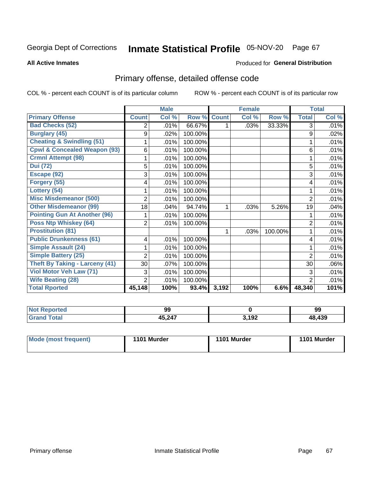# Inmate Statistical Profile 05-NOV-20 Page 67

**All Active Inmates** 

### **Produced for General Distribution**

## Primary offense, detailed offense code

COL % - percent each COUNT is of its particular column

|                                         |                | <b>Male</b> |         |              | <b>Female</b> |         |                | <b>Total</b> |
|-----------------------------------------|----------------|-------------|---------|--------------|---------------|---------|----------------|--------------|
| <b>Primary Offense</b>                  | <b>Count</b>   | Col %       | Row %   | <b>Count</b> | Col %         | Row %   | <b>Total</b>   | Col %        |
| <b>Bad Checks (52)</b>                  | 2              | .01%        | 66.67%  |              | .03%          | 33.33%  | 3              | .01%         |
| <b>Burglary (45)</b>                    | 9              | .02%        | 100.00% |              |               |         | 9              | .02%         |
| <b>Cheating &amp; Swindling (51)</b>    |                | .01%        | 100.00% |              |               |         | 1              | .01%         |
| <b>Cpwl &amp; Concealed Weapon (93)</b> | 6              | .01%        | 100.00% |              |               |         | 6              | .01%         |
| <b>Crmnl Attempt (98)</b>               |                | .01%        | 100.00% |              |               |         |                | .01%         |
| <b>Dui (72)</b>                         | 5              | .01%        | 100.00% |              |               |         | 5              | .01%         |
| Escape (92)                             | 3              | .01%        | 100.00% |              |               |         | 3              | .01%         |
| Forgery (55)                            | 4              | .01%        | 100.00% |              |               |         | 4              | .01%         |
| Lottery (54)                            |                | .01%        | 100.00% |              |               |         | 1              | .01%         |
| <b>Misc Misdemeanor (500)</b>           | 2              | .01%        | 100.00% |              |               |         | $\overline{2}$ | .01%         |
| <b>Other Misdemeanor (99)</b>           | 18             | .04%        | 94.74%  | 1            | .03%          | 5.26%   | 19             | .04%         |
| <b>Pointing Gun At Another (96)</b>     |                | .01%        | 100.00% |              |               |         | 1              | .01%         |
| <b>Poss Ntp Whiskey (64)</b>            | $\overline{2}$ | .01%        | 100.00% |              |               |         | 2              | .01%         |
| <b>Prostitution (81)</b>                |                |             |         | 1            | .03%          | 100.00% | 1              | .01%         |
| <b>Public Drunkenness (61)</b>          | 4              | .01%        | 100.00% |              |               |         | 4              | .01%         |
| <b>Simple Assault (24)</b>              |                | .01%        | 100.00% |              |               |         | 1              | .01%         |
| <b>Simple Battery (25)</b>              | $\overline{2}$ | .01%        | 100.00% |              |               |         | $\overline{2}$ | .01%         |
| <b>Theft By Taking - Larceny (41)</b>   | 30             | .07%        | 100.00% |              |               |         | 30             | .06%         |
| Viol Motor Veh Law (71)                 | 3              | .01%        | 100.00% |              |               |         | 3              | .01%         |
| <b>Wife Beating (28)</b>                | $\overline{2}$ | .01%        | 100.00% |              |               |         | $\overline{2}$ | .01%         |
| <b>Total Rported</b>                    | 45,148         | 100%        | 93.4%   | 3,192        | 100%          | 6.6%    | 48,340         | 101%         |

| <b>Not Reported</b> | 99     |       | 99     |
|---------------------|--------|-------|--------|
| Total<br>Gra        | 45,247 | 3,192 | 48,439 |

| Mode (most frequent) | 1101 Murder | 1101 Murder | 1101 Murder |
|----------------------|-------------|-------------|-------------|
|                      |             |             |             |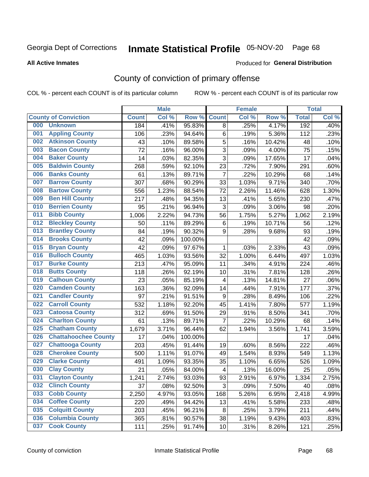# Inmate Statistical Profile 05-NOV-20 Page 68

**All Active Inmates** 

#### Produced for General Distribution

## County of conviction of primary offense

COL % - percent each COUNT is of its particular column

|     |                             |              | <b>Male</b> |         |                | <b>Female</b> |        |              | <b>Total</b> |
|-----|-----------------------------|--------------|-------------|---------|----------------|---------------|--------|--------------|--------------|
|     | <b>County of Conviction</b> | <b>Count</b> | Col %       | Row %   | <b>Count</b>   | Col %         | Row %  | <b>Total</b> | Col %        |
| 000 | <b>Unknown</b>              | 184          | .41%        | 95.83%  | 8              | .25%          | 4.17%  | 192          | .40%         |
| 001 | <b>Appling County</b>       | 106          | .23%        | 94.64%  | 6              | .19%          | 5.36%  | 112          | .23%         |
| 002 | <b>Atkinson County</b>      | 43           | .10%        | 89.58%  | 5              | .16%          | 10.42% | 48           | .10%         |
| 003 | <b>Bacon County</b>         | 72           | .16%        | 96.00%  | 3              | .09%          | 4.00%  | 75           | .15%         |
| 004 | <b>Baker County</b>         | 14           | .03%        | 82.35%  | $\overline{3}$ | .09%          | 17.65% | 17           | .04%         |
| 005 | <b>Baldwin County</b>       | 268          | .59%        | 92.10%  | 23             | .72%          | 7.90%  | 291          | .60%         |
| 006 | <b>Banks County</b>         | 61           | .13%        | 89.71%  | $\overline{7}$ | .22%          | 10.29% | 68           | .14%         |
| 007 | <b>Barrow County</b>        | 307          | .68%        | 90.29%  | 33             | 1.03%         | 9.71%  | 340          | .70%         |
| 008 | <b>Bartow County</b>        | 556          | 1.23%       | 88.54%  | 72             | 2.26%         | 11.46% | 628          | 1.30%        |
| 009 | <b>Ben Hill County</b>      | 217          | .48%        | 94.35%  | 13             | .41%          | 5.65%  | 230          | .47%         |
| 010 | <b>Berrien County</b>       | 95           | .21%        | 96.94%  | 3              | .09%          | 3.06%  | 98           | .20%         |
| 011 | <b>Bibb County</b>          | 1,006        | 2.22%       | 94.73%  | 56             | 1.75%         | 5.27%  | 1,062        | 2.19%        |
| 012 | <b>Bleckley County</b>      | 50           | .11%        | 89.29%  | 6              | .19%          | 10.71% | 56           | .12%         |
| 013 | <b>Brantley County</b>      | 84           | .19%        | 90.32%  | 9              | .28%          | 9.68%  | 93           | .19%         |
| 014 | <b>Brooks County</b>        | 42           | .09%        | 100.00% |                |               |        | 42           | .09%         |
| 015 | <b>Bryan County</b>         | 42           | .09%        | 97.67%  | 1              | .03%          | 2.33%  | 43           | .09%         |
| 016 | <b>Bulloch County</b>       | 465          | 1.03%       | 93.56%  | 32             | 1.00%         | 6.44%  | 497          | 1.03%        |
| 017 | <b>Burke County</b>         | 213          | .47%        | 95.09%  | 11             | .34%          | 4.91%  | 224          | .46%         |
| 018 | <b>Butts County</b>         | 118          | .26%        | 92.19%  | 10             | .31%          | 7.81%  | 128          | .26%         |
| 019 | <b>Calhoun County</b>       | 23           | .05%        | 85.19%  | $\overline{4}$ | .13%          | 14.81% | 27           | .06%         |
| 020 | <b>Camden County</b>        | 163          | .36%        | 92.09%  | 14             | .44%          | 7.91%  | 177          | .37%         |
| 021 | <b>Candler County</b>       | 97           | .21%        | 91.51%  | 9              | .28%          | 8.49%  | 106          | .22%         |
| 022 | <b>Carroll County</b>       | 532          | 1.18%       | 92.20%  | 45             | 1.41%         | 7.80%  | 577          | 1.19%        |
| 023 | <b>Catoosa County</b>       | 312          | .69%        | 91.50%  | 29             | .91%          | 8.50%  | 341          | .70%         |
| 024 | <b>Charlton County</b>      | 61           | .13%        | 89.71%  | $\overline{7}$ | .22%          | 10.29% | 68           | .14%         |
| 025 | <b>Chatham County</b>       | 1,679        | 3.71%       | 96.44%  | 62             | 1.94%         | 3.56%  | 1,741        | 3.59%        |
| 026 | <b>Chattahoochee County</b> | 17           | .04%        | 100.00% |                |               |        | 17           | .04%         |
| 027 | <b>Chattooga County</b>     | 203          | .45%        | 91.44%  | 19             | .60%          | 8.56%  | 222          | .46%         |
| 028 | <b>Cherokee County</b>      | 500          | 1.11%       | 91.07%  | 49             | 1.54%         | 8.93%  | 549          | 1.13%        |
| 029 | <b>Clarke County</b>        | 491          | 1.09%       | 93.35%  | 35             | 1.10%         | 6.65%  | 526          | 1.09%        |
| 030 | <b>Clay County</b>          | 21           | .05%        | 84.00%  | $\overline{4}$ | .13%          | 16.00% | 25           | .05%         |
| 031 | <b>Clayton County</b>       | 1,241        | 2.74%       | 93.03%  | 93             | 2.91%         | 6.97%  | 1,334        | 2.75%        |
| 032 | <b>Clinch County</b>        | 37           | .08%        | 92.50%  | 3              | .09%          | 7.50%  | 40           | .08%         |
| 033 | <b>Cobb County</b>          | 2,250        | 4.97%       | 93.05%  | 168            | 5.26%         | 6.95%  | 2,418        | 4.99%        |
| 034 | <b>Coffee County</b>        | 220          | .49%        | 94.42%  | 13             | .41%          | 5.58%  | 233          | .48%         |
| 035 | <b>Colquitt County</b>      | 203          | .45%        | 96.21%  | 8              | .25%          | 3.79%  | 211          | .44%         |
| 036 | <b>Columbia County</b>      | 365          | .81%        | 90.57%  | 38             | 1.19%         | 9.43%  | 403          | .83%         |
| 037 | <b>Cook County</b>          | 111          | .25%        | 91.74%  | 10             | .31%          | 8.26%  | 121          | .25%         |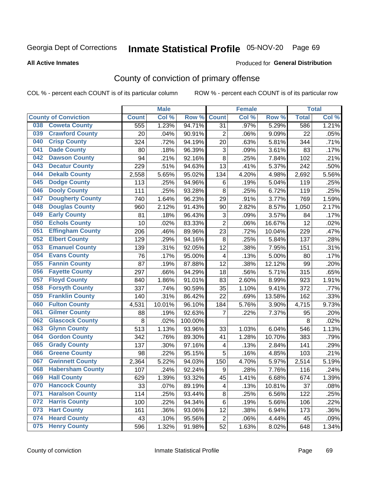# Inmate Statistical Profile 05-NOV-20 Page 69

Produced for General Distribution

#### **All Active Inmates**

## County of conviction of primary offense

COL % - percent each COUNT is of its particular column

|     |                             |              | <b>Male</b> |         |                           | <b>Female</b> |        |              | <b>Total</b> |
|-----|-----------------------------|--------------|-------------|---------|---------------------------|---------------|--------|--------------|--------------|
|     | <b>County of Conviction</b> | <b>Count</b> | Col %       | Row %   | <b>Count</b>              | Col %         | Row %  | <b>Total</b> | Col %        |
| 038 | <b>Coweta County</b>        | 555          | 1.23%       | 94.71%  | 31                        | .97%          | 5.29%  | 586          | 1.21%        |
| 039 | <b>Crawford County</b>      | 20           | .04%        | 90.91%  | $\overline{2}$            | .06%          | 9.09%  | 22           | .05%         |
| 040 | <b>Crisp County</b>         | 324          | .72%        | 94.19%  | 20                        | .63%          | 5.81%  | 344          | .71%         |
| 041 | <b>Dade County</b>          | 80           | .18%        | 96.39%  | $\ensuremath{\mathsf{3}}$ | .09%          | 3.61%  | 83           | .17%         |
| 042 | <b>Dawson County</b>        | 94           | .21%        | 92.16%  | 8                         | .25%          | 7.84%  | 102          | .21%         |
| 043 | <b>Decatur County</b>       | 229          | .51%        | 94.63%  | 13                        | $.41\%$       | 5.37%  | 242          | .50%         |
| 044 | <b>Dekalb County</b>        | 2,558        | 5.65%       | 95.02%  | 134                       | 4.20%         | 4.98%  | 2,692        | 5.56%        |
| 045 | <b>Dodge County</b>         | 113          | .25%        | 94.96%  | 6                         | .19%          | 5.04%  | 119          | .25%         |
| 046 | <b>Dooly County</b>         | 111          | .25%        | 93.28%  | 8                         | .25%          | 6.72%  | 119          | .25%         |
| 047 | <b>Dougherty County</b>     | 740          | 1.64%       | 96.23%  | 29                        | .91%          | 3.77%  | 769          | 1.59%        |
| 048 | <b>Douglas County</b>       | 960          | 2.12%       | 91.43%  | 90                        | 2.82%         | 8.57%  | 1,050        | 2.17%        |
| 049 | <b>Early County</b>         | 81           | .18%        | 96.43%  | $\ensuremath{\mathsf{3}}$ | .09%          | 3.57%  | 84           | .17%         |
| 050 | <b>Echols County</b>        | 10           | .02%        | 83.33%  | $\overline{2}$            | .06%          | 16.67% | 12           | .02%         |
| 051 | <b>Effingham County</b>     | 206          | .46%        | 89.96%  | 23                        | .72%          | 10.04% | 229          | .47%         |
| 052 | <b>Elbert County</b>        | 129          | .29%        | 94.16%  | $\,8\,$                   | .25%          | 5.84%  | 137          | .28%         |
| 053 | <b>Emanuel County</b>       | 139          | .31%        | 92.05%  | 12                        | .38%          | 7.95%  | 151          | .31%         |
| 054 | <b>Evans County</b>         | 76           | .17%        | 95.00%  | $\overline{\mathbf{4}}$   | .13%          | 5.00%  | 80           | .17%         |
| 055 | <b>Fannin County</b>        | 87           | .19%        | 87.88%  | 12                        | .38%          | 12.12% | 99           | .20%         |
| 056 | <b>Fayette County</b>       | 297          | .66%        | 94.29%  | 18                        | .56%          | 5.71%  | 315          | .65%         |
| 057 | <b>Floyd County</b>         | 840          | 1.86%       | 91.01%  | 83                        | 2.60%         | 8.99%  | 923          | 1.91%        |
| 058 | <b>Forsyth County</b>       | 337          | .74%        | 90.59%  | 35                        | 1.10%         | 9.41%  | 372          | .77%         |
| 059 | <b>Franklin County</b>      | 140          | .31%        | 86.42%  | 22                        | .69%          | 13.58% | 162          | .33%         |
| 060 | <b>Fulton County</b>        | 4,531        | 10.01%      | 96.10%  | 184                       | 5.76%         | 3.90%  | 4,715        | 9.73%        |
| 061 | <b>Gilmer County</b>        | 88           | .19%        | 92.63%  | 7                         | .22%          | 7.37%  | 95           | .20%         |
| 062 | <b>Glascock County</b>      | 8            | .02%        | 100.00% |                           |               |        | 8            | .02%         |
| 063 | <b>Glynn County</b>         | 513          | 1.13%       | 93.96%  | 33                        | 1.03%         | 6.04%  | 546          | 1.13%        |
| 064 | <b>Gordon County</b>        | 342          | .76%        | 89.30%  | 41                        | 1.28%         | 10.70% | 383          | .79%         |
| 065 | <b>Grady County</b>         | 137          | .30%        | 97.16%  | $\overline{\mathbf{4}}$   | .13%          | 2.84%  | 141          | .29%         |
| 066 | <b>Greene County</b>        | 98           | .22%        | 95.15%  | 5                         | .16%          | 4.85%  | 103          | .21%         |
| 067 | <b>Gwinnett County</b>      | 2,364        | 5.22%       | 94.03%  | 150                       | 4.70%         | 5.97%  | 2,514        | 5.19%        |
| 068 | <b>Habersham County</b>     | 107          | .24%        | 92.24%  | 9                         | .28%          | 7.76%  | 116          | .24%         |
| 069 | <b>Hall County</b>          | 629          | 1.39%       | 93.32%  | 45                        | 1.41%         | 6.68%  | 674          | 1.39%        |
| 070 | <b>Hancock County</b>       | 33           | .07%        | 89.19%  | 4                         | .13%          | 10.81% | 37           | .08%         |
| 071 | <b>Haralson County</b>      | 114          | .25%        | 93.44%  | $\bf 8$                   | .25%          | 6.56%  | 122          | .25%         |
| 072 | <b>Harris County</b>        | 100          | .22%        | 94.34%  | 6                         | .19%          | 5.66%  | 106          | .22%         |
| 073 | <b>Hart County</b>          | 161          | .36%        | 93.06%  | 12                        | .38%          | 6.94%  | 173          | .36%         |
| 074 | <b>Heard County</b>         | 43           | .10%        | 95.56%  | $\overline{c}$            | .06%          | 4.44%  | 45           | .09%         |
| 075 | <b>Henry County</b>         | 596          | 1.32%       | 91.98%  | 52                        | 1.63%         | 8.02%  | 648          | 1.34%        |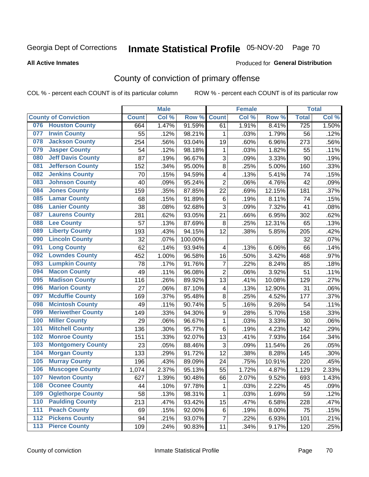# Inmate Statistical Profile 05-NOV-20 Page 70

#### **All Active Inmates**

#### Produced for General Distribution

## County of conviction of primary offense

COL % - percent each COUNT is of its particular column

|                                 |              | <b>Male</b> |         |                | <b>Female</b> |        |                  | <b>Total</b> |
|---------------------------------|--------------|-------------|---------|----------------|---------------|--------|------------------|--------------|
| <b>County of Conviction</b>     | <b>Count</b> | Col %       | Row %   | <b>Count</b>   | Col %         | Row %  | <b>Total</b>     | Col%         |
| <b>Houston County</b><br>076    | 664          | 1.47%       | 91.59%  | 61             | 1.91%         | 8.41%  | $\overline{725}$ | 1.50%        |
| <b>Irwin County</b><br>077      | 55           | .12%        | 98.21%  | 1              | .03%          | 1.79%  | 56               | .12%         |
| <b>Jackson County</b><br>078    | 254          | .56%        | 93.04%  | 19             | .60%          | 6.96%  | 273              | .56%         |
| <b>Jasper County</b><br>079     | 54           | .12%        | 98.18%  | 1              | .03%          | 1.82%  | 55               | .11%         |
| <b>Jeff Davis County</b><br>080 | 87           | .19%        | 96.67%  | 3              | .09%          | 3.33%  | 90               | .19%         |
| 081<br><b>Jefferson County</b>  | 152          | .34%        | 95.00%  | 8              | .25%          | 5.00%  | 160              | .33%         |
| <b>Jenkins County</b><br>082    | 70           | .15%        | 94.59%  | 4              | .13%          | 5.41%  | 74               | .15%         |
| <b>Johnson County</b><br>083    | 40           | .09%        | 95.24%  | $\overline{2}$ | .06%          | 4.76%  | 42               | .09%         |
| <b>Jones County</b><br>084      | 159          | .35%        | 87.85%  | 22             | .69%          | 12.15% | 181              | .37%         |
| <b>Lamar County</b><br>085      | 68           | .15%        | 91.89%  | 6              | .19%          | 8.11%  | 74               | .15%         |
| <b>Lanier County</b><br>086     | 38           | .08%        | 92.68%  | 3              | .09%          | 7.32%  | 41               | .08%         |
| <b>Laurens County</b><br>087    | 281          | .62%        | 93.05%  | 21             | .66%          | 6.95%  | 302              | .62%         |
| <b>Lee County</b><br>088        | 57           | .13%        | 87.69%  | $\,8\,$        | .25%          | 12.31% | 65               | .13%         |
| <b>Liberty County</b><br>089    | 193          | .43%        | 94.15%  | 12             | .38%          | 5.85%  | 205              | .42%         |
| <b>Lincoln County</b><br>090    | 32           | .07%        | 100.00% |                |               |        | 32               | .07%         |
| <b>Long County</b><br>091       | 62           | .14%        | 93.94%  | 4              | .13%          | 6.06%  | 66               | .14%         |
| <b>Lowndes County</b><br>092    | 452          | 1.00%       | 96.58%  | 16             | .50%          | 3.42%  | 468              | .97%         |
| <b>Lumpkin County</b><br>093    | 78           | .17%        | 91.76%  | $\overline{7}$ | .22%          | 8.24%  | 85               | .18%         |
| <b>Macon County</b><br>094      | 49           | .11%        | 96.08%  | $\overline{2}$ | .06%          | 3.92%  | 51               | .11%         |
| <b>Madison County</b><br>095    | 116          | .26%        | 89.92%  | 13             | .41%          | 10.08% | 129              | .27%         |
| <b>Marion County</b><br>096     | 27           | .06%        | 87.10%  | 4              | .13%          | 12.90% | 31               | .06%         |
| <b>Mcduffie County</b><br>097   | 169          | .37%        | 95.48%  | 8              | .25%          | 4.52%  | 177              | .37%         |
| <b>Mcintosh County</b><br>098   | 49           | .11%        | 90.74%  | 5              | .16%          | 9.26%  | 54               | .11%         |
| <b>Meriwether County</b><br>099 | 149          | .33%        | 94.30%  | 9              | .28%          | 5.70%  | 158              | .33%         |
| <b>Miller County</b><br>100     | 29           | .06%        | 96.67%  | $\mathbf{1}$   | .03%          | 3.33%  | 30               | .06%         |
| <b>Mitchell County</b><br>101   | 136          | .30%        | 95.77%  | 6              | .19%          | 4.23%  | 142              | .29%         |
| <b>Monroe County</b><br>102     | 151          | .33%        | 92.07%  | 13             | .41%          | 7.93%  | 164              | .34%         |
| <b>Montgomery County</b><br>103 | 23           | .05%        | 88.46%  | 3              | .09%          | 11.54% | 26               | .05%         |
| <b>Morgan County</b><br>104     | 133          | .29%        | 91.72%  | 12             | .38%          | 8.28%  | 145              | .30%         |
| <b>Murray County</b><br>105     | 196          | .43%        | 89.09%  | 24             | .75%          | 10.91% | 220              | .45%         |
| <b>Muscogee County</b><br>106   | 1,074        | 2.37%       | 95.13%  | 55             | 1.72%         | 4.87%  | 1,129            | 2.33%        |
| 107<br><b>Newton County</b>     | 627          | 1.39%       | 90.48%  | 66             | 2.07%         | 9.52%  | 693              | 1.43%        |
| <b>Oconee County</b><br>108     | 44           | .10%        | 97.78%  | 1              | .03%          | 2.22%  | 45               | .09%         |
| <b>Oglethorpe County</b><br>109 | 58           | .13%        | 98.31%  | 1              | .03%          | 1.69%  | 59               | .12%         |
| <b>Paulding County</b><br>110   | 213          | .47%        | 93.42%  | 15             | .47%          | 6.58%  | 228              | .47%         |
| <b>Peach County</b><br>111      | 69           | .15%        | 92.00%  | 6              | .19%          | 8.00%  | 75               | .15%         |
| <b>Pickens County</b><br>$112$  | 94           | .21%        | 93.07%  | $\overline{7}$ | .22%          | 6.93%  | 101              | .21%         |
| <b>Pierce County</b><br>$113$   | 109          | .24%        | 90.83%  | 11             | .34%          | 9.17%  | 120              | .25%         |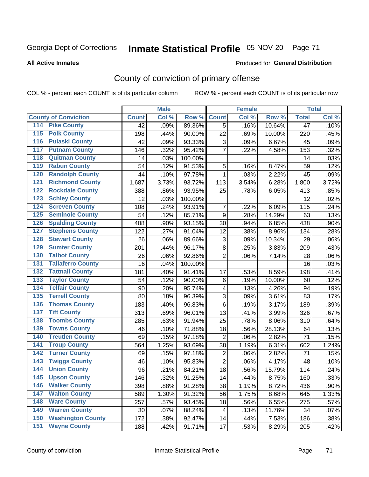## Inmate Statistical Profile 05-NOV-20 Page 71

#### **All Active Inmates**

#### **Produced for General Distribution**

### County of conviction of primary offense

COL % - percent each COUNT is of its particular column

|                                          |              | <b>Male</b> |         |                | <b>Female</b> |        |                 | <b>Total</b> |
|------------------------------------------|--------------|-------------|---------|----------------|---------------|--------|-----------------|--------------|
| <b>County of Conviction</b>              | <b>Count</b> | Col %       | Row %   | <b>Count</b>   | Col %         | Row %  | <b>Total</b>    | Col %        |
| <b>Pike County</b><br>114                | 42           | .09%        | 89.36%  | 5              | .16%          | 10.64% | $\overline{47}$ | .10%         |
| <b>Polk County</b><br>$\overline{115}$   | 198          | .44%        | 90.00%  | 22             | .69%          | 10.00% | 220             | .45%         |
| <b>Pulaski County</b><br>116             | 42           | .09%        | 93.33%  | 3              | .09%          | 6.67%  | 45              | .09%         |
| <b>Putnam County</b><br>117              | 146          | .32%        | 95.42%  | $\overline{7}$ | .22%          | 4.58%  | 153             | .32%         |
| <b>Quitman County</b><br>118             | 14           | .03%        | 100.00% |                |               |        | 14              | .03%         |
| <b>Rabun County</b><br>119               | 54           | .12%        | 91.53%  | 5              | .16%          | 8.47%  | 59              | .12%         |
| <b>Randolph County</b><br>120            | 44           | .10%        | 97.78%  | $\mathbf 1$    | .03%          | 2.22%  | 45              | .09%         |
| <b>Richmond County</b><br>121            | 1,687        | 3.73%       | 93.72%  | 113            | 3.54%         | 6.28%  | 1,800           | 3.72%        |
| <b>Rockdale County</b><br>122            | 388          | .86%        | 93.95%  | 25             | .78%          | 6.05%  | 413             | .85%         |
| <b>Schley County</b><br>123              | 12           | .03%        | 100.00% |                |               |        | 12              | .02%         |
| <b>Screven County</b><br>124             | 108          | .24%        | 93.91%  | $\overline{7}$ | .22%          | 6.09%  | 115             | .24%         |
| <b>Seminole County</b><br>125            | 54           | .12%        | 85.71%  | 9              | .28%          | 14.29% | 63              | .13%         |
| <b>Spalding County</b><br>126            | 408          | .90%        | 93.15%  | 30             | .94%          | 6.85%  | 438             | .90%         |
| <b>Stephens County</b><br>127            | 122          | .27%        | 91.04%  | 12             | .38%          | 8.96%  | 134             | .28%         |
| <b>Stewart County</b><br>128             | 26           | .06%        | 89.66%  | 3              | .09%          | 10.34% | 29              | .06%         |
| <b>Sumter County</b><br>129              | 201          | .44%        | 96.17%  | 8              | .25%          | 3.83%  | 209             | .43%         |
| <b>Talbot County</b><br>130              | 26           | .06%        | 92.86%  | $\overline{2}$ | .06%          | 7.14%  | 28              | .06%         |
| <b>Taliaferro County</b><br>131          | 16           | .04%        | 100.00% |                |               |        | 16              | .03%         |
| <b>Tattnall County</b><br>132            | 181          | .40%        | 91.41%  | 17             | .53%          | 8.59%  | 198             | .41%         |
| <b>Taylor County</b><br>133              | 54           | .12%        | 90.00%  | 6              | .19%          | 10.00% | 60              | .12%         |
| <b>Telfair County</b><br>134             | 90           | .20%        | 95.74%  | 4              | .13%          | 4.26%  | 94              | .19%         |
| <b>Terrell County</b><br>135             | 80           | .18%        | 96.39%  | 3              | .09%          | 3.61%  | 83              | .17%         |
| <b>Thomas County</b><br>136              | 183          | .40%        | 96.83%  | $6\phantom{1}$ | .19%          | 3.17%  | 189             | .39%         |
| <b>Tift County</b><br>137                | 313          | .69%        | 96.01%  | 13             | .41%          | 3.99%  | 326             | .67%         |
| <b>Toombs County</b><br>138              | 285          | .63%        | 91.94%  | 25             | .78%          | 8.06%  | 310             | .64%         |
| <b>Towns County</b><br>139               | 46           | .10%        | 71.88%  | 18             | .56%          | 28.13% | 64              | .13%         |
| <b>Treutlen County</b><br>140            | 69           | .15%        | 97.18%  | $\overline{2}$ | .06%          | 2.82%  | 71              | .15%         |
| <b>Troup County</b><br>141               | 564          | 1.25%       | 93.69%  | 38             | 1.19%         | 6.31%  | 602             | 1.24%        |
| <b>Turner County</b><br>142              | 69           | .15%        | 97.18%  | $\overline{2}$ | .06%          | 2.82%  | 71              | .15%         |
| <b>Twiggs County</b><br>$\overline{143}$ | 46           | .10%        | 95.83%  | $\overline{2}$ | .06%          | 4.17%  | 48              | .10%         |
| <b>Union County</b><br>144               | 96           | .21%        | 84.21%  | 18             | .56%          | 15.79% | 114             | .24%         |
| 145<br><b>Upson County</b>               | 146          | .32%        | 91.25%  | 14             | .44%          | 8.75%  | 160             | .33%         |
| <b>Walker County</b><br>146              | 398          | .88%        | 91.28%  | 38             | 1.19%         | 8.72%  | 436             | .90%         |
| <b>Walton County</b><br>147              | 589          | 1.30%       | 91.32%  | 56             | 1.75%         | 8.68%  | 645             | 1.33%        |
| <b>Ware County</b><br>148                | 257          | .57%        | 93.45%  | 18             | .56%          | 6.55%  | 275             | .57%         |
| <b>Warren County</b><br>149              | 30           | .07%        | 88.24%  | 4              | .13%          | 11.76% | 34              | .07%         |
| <b>Washington County</b><br>150          | 172          | .38%        | 92.47%  | 14             | .44%          | 7.53%  | 186             | .38%         |
| <b>Wayne County</b><br>151               | 188          | .42%        | 91.71%  | 17             | .53%          | 8.29%  | 205             | .42%         |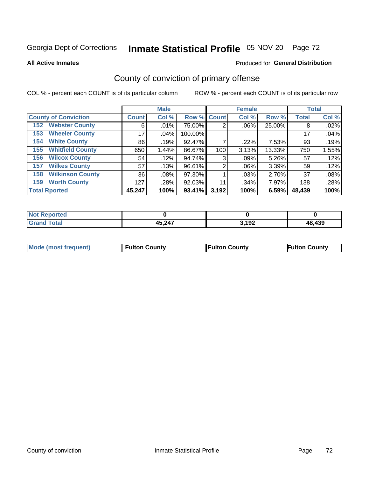# Inmate Statistical Profile 05-NOV-20 Page 72

**All Active Inmates** 

#### Produced for General Distribution

## County of conviction of primary offense

COL % - percent each COUNT is of its particular column

|                                |              | <b>Male</b> |             |       | <b>Female</b> |        |              | <b>Total</b> |
|--------------------------------|--------------|-------------|-------------|-------|---------------|--------|--------------|--------------|
| <b>County of Conviction</b>    | <b>Count</b> | Col %       | Row % Count |       | Col %         | Row %  | <b>Total</b> | Col %        |
| <b>Webster County</b><br>152   | 6            | $.01\%$     | 75.00%      | 2     | $.06\%$       | 25.00% | 8            | .02%         |
| <b>Wheeler County</b><br>153   | 17           | $.04\%$     | 100.00%     |       |               |        | 17           | .04%         |
| <b>White County</b><br>154     | 86           | .19%        | 92.47%      |       | .22%          | 7.53%  | 93           | .19%         |
| <b>Whitfield County</b><br>155 | 650          | 1.44%       | 86.67%      | 100   | 3.13%         | 13.33% | 750          | 1.55%        |
| <b>Wilcox County</b><br>156    | 54           | .12%        | 94.74%      | 3     | .09%          | 5.26%  | 57           | .12%         |
| <b>Wilkes County</b><br>157    | 57           | .13%        | 96.61%      | 2     | $.06\%$       | 3.39%  | 59           | .12%         |
| <b>Wilkinson County</b><br>158 | 36           | .08%        | 97.30%      |       | .03%          | 2.70%  | 37           | .08%         |
| <b>Worth County</b><br>159     | 127          | .28%        | 92.03%      | 11    | .34%          | 7.97%  | 138          | .28%         |
| <b>Total Rported</b>           | 45,247       | 100%        | 93.41%      | 3,192 | 100%          | 6.59%  | 48,439       | 100%         |

| <b>Not Reported</b> |        |       |        |
|---------------------|--------|-------|--------|
| l Total<br>Grand    | 45,247 | 3,192 | 48,439 |

| <b>Mode (most frequent)</b> | <b>Fulton County</b> | <b>Fulton County</b> | <b>Fulton County</b> |
|-----------------------------|----------------------|----------------------|----------------------|
|                             |                      |                      |                      |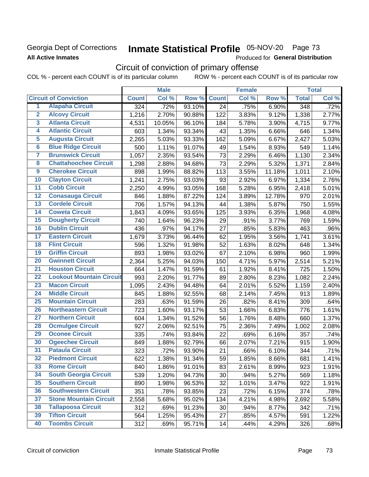### **Georgia Dept of Corrections All Active Inmates**

# Inmate Statistical Profile 05-NOV-20 Page 73

Produced for General Distribution

## Circuit of conviction of primary offense

COL % - percent each COUNT is of its particular column ROW % - percent each COUNT is of its particular row

|                         |                                 | <b>Male</b>      |        |        | <b>Female</b>   |       |          | <b>Total</b> |       |
|-------------------------|---------------------------------|------------------|--------|--------|-----------------|-------|----------|--------------|-------|
|                         | <b>Circuit of Conviction</b>    | <b>Count</b>     | Col %  | Row %  | <b>Count</b>    | Col % | Row %    | <b>Total</b> | Col % |
| 1                       | <b>Alapaha Circuit</b>          | $\overline{324}$ | .72%   | 93.10% | $\overline{24}$ | .75%  | 6.90%    | 348          | .72%  |
| $\overline{2}$          | <b>Alcovy Circuit</b>           | 1,216            | 2.70%  | 90.88% | 122             | 3.83% | 9.12%    | 1,338        | 2.77% |
| $\overline{\mathbf{3}}$ | <b>Atlanta Circuit</b>          | 4,531            | 10.05% | 96.10% | 184             | 5.78% | 3.90%    | 4,715        | 9.77% |
| 4                       | <b>Atlantic Circuit</b>         | 603              | 1.34%  | 93.34% | 43              | 1.35% | 6.66%    | 646          | 1.34% |
| 5                       | <b>Augusta Circuit</b>          | 2,265            | 5.03%  | 93.33% | 162             | 5.09% | 6.67%    | 2,427        | 5.03% |
| $\overline{6}$          | <b>Blue Ridge Circuit</b>       | 500              | 1.11%  | 91.07% | 49              | 1.54% | 8.93%    | 549          | 1.14% |
| 7                       | <b>Brunswick Circuit</b>        | 1,057            | 2.35%  | 93.54% | 73              | 2.29% | 6.46%    | 1,130        | 2.34% |
| 8                       | <b>Chattahoochee Circuit</b>    | 1,298            | 2.88%  | 94.68% | 73              | 2.29% | 5.32%    | 1,371        | 2.84% |
| 9                       | <b>Cherokee Circuit</b>         | 898              | 1.99%  | 88.82% | 113             | 3.55% | 11.18%   | 1,011        | 2.10% |
| 10                      | <b>Clayton Circuit</b>          | 1,241            | 2.75%  | 93.03% | 93              | 2.92% | 6.97%    | 1,334        | 2.76% |
| $\overline{11}$         | <b>Cobb Circuit</b>             | 2,250            | 4.99%  | 93.05% | 168             | 5.28% | 6.95%    | 2,418        | 5.01% |
| 12                      | <b>Conasauga Circuit</b>        | 846              | 1.88%  | 87.22% | 124             | 3.89% | 12.78%   | 970          | 2.01% |
| 13                      | <b>Cordele Circuit</b>          | 706              | 1.57%  | 94.13% | 44              | 1.38% | 5.87%    | 750          | 1.55% |
| $\overline{14}$         | <b>Coweta Circuit</b>           | 1,843            | 4.09%  | 93.65% | 125             | 3.93% | 6.35%    | 1,968        | 4.08% |
| 15                      | <b>Dougherty Circuit</b>        | 740              | 1.64%  | 96.23% | 29              | .91%  | 3.77%    | 769          | 1.59% |
| 16                      | <b>Dublin Circuit</b>           | 436              | .97%   | 94.17% | 27              | .85%  | 5.83%    | 463          | .96%  |
| 17                      | <b>Eastern Circuit</b>          | 1,679            | 3.73%  | 96.44% | 62              | 1.95% | 3.56%    | 1,741        | 3.61% |
| 18                      | <b>Flint Circuit</b>            | 596              | 1.32%  | 91.98% | 52              | 1.63% | 8.02%    | 648          | 1.34% |
| 19                      | <b>Griffin Circuit</b>          | 893              | 1.98%  | 93.02% | 67              | 2.10% | 6.98%    | 960          | 1.99% |
| 20                      | <b>Gwinnett Circuit</b>         | 2,364            | 5.25%  | 94.03% | 150             | 4.71% | 5.97%    | 2,514        | 5.21% |
| $\overline{21}$         | <b>Houston Circuit</b>          | 664              | 1.47%  | 91.59% | 61              | 1.92% | 8.41%    | 725          | 1.50% |
| $\overline{22}$         | <b>Lookout Mountain Circuit</b> | 993              | 2.20%  | 91.77% | 89              | 2.80% | 8.23%    | 1,082        | 2.24% |
| 23                      | <b>Macon Circuit</b>            | 1,095            | 2.43%  | 94.48% | 64              | 2.01% | 5.52%    | 1,159        | 2.40% |
| 24                      | <b>Middle Circuit</b>           | 845              | 1.88%  | 92.55% | 68              | 2.14% | 7.45%    | 913          | 1.89% |
| $\overline{25}$         | <b>Mountain Circuit</b>         | 283              | .63%   | 91.59% | 26              | .82%  | 8.41%    | 309          | .64%  |
| 26                      | <b>Northeastern Circuit</b>     | 723              | 1.60%  | 93.17% | 53              | 1.66% | 6.83%    | 776          | 1.61% |
| $\overline{27}$         | <b>Northern Circuit</b>         | 604              | 1.34%  | 91.52% | 56              | 1.76% | 8.48%    | 660          | 1.37% |
| 28                      | <b>Ocmulgee Circuit</b>         | 927              | 2.06%  | 92.51% | 75              | 2.36% | 7.49%    | 1,002        | 2.08% |
| 29                      | <b>Oconee Circuit</b>           | 335              | .74%   | 93.84% | 22              | .69%  | 6.16%    | 357          | .74%  |
| 30                      | <b>Ogeechee Circuit</b>         | 849              | 1.88%  | 92.79% | 66              | 2.07% | 7.21%    | 915          | 1.90% |
| $\overline{31}$         | <b>Pataula Circuit</b>          | 323              | .72%   | 93.90% | 21              | .66%  | 6.10%    | 344          | .71%  |
| 32                      | <b>Piedmont Circuit</b>         | 622              | 1.38%  | 91.34% | 59              | 1.85% | $8.66\%$ | 681          | 1.41% |
| 33                      | <b>Rome Circuit</b>             | 840              | 1.86%  | 91.01% | 83              | 2.61% | 8.99%    | 923          | 1.91% |
| 34                      | <b>South Georgia Circuit</b>    | 539              | 1.20%  | 94.73% | 30              | .94%  | 5.27%    | 569          | 1.18% |
| 35                      | <b>Southern Circuit</b>         | 890              | 1.98%  | 96.53% | 32              | 1.01% | 3.47%    | 922          | 1.91% |
| 36                      | <b>Southwestern Circuit</b>     | 351              | .78%   | 93.85% | 23              | .72%  | 6.15%    | 374          | .78%  |
| 37                      | <b>Stone Mountain Circuit</b>   | 2,558            | 5.68%  | 95.02% | 134             | 4.21% | 4.98%    | 2,692        | 5.58% |
| 38                      | <b>Tallapoosa Circuit</b>       | 312              | .69%   | 91.23% | 30              | .94%  | 8.77%    | 342          | .71%  |
| 39                      | <b>Tifton Circuit</b>           | 564              | 1.25%  | 95.43% | 27              | .85%  | 4.57%    | 591          | 1.22% |
| 40                      | <b>Toombs Circuit</b>           | 312              | .69%   | 95.71% | 14              | .44%  | 4.29%    | 326          | .68%  |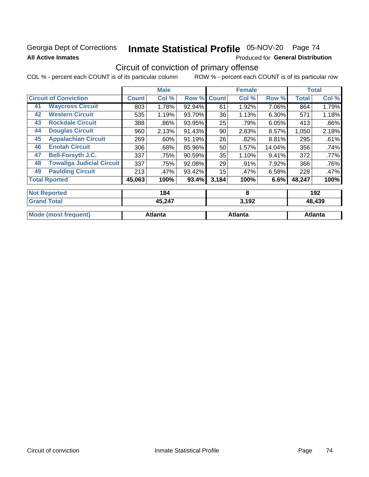### Georgia Dept of Corrections **All Active Inmates**

# Inmate Statistical Profile 05-NOV-20 Page 74

Produced for General Distribution

# Circuit of conviction of primary offense

|                                        |              | <b>Male</b> |        |              | <b>Female</b> |          |              | <b>Total</b>  |
|----------------------------------------|--------------|-------------|--------|--------------|---------------|----------|--------------|---------------|
| <b>Circuit of Conviction</b>           | <b>Count</b> | Col %       | Row %  | <b>Count</b> | Col %         | Row %    | <b>Total</b> | Col %         |
| <b>Waycross Circuit</b><br>41          | 803          | 1.78%       | 92.94% | 61           | 1.92%         | 7.06%    | 864          | 1.79%         |
| <b>Western Circuit</b><br>42           | 535          | 1.19%       | 93.70% | 36           | 1.13%         | $6.30\%$ | 571          | 1.18%         |
| <b>Rockdale Circuit</b><br>43          | 388          | .86%        | 93.95% | 25           | .79%          | 6.05%    | 413          | .86%          |
| <b>Douglas Circuit</b><br>44           | 960          | 2.13%       | 91.43% | 90           | 2.83%         | 8.57%    | 1,050        | 2.18%         |
| <b>Appalachian Circuit</b><br>45       | 269          | .60%        | 91.19% | 26           | .82%          | 8.81%    | 295          | .61%          |
| <b>Enotah Circuit</b><br>46            | 306          | .68%        | 85.96% | 50           | 1.57%         | 14.04%   | 356          | .74%          |
| <b>Bell-Forsyth J.C.</b><br>47         | 337          | .75%        | 90.59% | 35           | 1.10%         | 9.41%    | 372          | .77%          |
| <b>Towaliga Judicial Circuit</b><br>48 | 337          | .75%        | 92.08% | 29           | .91%          | 7.92%    | 366          | .76%          |
| <b>Paulding Circuit</b><br>49          | 213          | .47%        | 93.42% | 15           | .47%          | 6.58%    | 228          | .47%          |
| <b>Total Rported</b>                   | 45,063       | 100%        | 93.4%  | 3,184        | 100%          | 6.6%     | 48,247       | 100%          |
| <b>Not Reported</b>                    |              | 184         |        |              | 8             |          |              | 192           |
| <b>Grand Total</b>                     |              | 15.217      |        |              | 3,402         |          |              | <b>18 130</b> |

| ا שוטו וטנ <b>מו</b>        | 43,Z47  | J. 1 JZ | 40.439  |
|-----------------------------|---------|---------|---------|
|                             |         |         |         |
| <b>Mode (most frequent)</b> | Atlanta | Atlanta | Atlanta |
|                             |         |         |         |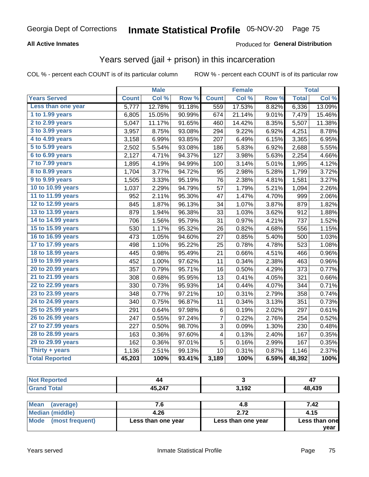#### **All Active Inmates**

### Produced for **General Distribution**

## Years served (jail + prison) in this incarceration

|                              |              | <b>Male</b> |                  |              | <b>Female</b> |                  |              | <b>Total</b> |
|------------------------------|--------------|-------------|------------------|--------------|---------------|------------------|--------------|--------------|
| <b>Years Served</b>          | <b>Count</b> | Col %       | Row <sup>%</sup> | <b>Count</b> | Col %         | Row <sub>%</sub> | <b>Total</b> | Col %        |
| Less than one year           | 5,777        | 12.78%      | 91.18%           | 559          | 17.53%        | 8.82%            | 6,336        | 13.09%       |
| 1 to 1.99 years              | 6,805        | 15.05%      | 90.99%           | 674          | 21.14%        | 9.01%            | 7,479        | 15.46%       |
| 2 to 2.99 years              | 5,047        | 11.17%      | 91.65%           | 460          | 14.42%        | 8.35%            | 5,507        | 11.38%       |
| 3 to 3.99 years              | 3,957        | 8.75%       | 93.08%           | 294          | 9.22%         | 6.92%            | 4,251        | 8.78%        |
| 4 to 4.99 years              | 3,158        | 6.99%       | 93.85%           | 207          | 6.49%         | 6.15%            | 3,365        | 6.95%        |
| $\overline{5}$ to 5.99 years | 2,502        | 5.54%       | 93.08%           | 186          | 5.83%         | 6.92%            | 2,688        | 5.55%        |
| 6 to 6.99 years              | 2,127        | 4.71%       | 94.37%           | 127          | 3.98%         | 5.63%            | 2,254        | 4.66%        |
| 7 to 7.99 years              | 1,895        | 4.19%       | 94.99%           | 100          | 3.14%         | 5.01%            | 1,995        | 4.12%        |
| <b>8 to 8.99 years</b>       | 1,704        | 3.77%       | 94.72%           | 95           | 2.98%         | 5.28%            | 1,799        | 3.72%        |
| 9 to 9.99 years              | 1,505        | 3.33%       | 95.19%           | 76           | 2.38%         | 4.81%            | 1,581        | 3.27%        |
| 10 to 10.99 years            | 1,037        | 2.29%       | 94.79%           | 57           | 1.79%         | 5.21%            | 1,094        | 2.26%        |
| 11 to 11.99 years            | 952          | 2.11%       | 95.30%           | 47           | 1.47%         | 4.70%            | 999          | 2.06%        |
| 12 to 12.99 years            | 845          | 1.87%       | 96.13%           | 34           | 1.07%         | 3.87%            | 879          | 1.82%        |
| 13 to 13.99 years            | 879          | 1.94%       | 96.38%           | 33           | 1.03%         | 3.62%            | 912          | 1.88%        |
| 14 to 14.99 years            | 706          | 1.56%       | 95.79%           | 31           | 0.97%         | 4.21%            | 737          | 1.52%        |
| 15 to 15.99 years            | 530          | 1.17%       | 95.32%           | 26           | 0.82%         | 4.68%            | 556          | 1.15%        |
| 16 to 16.99 years            | 473          | 1.05%       | 94.60%           | 27           | 0.85%         | 5.40%            | 500          | 1.03%        |
| 17 to 17.99 years            | 498          | 1.10%       | 95.22%           | 25           | 0.78%         | 4.78%            | 523          | 1.08%        |
| 18 to 18.99 years            | 445          | 0.98%       | 95.49%           | 21           | 0.66%         | 4.51%            | 466          | 0.96%        |
| 19 to 19.99 years            | 452          | 1.00%       | 97.62%           | 11           | 0.34%         | 2.38%            | 463          | 0.96%        |
| 20 to 20.99 years            | 357          | 0.79%       | 95.71%           | 16           | 0.50%         | 4.29%            | 373          | 0.77%        |
| 21 to 21.99 years            | 308          | 0.68%       | 95.95%           | 13           | 0.41%         | 4.05%            | 321          | 0.66%        |
| 22 to 22.99 years            | 330          | 0.73%       | 95.93%           | 14           | 0.44%         | 4.07%            | 344          | 0.71%        |
| 23 to 23.99 years            | 348          | 0.77%       | 97.21%           | 10           | 0.31%         | 2.79%            | 358          | 0.74%        |
| 24 to 24.99 years            | 340          | 0.75%       | 96.87%           | 11           | 0.34%         | 3.13%            | 351          | 0.73%        |
| 25 to 25.99 years            | 291          | 0.64%       | 97.98%           | 6            | 0.19%         | 2.02%            | 297          | 0.61%        |
| 26 to 26.99 years            | 247          | 0.55%       | 97.24%           | 7            | 0.22%         | 2.76%            | 254          | 0.52%        |
| 27 to 27.99 years            | 227          | 0.50%       | 98.70%           | 3            | 0.09%         | 1.30%            | 230          | 0.48%        |
| 28 to 28.99 years            | 163          | 0.36%       | 97.60%           | 4            | 0.13%         | 2.40%            | 167          | 0.35%        |
| 29 to 29.99 years            | 162          | 0.36%       | 97.01%           | 5            | 0.16%         | 2.99%            | 167          | 0.35%        |
| Thirty + years               | 1,136        | 2.51%       | 99.13%           | 10           | 0.31%         | 0.87%            | 1,146        | 2.37%        |
| <b>Total Reported</b>        | 45,203       | 100%        | 93.41%           | 3,189        | 100%          | 6.59%            | 48,392       | 100%         |

| <b>Not</b><br><b>Reported</b> |        |       | . .<br>4.    |
|-------------------------------|--------|-------|--------------|
| <b>fotal</b>                  | 45,247 | 3,192 | 3,439<br>48. |

| Mean<br>(average)    |                    | 4.8                | 7.42          |
|----------------------|--------------------|--------------------|---------------|
| Median (middle)      | 4.26               | 2.72               | 4.15          |
| Mode (most frequent) | Less than one year | Less than one year | Less than one |
|                      |                    |                    | year          |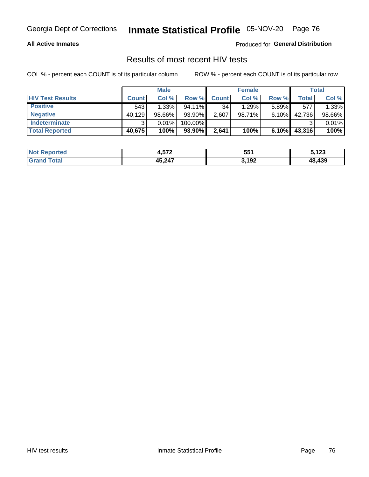#### **All Active Inmates**

Produced for **General Distribution**

### Results of most recent HIV tests

|                         | <b>Male</b>  |           |           |              | <b>Female</b> | Total    |        |        |
|-------------------------|--------------|-----------|-----------|--------------|---------------|----------|--------|--------|
| <b>HIV Test Results</b> | <b>Count</b> | Col%      | Row %I    | <b>Count</b> | Col %         | Row %    | Total  | Col %  |
| <b>Positive</b>         | 543          | 1.33%     | $94.11\%$ | 34           | 1.29%         | $5.89\%$ | 577    | 1.33%  |
| <b>Negative</b>         | 40,129       | $98.66\%$ | 93.90%    | 2,607        | 98.71%        | 6.10%    | 42,736 | 98.66% |
| Indeterminate           | ີ            | 0.01%     | 100.00%   |              |               |          |        | 0.01%  |
| <b>Total Reported</b>   | 40,675       | 100%      | 93.90%    | 2,641        | 100%          | 6.10%    | 43,316 | 100%   |

| <b>Not Reported</b> | -70<br>∽ | 551   | ,123   |
|---------------------|----------|-------|--------|
| Гоtаl<br>Gran       | 45,247   | 3,192 | 48,439 |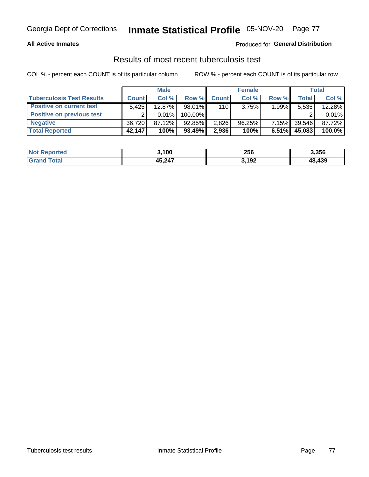#### **All Active Inmates**

#### Produced for **General Distribution**

### Results of most recent tuberculosis test

|                                  | <b>Male</b>  |           |           |              | <b>Female</b> | Total    |              |        |
|----------------------------------|--------------|-----------|-----------|--------------|---------------|----------|--------------|--------|
| <b>Tuberculosis Test Results</b> | <b>Count</b> | Col%      | Row %I    | <b>Count</b> | Col %         | Row %    | <b>Total</b> | Col %  |
| <b>Positive on current test</b>  | 5.425        | $12.87\%$ | $98.01\%$ | 110          | 3.75%         | $1.99\%$ | 5,535        | 12.28% |
| <b>Positive on previous test</b> | ົ            | 0.01%     | 100.00%   |              |               |          |              | 0.01%  |
| <b>Negative</b>                  | 36,720       | 87.12%    | 92.85%    | 2,826        | 96.25%        | $7.15\%$ | 39,546       | 87.72% |
| <b>Total Reported</b>            | 42,147       | 100%      | $93.49\%$ | 2,936        | 100%          | $6.51\%$ | 45,083       | 100.0% |

| <b>Not Reported</b>   | 3,100  | 256   | 3,356  |
|-----------------------|--------|-------|--------|
| Total<br><b>Grand</b> | 45,247 | 3,192 | 48,439 |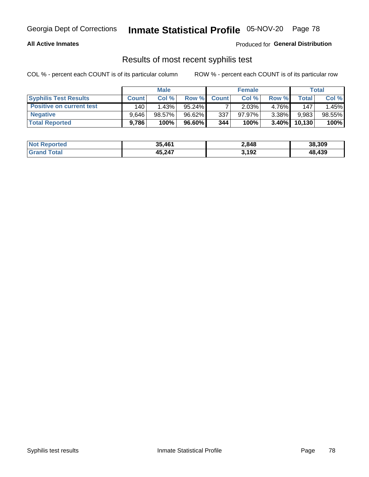#### **All Active Inmates**

Produced for **General Distribution**

### Results of most recent syphilis test

|                                 | <b>Male</b>  |        |           |                  | <b>Female</b> | Total    |        |        |
|---------------------------------|--------------|--------|-----------|------------------|---------------|----------|--------|--------|
| <b>Syphilis Test Results</b>    | <b>Count</b> | Col%   | Row %     | <b>Count</b>     | Col %         | Row %    | Total  | Col %  |
| <b>Positive on current test</b> | 140          | 1.43%  | $95.24\%$ |                  | 2.03%         | 4.76%    | 147    | 1.45%  |
| <b>Negative</b>                 | 9.646        | 98.57% | 96.62%    | 337              | $97.97\%$     | $3.38\%$ | 9,983  | 98.55% |
| <b>Total Reported</b>           | 9.786        | 100%   | 96.60%    | 344 <sub>1</sub> | 100%          | $3.40\%$ | 10,130 | 100%   |

| <b>Not Reported</b> | 35,461 | 2,848 | 38,309 |
|---------------------|--------|-------|--------|
| <b>Grand Total</b>  | 45,247 | 3,192 | 48,439 |